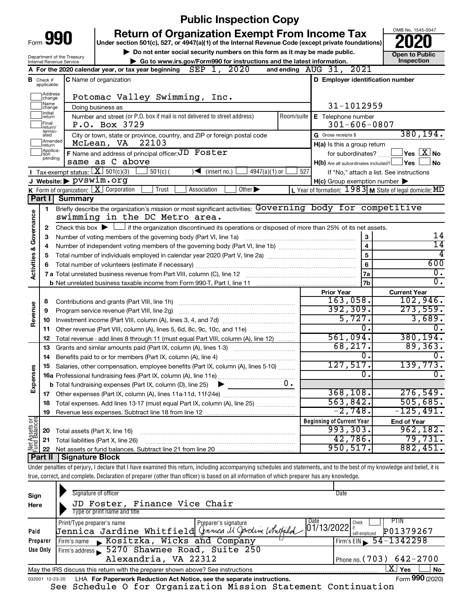|                                  |                         |                                                                   |                                                                                                                                                                            | <b>Public Inspection Copy</b>                        |            |                                                           | OMB No. 1545-0047                               |  |  |  |  |
|----------------------------------|-------------------------|-------------------------------------------------------------------|----------------------------------------------------------------------------------------------------------------------------------------------------------------------------|------------------------------------------------------|------------|-----------------------------------------------------------|-------------------------------------------------|--|--|--|--|
|                                  |                         | Form 990                                                          | <b>Return of Organization Exempt From Income Tax</b><br>Under section 501(c), 527, or 4947(a)(1) of the Internal Revenue Code (except private foundations)                 |                                                      |            |                                                           |                                                 |  |  |  |  |
|                                  |                         | Department of the Treasury                                        | Do not enter social security numbers on this form as it may be made public.                                                                                                |                                                      |            |                                                           | <b>Open to Public</b>                           |  |  |  |  |
|                                  |                         | Internal Revenue Service                                          | Go to www.irs.gov/Form990 for instructions and the latest information.                                                                                                     |                                                      |            | 2021                                                      | Inspection                                      |  |  |  |  |
|                                  |                         |                                                                   | A For the 2020 calendar year, or tax year beginning $\text{SEP}$ 1, 2020                                                                                                   |                                                      |            | and ending AUG 31,                                        |                                                 |  |  |  |  |
| в                                | Check if<br>applicable: |                                                                   | <b>C</b> Name of organization                                                                                                                                              |                                                      |            | D Employer identification number                          |                                                 |  |  |  |  |
|                                  | Address<br>change       |                                                                   | Potomac Valley Swimming, Inc.                                                                                                                                              |                                                      |            |                                                           |                                                 |  |  |  |  |
|                                  | Name<br>change          |                                                                   | Doing business as                                                                                                                                                          |                                                      |            | 31-1012959                                                |                                                 |  |  |  |  |
|                                  | Initial<br>return       |                                                                   | Number and street (or P.O. box if mail is not delivered to street address)                                                                                                 |                                                      | Room/suite | E Telephone number                                        |                                                 |  |  |  |  |
|                                  | Final<br>return/        |                                                                   | P.O. Box 3729                                                                                                                                                              |                                                      |            | $301 - 606 - 0807$                                        |                                                 |  |  |  |  |
|                                  | termin-<br>ated         |                                                                   | City or town, state or province, country, and ZIP or foreign postal code                                                                                                   |                                                      |            | G Gross receipts \$                                       | 380, 194.                                       |  |  |  |  |
|                                  | return                  | Amended                                                           | McLean, VA 22103                                                                                                                                                           |                                                      |            | H(a) Is this a group return                               |                                                 |  |  |  |  |
|                                  | Applica-<br>tion        |                                                                   | F Name and address of principal officer: JD Foster                                                                                                                         |                                                      |            |                                                           | for subordinates? $\Box$ $\Box$ Yes $\Box X$ No |  |  |  |  |
|                                  | pending                 |                                                                   | same as C above                                                                                                                                                            |                                                      |            | H(b) Are all subordinates included? Ves                   | l No                                            |  |  |  |  |
|                                  |                         | <b>I</b> Tax-exempt status: $\boxed{\mathbf{X}}$ 501(c)(3)        | $501(c)$ (                                                                                                                                                                 | $\sqrt{\frac{1}{1}}$ (insert no.)<br>$4947(a)(1)$ or | 527        |                                                           | If "No," attach a list. See instructions        |  |  |  |  |
|                                  |                         | J Website: > pvswim.org                                           |                                                                                                                                                                            |                                                      |            | $H(c)$ Group exemption number $\blacktriangleright$       |                                                 |  |  |  |  |
|                                  |                         | K Form of organization: X Corporation                             | Trust<br>Association                                                                                                                                                       | Other $\blacktriangleright$                          |            | L Year of formation: $1983$ M State of legal domicile: MD |                                                 |  |  |  |  |
|                                  | Part I I                | <b>Summary</b>                                                    |                                                                                                                                                                            |                                                      |            |                                                           |                                                 |  |  |  |  |
| Activities & Governance          | 1.                      |                                                                   | Briefly describe the organization's mission or most significant activities: Governing body for competitive<br>swimming in the DC Metro area.                               |                                                      |            |                                                           |                                                 |  |  |  |  |
|                                  | 2                       |                                                                   | Check this box $\blacktriangleright$ $\Box$ if the organization discontinued its operations or disposed of more than 25% of its net assets.                                |                                                      |            |                                                           |                                                 |  |  |  |  |
|                                  | 3                       | Number of voting members of the governing body (Part VI, line 1a) | 3                                                                                                                                                                          | 14                                                   |            |                                                           |                                                 |  |  |  |  |
|                                  | 4                       |                                                                   | $\overline{4}$                                                                                                                                                             | $\overline{14}$                                      |            |                                                           |                                                 |  |  |  |  |
|                                  | 5                       |                                                                   | 4                                                                                                                                                                          |                                                      |            |                                                           |                                                 |  |  |  |  |
|                                  | 6                       |                                                                   |                                                                                                                                                                            |                                                      |            | $\overline{5}$<br>6                                       | 600                                             |  |  |  |  |
|                                  |                         |                                                                   |                                                                                                                                                                            |                                                      |            | 7a                                                        | 0.                                              |  |  |  |  |
|                                  |                         |                                                                   |                                                                                                                                                                            |                                                      |            | 7 <sub>b</sub>                                            | σ.                                              |  |  |  |  |
|                                  |                         |                                                                   |                                                                                                                                                                            |                                                      |            | <b>Prior Year</b>                                         | <b>Current Year</b>                             |  |  |  |  |
|                                  | 8                       |                                                                   |                                                                                                                                                                            |                                                      |            | 163,058.                                                  | 102,946.                                        |  |  |  |  |
|                                  | 9                       |                                                                   | Program service revenue (Part VIII, line 2g)                                                                                                                               |                                                      |            | 392, 309.                                                 | 273,559.                                        |  |  |  |  |
| Revenue                          | 10                      |                                                                   |                                                                                                                                                                            |                                                      |            | 5,727.                                                    | 3,689.                                          |  |  |  |  |
|                                  | 11                      |                                                                   | Other revenue (Part VIII, column (A), lines 5, 6d, 8c, 9c, 10c, and 11e)                                                                                                   |                                                      |            | 0.                                                        | 0.                                              |  |  |  |  |
|                                  | 12                      |                                                                   | Total revenue - add lines 8 through 11 (must equal Part VIII, column (A), line 12)                                                                                         |                                                      |            |                                                           | 380, 194.                                       |  |  |  |  |
|                                  | 13                      |                                                                   | Grants and similar amounts paid (Part IX, column (A), lines 1-3)                                                                                                           |                                                      |            | 68, 217.                                                  | 89, 363.                                        |  |  |  |  |
|                                  | 14                      |                                                                   | Benefits paid to or for members (Part IX, column (A), line 4)                                                                                                              |                                                      |            | Ο.                                                        | 0.                                              |  |  |  |  |
|                                  | 15                      |                                                                   | Salaries, other compensation, employee benefits (Part IX, column (A), lines 5-10)                                                                                          |                                                      |            | 127,517.                                                  | 139,773.                                        |  |  |  |  |
| Expenses                         |                         |                                                                   |                                                                                                                                                                            |                                                      |            | 0                                                         | ο.                                              |  |  |  |  |
|                                  |                         |                                                                   | <b>b</b> Total fundraising expenses (Part IX, column (D), line 25)                                                                                                         | ▸                                                    | υ.         |                                                           |                                                 |  |  |  |  |
|                                  |                         |                                                                   |                                                                                                                                                                            |                                                      |            | 368, 108.                                                 | 276,549.                                        |  |  |  |  |
|                                  | 18                      |                                                                   | Total expenses. Add lines 13-17 (must equal Part IX, column (A), line 25)                                                                                                  |                                                      |            | 563,842.                                                  | 505,685.                                        |  |  |  |  |
|                                  | 19                      |                                                                   |                                                                                                                                                                            |                                                      |            | $-2,748.$                                                 | -125,491.                                       |  |  |  |  |
| t Assets or                      |                         |                                                                   |                                                                                                                                                                            |                                                      |            | <b>Beginning of Current Year</b>                          | <b>End of Year</b>                              |  |  |  |  |
|                                  | 20                      | Total assets (Part X, line 16)                                    |                                                                                                                                                                            |                                                      |            | 993,303.                                                  | 962,182.                                        |  |  |  |  |
|                                  | 21                      |                                                                   | Total liabilities (Part X, line 26)                                                                                                                                        |                                                      |            | 42,786.                                                   | 79,731.                                         |  |  |  |  |
| 美                                | 22                      |                                                                   |                                                                                                                                                                            |                                                      |            | 950, 517.                                                 | 882,451.                                        |  |  |  |  |
| <b>Part II   Signature Block</b> |                         |                                                                   |                                                                                                                                                                            |                                                      |            |                                                           |                                                 |  |  |  |  |
|                                  |                         |                                                                   | Under penalties of perjury, I declare that I have examined this return, including accompanying schedules and statements, and to the best of my knowledge and belief, it is |                                                      |            |                                                           |                                                 |  |  |  |  |
|                                  |                         |                                                                   | true, correct, and complete. Declaration of preparer (other than officer) is based on all information of which preparer has any knowledge.                                 |                                                      |            |                                                           |                                                 |  |  |  |  |
|                                  |                         |                                                                   |                                                                                                                                                                            |                                                      |            |                                                           |                                                 |  |  |  |  |
| Sign                             |                         |                                                                   | Signature of officer                                                                                                                                                       |                                                      |            | Date                                                      |                                                 |  |  |  |  |
| Here                             |                         |                                                                   | JD Foster, Finance Vice Chair                                                                                                                                              |                                                      |            |                                                           |                                                 |  |  |  |  |

|                                                                                                       | Type or print name and title                                                                      |  |                                    |  |  |  |  |  |  |  |
|-------------------------------------------------------------------------------------------------------|---------------------------------------------------------------------------------------------------|--|------------------------------------|--|--|--|--|--|--|--|
|                                                                                                       | Freeparer's signature<br>Jennica Jardine Whitfield <i>(franca U Oproline Whitfild</i> 01/13/2022) |  | <b>PTIN</b>                        |  |  |  |  |  |  |  |
| Paid                                                                                                  |                                                                                                   |  | P01379267<br>it<br>I self-employed |  |  |  |  |  |  |  |
| Preparer                                                                                              | Firm's name Kositzka, Wicks and Company                                                           |  | $\frac{54 - 1342298}{ }$           |  |  |  |  |  |  |  |
| Use Only                                                                                              | Firm's address 5270 Shawnee Road, Suite 250                                                       |  |                                    |  |  |  |  |  |  |  |
|                                                                                                       | Alexandria, VA 22312                                                                              |  | Phone no. $(703) 642 - 2700$       |  |  |  |  |  |  |  |
| <b>No</b><br>May the IRS discuss this return with the preparer shown above? See instructions<br>l Yes |                                                                                                   |  |                                    |  |  |  |  |  |  |  |
|                                                                                                       | $\overline{a}$ 000 $\overline{a}$                                                                 |  |                                    |  |  |  |  |  |  |  |

<sup>032001 12-23-20</sup> LHA **For Paperwork Reduction Act Notice, see the separate instructions.** Form 990 (2020) See Schedule O for Organization Mission Statement Continuation

Form **990** (2020)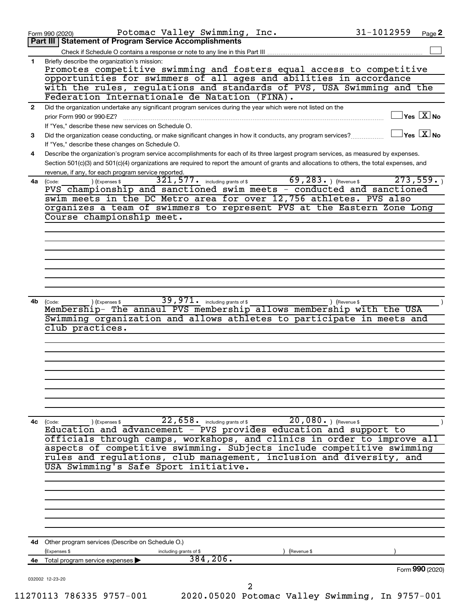|              | Potomac Valley Swimming, Inc.<br>Form 990 (2020)                                                                                                                                              | 31-1012959    | Page 2                                      |
|--------------|-----------------------------------------------------------------------------------------------------------------------------------------------------------------------------------------------|---------------|---------------------------------------------|
|              | Part III   Statement of Program Service Accomplishments                                                                                                                                       |               |                                             |
| 1.           | Check if Schedule O contains a response or note to any line in this Part III<br>Briefly describe the organization's mission:                                                                  |               |                                             |
|              | Promotes competitive swimming and fosters equal access to competitive                                                                                                                         |               |                                             |
|              | opportunities for swimmers of all ages and abilities in accordance                                                                                                                            |               |                                             |
|              | with the rules, regulations and standards of PVS, USA Swimming and the                                                                                                                        |               |                                             |
|              | Federation Internationale de Natation (FINA).                                                                                                                                                 |               |                                             |
| $\mathbf{2}$ | Did the organization undertake any significant program services during the year which were not listed on the                                                                                  |               | $\overline{\ }$ Yes $\overline{\rm X}$ No   |
|              | prior Form 990 or 990-EZ?<br>If "Yes," describe these new services on Schedule O.                                                                                                             |               |                                             |
| 3            | Did the organization cease conducting, or make significant changes in how it conducts, any program services?                                                                                  |               | $\overline{\ }$ Yes $\overline{\rm \ }X$ No |
|              | If "Yes," describe these changes on Schedule O.                                                                                                                                               |               |                                             |
| 4            | Describe the organization's program service accomplishments for each of its three largest program services, as measured by expenses.                                                          |               |                                             |
|              | Section 501(c)(3) and 501(c)(4) organizations are required to report the amount of grants and allocations to others, the total expenses, and                                                  |               |                                             |
|              | revenue, if any, for each program service reported.                                                                                                                                           |               |                                             |
| 4a           | $69, 283.$ (Revenue \$)<br>$\overline{321}$ , $577$ . including grants of \$<br>(Expenses \$<br>(Code:<br>PVS championship and sanctioned swim meets - conducted and sanctioned               | 273,559.      |                                             |
|              | swim meets in the DC Metro area for over 12,756 athletes. PVS also                                                                                                                            |               |                                             |
|              | organizes a team of swimmers to represent PVS at the Eastern Zone Long                                                                                                                        |               |                                             |
|              | Course championship meet.                                                                                                                                                                     |               |                                             |
|              |                                                                                                                                                                                               |               |                                             |
|              |                                                                                                                                                                                               |               |                                             |
|              |                                                                                                                                                                                               |               |                                             |
|              |                                                                                                                                                                                               |               |                                             |
|              |                                                                                                                                                                                               |               |                                             |
|              |                                                                                                                                                                                               |               |                                             |
|              |                                                                                                                                                                                               |               |                                             |
| 4b           | 39, 971. including grants of \$<br>(Code:<br>(Expenses \$                                                                                                                                     | ) (Revenue \$ |                                             |
|              | Membership- The annaul PVS membership allows membership with the USA                                                                                                                          |               |                                             |
|              | Swimming organization and allows athletes to participate in meets and                                                                                                                         |               |                                             |
|              | club practices.                                                                                                                                                                               |               |                                             |
|              |                                                                                                                                                                                               |               |                                             |
|              |                                                                                                                                                                                               |               |                                             |
|              |                                                                                                                                                                                               |               |                                             |
|              |                                                                                                                                                                                               |               |                                             |
|              |                                                                                                                                                                                               |               |                                             |
|              |                                                                                                                                                                                               |               |                                             |
|              |                                                                                                                                                                                               |               |                                             |
|              |                                                                                                                                                                                               |               |                                             |
| 4c           | $\overline{22}$ , $\overline{658}$ $\cdot$ including grants of \$<br>$20,080.$ ) (Revenue \$<br>(Code:<br>) (Expenses \$<br>Education and advancement - PVS provides education and support to |               |                                             |
|              | officials through camps, workshops, and clinics in order to improve all                                                                                                                       |               |                                             |
|              | aspects of competitive swimming. Subjects include competitive swimming                                                                                                                        |               |                                             |
|              | rules and regulations, club management, inclusion and diversity, and                                                                                                                          |               |                                             |
|              | USA Swimming's Safe Sport initiative.                                                                                                                                                         |               |                                             |
|              |                                                                                                                                                                                               |               |                                             |
|              |                                                                                                                                                                                               |               |                                             |
|              |                                                                                                                                                                                               |               |                                             |
|              |                                                                                                                                                                                               |               |                                             |
|              |                                                                                                                                                                                               |               |                                             |
|              |                                                                                                                                                                                               |               |                                             |
|              | 4d Other program services (Describe on Schedule O.)                                                                                                                                           |               |                                             |
|              | (Expenses \$<br>Revenue \$<br>including grants of \$                                                                                                                                          |               |                                             |
|              | 384, 206.<br>4e Total program service expenses >                                                                                                                                              |               |                                             |
|              |                                                                                                                                                                                               |               | Form 990 (2020)                             |
|              | 032002 12-23-20                                                                                                                                                                               |               |                                             |
|              |                                                                                                                                                                                               |               |                                             |
|              | 11270113 786335 9757-001<br>2020.05020 Potomac Valley Swimming, In 9757-001                                                                                                                   |               |                                             |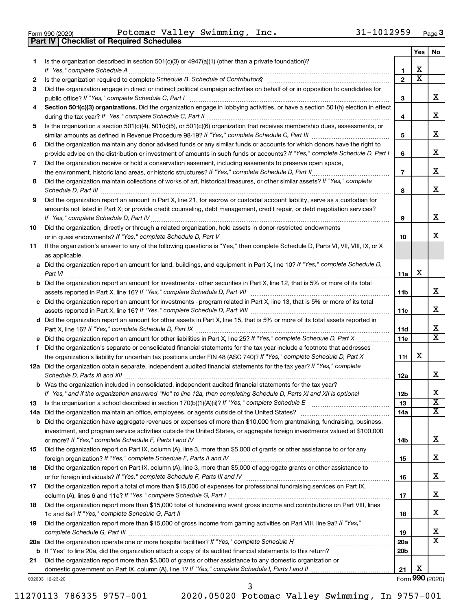|  | Form 990 (2020) |
|--|-----------------|

**Part IV Checklist of Required Schedules**

Form 990 (2020) POLOMAC VALLEY SWIMMING, INC.  $31-1012959$  Page Potomac Valley Swimming, Inc. 31-1012959

| Is the organization described in section 501(c)(3) or 4947(a)(1) (other than a private foundation)?<br>1<br>х<br>1<br>$\overline{\mathbf{X}}$<br>$\mathbf{2}$<br>2<br>Did the organization engage in direct or indirect political campaign activities on behalf of or in opposition to candidates for<br>З<br>3<br>Section 501(c)(3) organizations. Did the organization engage in lobbying activities, or have a section 501(h) election in effect<br>4<br>4<br>Is the organization a section 501(c)(4), 501(c)(5), or 501(c)(6) organization that receives membership dues, assessments, or<br>5<br>5<br>Did the organization maintain any donor advised funds or any similar funds or accounts for which donors have the right to<br>6<br>provide advice on the distribution or investment of amounts in such funds or accounts? If "Yes," complete Schedule D, Part I<br>6<br>Did the organization receive or hold a conservation easement, including easements to preserve open space,<br>7<br>$\overline{7}$<br>Did the organization maintain collections of works of art, historical treasures, or other similar assets? If "Yes," complete<br>8<br>8<br>Did the organization report an amount in Part X, line 21, for escrow or custodial account liability, serve as a custodian for<br>9<br>amounts not listed in Part X; or provide credit counseling, debt management, credit repair, or debt negotiation services?<br>9<br>Did the organization, directly or through a related organization, hold assets in donor-restricted endowments<br>10<br>10<br>If the organization's answer to any of the following questions is "Yes," then complete Schedule D, Parts VI, VII, VIII, IX, or X<br>11<br>as applicable.<br>a Did the organization report an amount for land, buildings, and equipment in Part X, line 10? If "Yes," complete Schedule D,<br>X<br>11a<br><b>b</b> Did the organization report an amount for investments - other securities in Part X, line 12, that is 5% or more of its total<br>11b<br>c Did the organization report an amount for investments - program related in Part X, line 13, that is 5% or more of its total<br>11c<br>d Did the organization report an amount for other assets in Part X, line 15, that is 5% or more of its total assets reported in<br>11d<br>11e<br>f Did the organization's separate or consolidated financial statements for the tax year include a footnote that addresses<br>X<br>the organization's liability for uncertain tax positions under FIN 48 (ASC 740)? If "Yes," complete Schedule D, Part X<br>11f<br>12a Did the organization obtain separate, independent audited financial statements for the tax year? If "Yes," complete<br>12a<br><b>b</b> Was the organization included in consolidated, independent audited financial statements for the tax year?<br>If "Yes," and if the organization answered "No" to line 12a, then completing Schedule D, Parts XI and XII is optional<br>12 <sub>b</sub><br>13<br>13<br>14a<br>14a<br><b>b</b> Did the organization have aggregate revenues or expenses of more than \$10,000 from grantmaking, fundraising, business,<br>investment, and program service activities outside the United States, or aggregate foreign investments valued at \$100,000<br>14b<br>Did the organization report on Part IX, column (A), line 3, more than \$5,000 of grants or other assistance to or for any<br>15<br>15<br>Did the organization report on Part IX, column (A), line 3, more than \$5,000 of aggregate grants or other assistance to<br>16<br>16<br>Did the organization report a total of more than \$15,000 of expenses for professional fundraising services on Part IX,<br>17<br>17<br>Did the organization report more than \$15,000 total of fundraising event gross income and contributions on Part VIII, lines<br>18<br>18<br>Did the organization report more than \$15,000 of gross income from gaming activities on Part VIII, line 9a? If "Yes,"<br>19<br>19<br>20a<br>20 <sub>b</sub><br>Did the organization report more than \$5,000 of grants or other assistance to any domestic organization or<br>21<br>X<br>21 |  | Yes | No                      |
|------------------------------------------------------------------------------------------------------------------------------------------------------------------------------------------------------------------------------------------------------------------------------------------------------------------------------------------------------------------------------------------------------------------------------------------------------------------------------------------------------------------------------------------------------------------------------------------------------------------------------------------------------------------------------------------------------------------------------------------------------------------------------------------------------------------------------------------------------------------------------------------------------------------------------------------------------------------------------------------------------------------------------------------------------------------------------------------------------------------------------------------------------------------------------------------------------------------------------------------------------------------------------------------------------------------------------------------------------------------------------------------------------------------------------------------------------------------------------------------------------------------------------------------------------------------------------------------------------------------------------------------------------------------------------------------------------------------------------------------------------------------------------------------------------------------------------------------------------------------------------------------------------------------------------------------------------------------------------------------------------------------------------------------------------------------------------------------------------------------------------------------------------------------------------------------------------------------------------------------------------------------------------------------------------------------------------------------------------------------------------------------------------------------------------------------------------------------------------------------------------------------------------------------------------------------------------------------------------------------------------------------------------------------------------------------------------------------------------------------------------------------------------------------------------------------------------------------------------------------------------------------------------------------------------------------------------------------------------------------------------------------------------------------------------------------------------------------------------------------------------------------------------------------------------------------------------------------------------------------------------------------------------------------------------------------------------------------------------------------------------------------------------------------------------------------------------------------------------------------------------------------------------------------------------------------------------------------------------------------------------------------------------------------------------------------------------------------------------------------------------------------------------------------------------------------------------------------------------------------------------------------------------------------------------------------------------------------------------------------------------------------------------------------------------------------------------------------------------------------------------------------------------------------|--|-----|-------------------------|
|                                                                                                                                                                                                                                                                                                                                                                                                                                                                                                                                                                                                                                                                                                                                                                                                                                                                                                                                                                                                                                                                                                                                                                                                                                                                                                                                                                                                                                                                                                                                                                                                                                                                                                                                                                                                                                                                                                                                                                                                                                                                                                                                                                                                                                                                                                                                                                                                                                                                                                                                                                                                                                                                                                                                                                                                                                                                                                                                                                                                                                                                                                                                                                                                                                                                                                                                                                                                                                                                                                                                                                                                                                                                                                                                                                                                                                                                                                                                                                                                                                                                                                                                                                  |  |     |                         |
|                                                                                                                                                                                                                                                                                                                                                                                                                                                                                                                                                                                                                                                                                                                                                                                                                                                                                                                                                                                                                                                                                                                                                                                                                                                                                                                                                                                                                                                                                                                                                                                                                                                                                                                                                                                                                                                                                                                                                                                                                                                                                                                                                                                                                                                                                                                                                                                                                                                                                                                                                                                                                                                                                                                                                                                                                                                                                                                                                                                                                                                                                                                                                                                                                                                                                                                                                                                                                                                                                                                                                                                                                                                                                                                                                                                                                                                                                                                                                                                                                                                                                                                                                                  |  |     |                         |
|                                                                                                                                                                                                                                                                                                                                                                                                                                                                                                                                                                                                                                                                                                                                                                                                                                                                                                                                                                                                                                                                                                                                                                                                                                                                                                                                                                                                                                                                                                                                                                                                                                                                                                                                                                                                                                                                                                                                                                                                                                                                                                                                                                                                                                                                                                                                                                                                                                                                                                                                                                                                                                                                                                                                                                                                                                                                                                                                                                                                                                                                                                                                                                                                                                                                                                                                                                                                                                                                                                                                                                                                                                                                                                                                                                                                                                                                                                                                                                                                                                                                                                                                                                  |  |     |                         |
|                                                                                                                                                                                                                                                                                                                                                                                                                                                                                                                                                                                                                                                                                                                                                                                                                                                                                                                                                                                                                                                                                                                                                                                                                                                                                                                                                                                                                                                                                                                                                                                                                                                                                                                                                                                                                                                                                                                                                                                                                                                                                                                                                                                                                                                                                                                                                                                                                                                                                                                                                                                                                                                                                                                                                                                                                                                                                                                                                                                                                                                                                                                                                                                                                                                                                                                                                                                                                                                                                                                                                                                                                                                                                                                                                                                                                                                                                                                                                                                                                                                                                                                                                                  |  |     | x                       |
|                                                                                                                                                                                                                                                                                                                                                                                                                                                                                                                                                                                                                                                                                                                                                                                                                                                                                                                                                                                                                                                                                                                                                                                                                                                                                                                                                                                                                                                                                                                                                                                                                                                                                                                                                                                                                                                                                                                                                                                                                                                                                                                                                                                                                                                                                                                                                                                                                                                                                                                                                                                                                                                                                                                                                                                                                                                                                                                                                                                                                                                                                                                                                                                                                                                                                                                                                                                                                                                                                                                                                                                                                                                                                                                                                                                                                                                                                                                                                                                                                                                                                                                                                                  |  |     |                         |
|                                                                                                                                                                                                                                                                                                                                                                                                                                                                                                                                                                                                                                                                                                                                                                                                                                                                                                                                                                                                                                                                                                                                                                                                                                                                                                                                                                                                                                                                                                                                                                                                                                                                                                                                                                                                                                                                                                                                                                                                                                                                                                                                                                                                                                                                                                                                                                                                                                                                                                                                                                                                                                                                                                                                                                                                                                                                                                                                                                                                                                                                                                                                                                                                                                                                                                                                                                                                                                                                                                                                                                                                                                                                                                                                                                                                                                                                                                                                                                                                                                                                                                                                                                  |  |     | X                       |
|                                                                                                                                                                                                                                                                                                                                                                                                                                                                                                                                                                                                                                                                                                                                                                                                                                                                                                                                                                                                                                                                                                                                                                                                                                                                                                                                                                                                                                                                                                                                                                                                                                                                                                                                                                                                                                                                                                                                                                                                                                                                                                                                                                                                                                                                                                                                                                                                                                                                                                                                                                                                                                                                                                                                                                                                                                                                                                                                                                                                                                                                                                                                                                                                                                                                                                                                                                                                                                                                                                                                                                                                                                                                                                                                                                                                                                                                                                                                                                                                                                                                                                                                                                  |  |     |                         |
|                                                                                                                                                                                                                                                                                                                                                                                                                                                                                                                                                                                                                                                                                                                                                                                                                                                                                                                                                                                                                                                                                                                                                                                                                                                                                                                                                                                                                                                                                                                                                                                                                                                                                                                                                                                                                                                                                                                                                                                                                                                                                                                                                                                                                                                                                                                                                                                                                                                                                                                                                                                                                                                                                                                                                                                                                                                                                                                                                                                                                                                                                                                                                                                                                                                                                                                                                                                                                                                                                                                                                                                                                                                                                                                                                                                                                                                                                                                                                                                                                                                                                                                                                                  |  |     | X                       |
|                                                                                                                                                                                                                                                                                                                                                                                                                                                                                                                                                                                                                                                                                                                                                                                                                                                                                                                                                                                                                                                                                                                                                                                                                                                                                                                                                                                                                                                                                                                                                                                                                                                                                                                                                                                                                                                                                                                                                                                                                                                                                                                                                                                                                                                                                                                                                                                                                                                                                                                                                                                                                                                                                                                                                                                                                                                                                                                                                                                                                                                                                                                                                                                                                                                                                                                                                                                                                                                                                                                                                                                                                                                                                                                                                                                                                                                                                                                                                                                                                                                                                                                                                                  |  |     |                         |
|                                                                                                                                                                                                                                                                                                                                                                                                                                                                                                                                                                                                                                                                                                                                                                                                                                                                                                                                                                                                                                                                                                                                                                                                                                                                                                                                                                                                                                                                                                                                                                                                                                                                                                                                                                                                                                                                                                                                                                                                                                                                                                                                                                                                                                                                                                                                                                                                                                                                                                                                                                                                                                                                                                                                                                                                                                                                                                                                                                                                                                                                                                                                                                                                                                                                                                                                                                                                                                                                                                                                                                                                                                                                                                                                                                                                                                                                                                                                                                                                                                                                                                                                                                  |  |     | х                       |
|                                                                                                                                                                                                                                                                                                                                                                                                                                                                                                                                                                                                                                                                                                                                                                                                                                                                                                                                                                                                                                                                                                                                                                                                                                                                                                                                                                                                                                                                                                                                                                                                                                                                                                                                                                                                                                                                                                                                                                                                                                                                                                                                                                                                                                                                                                                                                                                                                                                                                                                                                                                                                                                                                                                                                                                                                                                                                                                                                                                                                                                                                                                                                                                                                                                                                                                                                                                                                                                                                                                                                                                                                                                                                                                                                                                                                                                                                                                                                                                                                                                                                                                                                                  |  |     |                         |
|                                                                                                                                                                                                                                                                                                                                                                                                                                                                                                                                                                                                                                                                                                                                                                                                                                                                                                                                                                                                                                                                                                                                                                                                                                                                                                                                                                                                                                                                                                                                                                                                                                                                                                                                                                                                                                                                                                                                                                                                                                                                                                                                                                                                                                                                                                                                                                                                                                                                                                                                                                                                                                                                                                                                                                                                                                                                                                                                                                                                                                                                                                                                                                                                                                                                                                                                                                                                                                                                                                                                                                                                                                                                                                                                                                                                                                                                                                                                                                                                                                                                                                                                                                  |  |     | х                       |
|                                                                                                                                                                                                                                                                                                                                                                                                                                                                                                                                                                                                                                                                                                                                                                                                                                                                                                                                                                                                                                                                                                                                                                                                                                                                                                                                                                                                                                                                                                                                                                                                                                                                                                                                                                                                                                                                                                                                                                                                                                                                                                                                                                                                                                                                                                                                                                                                                                                                                                                                                                                                                                                                                                                                                                                                                                                                                                                                                                                                                                                                                                                                                                                                                                                                                                                                                                                                                                                                                                                                                                                                                                                                                                                                                                                                                                                                                                                                                                                                                                                                                                                                                                  |  |     |                         |
|                                                                                                                                                                                                                                                                                                                                                                                                                                                                                                                                                                                                                                                                                                                                                                                                                                                                                                                                                                                                                                                                                                                                                                                                                                                                                                                                                                                                                                                                                                                                                                                                                                                                                                                                                                                                                                                                                                                                                                                                                                                                                                                                                                                                                                                                                                                                                                                                                                                                                                                                                                                                                                                                                                                                                                                                                                                                                                                                                                                                                                                                                                                                                                                                                                                                                                                                                                                                                                                                                                                                                                                                                                                                                                                                                                                                                                                                                                                                                                                                                                                                                                                                                                  |  |     | х                       |
|                                                                                                                                                                                                                                                                                                                                                                                                                                                                                                                                                                                                                                                                                                                                                                                                                                                                                                                                                                                                                                                                                                                                                                                                                                                                                                                                                                                                                                                                                                                                                                                                                                                                                                                                                                                                                                                                                                                                                                                                                                                                                                                                                                                                                                                                                                                                                                                                                                                                                                                                                                                                                                                                                                                                                                                                                                                                                                                                                                                                                                                                                                                                                                                                                                                                                                                                                                                                                                                                                                                                                                                                                                                                                                                                                                                                                                                                                                                                                                                                                                                                                                                                                                  |  |     |                         |
|                                                                                                                                                                                                                                                                                                                                                                                                                                                                                                                                                                                                                                                                                                                                                                                                                                                                                                                                                                                                                                                                                                                                                                                                                                                                                                                                                                                                                                                                                                                                                                                                                                                                                                                                                                                                                                                                                                                                                                                                                                                                                                                                                                                                                                                                                                                                                                                                                                                                                                                                                                                                                                                                                                                                                                                                                                                                                                                                                                                                                                                                                                                                                                                                                                                                                                                                                                                                                                                                                                                                                                                                                                                                                                                                                                                                                                                                                                                                                                                                                                                                                                                                                                  |  |     |                         |
|                                                                                                                                                                                                                                                                                                                                                                                                                                                                                                                                                                                                                                                                                                                                                                                                                                                                                                                                                                                                                                                                                                                                                                                                                                                                                                                                                                                                                                                                                                                                                                                                                                                                                                                                                                                                                                                                                                                                                                                                                                                                                                                                                                                                                                                                                                                                                                                                                                                                                                                                                                                                                                                                                                                                                                                                                                                                                                                                                                                                                                                                                                                                                                                                                                                                                                                                                                                                                                                                                                                                                                                                                                                                                                                                                                                                                                                                                                                                                                                                                                                                                                                                                                  |  |     | х                       |
|                                                                                                                                                                                                                                                                                                                                                                                                                                                                                                                                                                                                                                                                                                                                                                                                                                                                                                                                                                                                                                                                                                                                                                                                                                                                                                                                                                                                                                                                                                                                                                                                                                                                                                                                                                                                                                                                                                                                                                                                                                                                                                                                                                                                                                                                                                                                                                                                                                                                                                                                                                                                                                                                                                                                                                                                                                                                                                                                                                                                                                                                                                                                                                                                                                                                                                                                                                                                                                                                                                                                                                                                                                                                                                                                                                                                                                                                                                                                                                                                                                                                                                                                                                  |  |     |                         |
|                                                                                                                                                                                                                                                                                                                                                                                                                                                                                                                                                                                                                                                                                                                                                                                                                                                                                                                                                                                                                                                                                                                                                                                                                                                                                                                                                                                                                                                                                                                                                                                                                                                                                                                                                                                                                                                                                                                                                                                                                                                                                                                                                                                                                                                                                                                                                                                                                                                                                                                                                                                                                                                                                                                                                                                                                                                                                                                                                                                                                                                                                                                                                                                                                                                                                                                                                                                                                                                                                                                                                                                                                                                                                                                                                                                                                                                                                                                                                                                                                                                                                                                                                                  |  |     | х                       |
|                                                                                                                                                                                                                                                                                                                                                                                                                                                                                                                                                                                                                                                                                                                                                                                                                                                                                                                                                                                                                                                                                                                                                                                                                                                                                                                                                                                                                                                                                                                                                                                                                                                                                                                                                                                                                                                                                                                                                                                                                                                                                                                                                                                                                                                                                                                                                                                                                                                                                                                                                                                                                                                                                                                                                                                                                                                                                                                                                                                                                                                                                                                                                                                                                                                                                                                                                                                                                                                                                                                                                                                                                                                                                                                                                                                                                                                                                                                                                                                                                                                                                                                                                                  |  |     |                         |
|                                                                                                                                                                                                                                                                                                                                                                                                                                                                                                                                                                                                                                                                                                                                                                                                                                                                                                                                                                                                                                                                                                                                                                                                                                                                                                                                                                                                                                                                                                                                                                                                                                                                                                                                                                                                                                                                                                                                                                                                                                                                                                                                                                                                                                                                                                                                                                                                                                                                                                                                                                                                                                                                                                                                                                                                                                                                                                                                                                                                                                                                                                                                                                                                                                                                                                                                                                                                                                                                                                                                                                                                                                                                                                                                                                                                                                                                                                                                                                                                                                                                                                                                                                  |  |     |                         |
|                                                                                                                                                                                                                                                                                                                                                                                                                                                                                                                                                                                                                                                                                                                                                                                                                                                                                                                                                                                                                                                                                                                                                                                                                                                                                                                                                                                                                                                                                                                                                                                                                                                                                                                                                                                                                                                                                                                                                                                                                                                                                                                                                                                                                                                                                                                                                                                                                                                                                                                                                                                                                                                                                                                                                                                                                                                                                                                                                                                                                                                                                                                                                                                                                                                                                                                                                                                                                                                                                                                                                                                                                                                                                                                                                                                                                                                                                                                                                                                                                                                                                                                                                                  |  |     |                         |
|                                                                                                                                                                                                                                                                                                                                                                                                                                                                                                                                                                                                                                                                                                                                                                                                                                                                                                                                                                                                                                                                                                                                                                                                                                                                                                                                                                                                                                                                                                                                                                                                                                                                                                                                                                                                                                                                                                                                                                                                                                                                                                                                                                                                                                                                                                                                                                                                                                                                                                                                                                                                                                                                                                                                                                                                                                                                                                                                                                                                                                                                                                                                                                                                                                                                                                                                                                                                                                                                                                                                                                                                                                                                                                                                                                                                                                                                                                                                                                                                                                                                                                                                                                  |  |     |                         |
|                                                                                                                                                                                                                                                                                                                                                                                                                                                                                                                                                                                                                                                                                                                                                                                                                                                                                                                                                                                                                                                                                                                                                                                                                                                                                                                                                                                                                                                                                                                                                                                                                                                                                                                                                                                                                                                                                                                                                                                                                                                                                                                                                                                                                                                                                                                                                                                                                                                                                                                                                                                                                                                                                                                                                                                                                                                                                                                                                                                                                                                                                                                                                                                                                                                                                                                                                                                                                                                                                                                                                                                                                                                                                                                                                                                                                                                                                                                                                                                                                                                                                                                                                                  |  |     |                         |
|                                                                                                                                                                                                                                                                                                                                                                                                                                                                                                                                                                                                                                                                                                                                                                                                                                                                                                                                                                                                                                                                                                                                                                                                                                                                                                                                                                                                                                                                                                                                                                                                                                                                                                                                                                                                                                                                                                                                                                                                                                                                                                                                                                                                                                                                                                                                                                                                                                                                                                                                                                                                                                                                                                                                                                                                                                                                                                                                                                                                                                                                                                                                                                                                                                                                                                                                                                                                                                                                                                                                                                                                                                                                                                                                                                                                                                                                                                                                                                                                                                                                                                                                                                  |  |     | х                       |
|                                                                                                                                                                                                                                                                                                                                                                                                                                                                                                                                                                                                                                                                                                                                                                                                                                                                                                                                                                                                                                                                                                                                                                                                                                                                                                                                                                                                                                                                                                                                                                                                                                                                                                                                                                                                                                                                                                                                                                                                                                                                                                                                                                                                                                                                                                                                                                                                                                                                                                                                                                                                                                                                                                                                                                                                                                                                                                                                                                                                                                                                                                                                                                                                                                                                                                                                                                                                                                                                                                                                                                                                                                                                                                                                                                                                                                                                                                                                                                                                                                                                                                                                                                  |  |     | х                       |
|                                                                                                                                                                                                                                                                                                                                                                                                                                                                                                                                                                                                                                                                                                                                                                                                                                                                                                                                                                                                                                                                                                                                                                                                                                                                                                                                                                                                                                                                                                                                                                                                                                                                                                                                                                                                                                                                                                                                                                                                                                                                                                                                                                                                                                                                                                                                                                                                                                                                                                                                                                                                                                                                                                                                                                                                                                                                                                                                                                                                                                                                                                                                                                                                                                                                                                                                                                                                                                                                                                                                                                                                                                                                                                                                                                                                                                                                                                                                                                                                                                                                                                                                                                  |  |     |                         |
|                                                                                                                                                                                                                                                                                                                                                                                                                                                                                                                                                                                                                                                                                                                                                                                                                                                                                                                                                                                                                                                                                                                                                                                                                                                                                                                                                                                                                                                                                                                                                                                                                                                                                                                                                                                                                                                                                                                                                                                                                                                                                                                                                                                                                                                                                                                                                                                                                                                                                                                                                                                                                                                                                                                                                                                                                                                                                                                                                                                                                                                                                                                                                                                                                                                                                                                                                                                                                                                                                                                                                                                                                                                                                                                                                                                                                                                                                                                                                                                                                                                                                                                                                                  |  |     | х                       |
|                                                                                                                                                                                                                                                                                                                                                                                                                                                                                                                                                                                                                                                                                                                                                                                                                                                                                                                                                                                                                                                                                                                                                                                                                                                                                                                                                                                                                                                                                                                                                                                                                                                                                                                                                                                                                                                                                                                                                                                                                                                                                                                                                                                                                                                                                                                                                                                                                                                                                                                                                                                                                                                                                                                                                                                                                                                                                                                                                                                                                                                                                                                                                                                                                                                                                                                                                                                                                                                                                                                                                                                                                                                                                                                                                                                                                                                                                                                                                                                                                                                                                                                                                                  |  |     | X                       |
|                                                                                                                                                                                                                                                                                                                                                                                                                                                                                                                                                                                                                                                                                                                                                                                                                                                                                                                                                                                                                                                                                                                                                                                                                                                                                                                                                                                                                                                                                                                                                                                                                                                                                                                                                                                                                                                                                                                                                                                                                                                                                                                                                                                                                                                                                                                                                                                                                                                                                                                                                                                                                                                                                                                                                                                                                                                                                                                                                                                                                                                                                                                                                                                                                                                                                                                                                                                                                                                                                                                                                                                                                                                                                                                                                                                                                                                                                                                                                                                                                                                                                                                                                                  |  |     |                         |
|                                                                                                                                                                                                                                                                                                                                                                                                                                                                                                                                                                                                                                                                                                                                                                                                                                                                                                                                                                                                                                                                                                                                                                                                                                                                                                                                                                                                                                                                                                                                                                                                                                                                                                                                                                                                                                                                                                                                                                                                                                                                                                                                                                                                                                                                                                                                                                                                                                                                                                                                                                                                                                                                                                                                                                                                                                                                                                                                                                                                                                                                                                                                                                                                                                                                                                                                                                                                                                                                                                                                                                                                                                                                                                                                                                                                                                                                                                                                                                                                                                                                                                                                                                  |  |     |                         |
|                                                                                                                                                                                                                                                                                                                                                                                                                                                                                                                                                                                                                                                                                                                                                                                                                                                                                                                                                                                                                                                                                                                                                                                                                                                                                                                                                                                                                                                                                                                                                                                                                                                                                                                                                                                                                                                                                                                                                                                                                                                                                                                                                                                                                                                                                                                                                                                                                                                                                                                                                                                                                                                                                                                                                                                                                                                                                                                                                                                                                                                                                                                                                                                                                                                                                                                                                                                                                                                                                                                                                                                                                                                                                                                                                                                                                                                                                                                                                                                                                                                                                                                                                                  |  |     |                         |
|                                                                                                                                                                                                                                                                                                                                                                                                                                                                                                                                                                                                                                                                                                                                                                                                                                                                                                                                                                                                                                                                                                                                                                                                                                                                                                                                                                                                                                                                                                                                                                                                                                                                                                                                                                                                                                                                                                                                                                                                                                                                                                                                                                                                                                                                                                                                                                                                                                                                                                                                                                                                                                                                                                                                                                                                                                                                                                                                                                                                                                                                                                                                                                                                                                                                                                                                                                                                                                                                                                                                                                                                                                                                                                                                                                                                                                                                                                                                                                                                                                                                                                                                                                  |  |     | х                       |
|                                                                                                                                                                                                                                                                                                                                                                                                                                                                                                                                                                                                                                                                                                                                                                                                                                                                                                                                                                                                                                                                                                                                                                                                                                                                                                                                                                                                                                                                                                                                                                                                                                                                                                                                                                                                                                                                                                                                                                                                                                                                                                                                                                                                                                                                                                                                                                                                                                                                                                                                                                                                                                                                                                                                                                                                                                                                                                                                                                                                                                                                                                                                                                                                                                                                                                                                                                                                                                                                                                                                                                                                                                                                                                                                                                                                                                                                                                                                                                                                                                                                                                                                                                  |  |     |                         |
|                                                                                                                                                                                                                                                                                                                                                                                                                                                                                                                                                                                                                                                                                                                                                                                                                                                                                                                                                                                                                                                                                                                                                                                                                                                                                                                                                                                                                                                                                                                                                                                                                                                                                                                                                                                                                                                                                                                                                                                                                                                                                                                                                                                                                                                                                                                                                                                                                                                                                                                                                                                                                                                                                                                                                                                                                                                                                                                                                                                                                                                                                                                                                                                                                                                                                                                                                                                                                                                                                                                                                                                                                                                                                                                                                                                                                                                                                                                                                                                                                                                                                                                                                                  |  |     | х                       |
|                                                                                                                                                                                                                                                                                                                                                                                                                                                                                                                                                                                                                                                                                                                                                                                                                                                                                                                                                                                                                                                                                                                                                                                                                                                                                                                                                                                                                                                                                                                                                                                                                                                                                                                                                                                                                                                                                                                                                                                                                                                                                                                                                                                                                                                                                                                                                                                                                                                                                                                                                                                                                                                                                                                                                                                                                                                                                                                                                                                                                                                                                                                                                                                                                                                                                                                                                                                                                                                                                                                                                                                                                                                                                                                                                                                                                                                                                                                                                                                                                                                                                                                                                                  |  |     | $\overline{\mathbf{X}}$ |
|                                                                                                                                                                                                                                                                                                                                                                                                                                                                                                                                                                                                                                                                                                                                                                                                                                                                                                                                                                                                                                                                                                                                                                                                                                                                                                                                                                                                                                                                                                                                                                                                                                                                                                                                                                                                                                                                                                                                                                                                                                                                                                                                                                                                                                                                                                                                                                                                                                                                                                                                                                                                                                                                                                                                                                                                                                                                                                                                                                                                                                                                                                                                                                                                                                                                                                                                                                                                                                                                                                                                                                                                                                                                                                                                                                                                                                                                                                                                                                                                                                                                                                                                                                  |  |     | x                       |
|                                                                                                                                                                                                                                                                                                                                                                                                                                                                                                                                                                                                                                                                                                                                                                                                                                                                                                                                                                                                                                                                                                                                                                                                                                                                                                                                                                                                                                                                                                                                                                                                                                                                                                                                                                                                                                                                                                                                                                                                                                                                                                                                                                                                                                                                                                                                                                                                                                                                                                                                                                                                                                                                                                                                                                                                                                                                                                                                                                                                                                                                                                                                                                                                                                                                                                                                                                                                                                                                                                                                                                                                                                                                                                                                                                                                                                                                                                                                                                                                                                                                                                                                                                  |  |     |                         |
|                                                                                                                                                                                                                                                                                                                                                                                                                                                                                                                                                                                                                                                                                                                                                                                                                                                                                                                                                                                                                                                                                                                                                                                                                                                                                                                                                                                                                                                                                                                                                                                                                                                                                                                                                                                                                                                                                                                                                                                                                                                                                                                                                                                                                                                                                                                                                                                                                                                                                                                                                                                                                                                                                                                                                                                                                                                                                                                                                                                                                                                                                                                                                                                                                                                                                                                                                                                                                                                                                                                                                                                                                                                                                                                                                                                                                                                                                                                                                                                                                                                                                                                                                                  |  |     |                         |
|                                                                                                                                                                                                                                                                                                                                                                                                                                                                                                                                                                                                                                                                                                                                                                                                                                                                                                                                                                                                                                                                                                                                                                                                                                                                                                                                                                                                                                                                                                                                                                                                                                                                                                                                                                                                                                                                                                                                                                                                                                                                                                                                                                                                                                                                                                                                                                                                                                                                                                                                                                                                                                                                                                                                                                                                                                                                                                                                                                                                                                                                                                                                                                                                                                                                                                                                                                                                                                                                                                                                                                                                                                                                                                                                                                                                                                                                                                                                                                                                                                                                                                                                                                  |  |     | х                       |
|                                                                                                                                                                                                                                                                                                                                                                                                                                                                                                                                                                                                                                                                                                                                                                                                                                                                                                                                                                                                                                                                                                                                                                                                                                                                                                                                                                                                                                                                                                                                                                                                                                                                                                                                                                                                                                                                                                                                                                                                                                                                                                                                                                                                                                                                                                                                                                                                                                                                                                                                                                                                                                                                                                                                                                                                                                                                                                                                                                                                                                                                                                                                                                                                                                                                                                                                                                                                                                                                                                                                                                                                                                                                                                                                                                                                                                                                                                                                                                                                                                                                                                                                                                  |  |     |                         |
|                                                                                                                                                                                                                                                                                                                                                                                                                                                                                                                                                                                                                                                                                                                                                                                                                                                                                                                                                                                                                                                                                                                                                                                                                                                                                                                                                                                                                                                                                                                                                                                                                                                                                                                                                                                                                                                                                                                                                                                                                                                                                                                                                                                                                                                                                                                                                                                                                                                                                                                                                                                                                                                                                                                                                                                                                                                                                                                                                                                                                                                                                                                                                                                                                                                                                                                                                                                                                                                                                                                                                                                                                                                                                                                                                                                                                                                                                                                                                                                                                                                                                                                                                                  |  |     | х                       |
|                                                                                                                                                                                                                                                                                                                                                                                                                                                                                                                                                                                                                                                                                                                                                                                                                                                                                                                                                                                                                                                                                                                                                                                                                                                                                                                                                                                                                                                                                                                                                                                                                                                                                                                                                                                                                                                                                                                                                                                                                                                                                                                                                                                                                                                                                                                                                                                                                                                                                                                                                                                                                                                                                                                                                                                                                                                                                                                                                                                                                                                                                                                                                                                                                                                                                                                                                                                                                                                                                                                                                                                                                                                                                                                                                                                                                                                                                                                                                                                                                                                                                                                                                                  |  |     |                         |
|                                                                                                                                                                                                                                                                                                                                                                                                                                                                                                                                                                                                                                                                                                                                                                                                                                                                                                                                                                                                                                                                                                                                                                                                                                                                                                                                                                                                                                                                                                                                                                                                                                                                                                                                                                                                                                                                                                                                                                                                                                                                                                                                                                                                                                                                                                                                                                                                                                                                                                                                                                                                                                                                                                                                                                                                                                                                                                                                                                                                                                                                                                                                                                                                                                                                                                                                                                                                                                                                                                                                                                                                                                                                                                                                                                                                                                                                                                                                                                                                                                                                                                                                                                  |  |     | х                       |
|                                                                                                                                                                                                                                                                                                                                                                                                                                                                                                                                                                                                                                                                                                                                                                                                                                                                                                                                                                                                                                                                                                                                                                                                                                                                                                                                                                                                                                                                                                                                                                                                                                                                                                                                                                                                                                                                                                                                                                                                                                                                                                                                                                                                                                                                                                                                                                                                                                                                                                                                                                                                                                                                                                                                                                                                                                                                                                                                                                                                                                                                                                                                                                                                                                                                                                                                                                                                                                                                                                                                                                                                                                                                                                                                                                                                                                                                                                                                                                                                                                                                                                                                                                  |  |     |                         |
|                                                                                                                                                                                                                                                                                                                                                                                                                                                                                                                                                                                                                                                                                                                                                                                                                                                                                                                                                                                                                                                                                                                                                                                                                                                                                                                                                                                                                                                                                                                                                                                                                                                                                                                                                                                                                                                                                                                                                                                                                                                                                                                                                                                                                                                                                                                                                                                                                                                                                                                                                                                                                                                                                                                                                                                                                                                                                                                                                                                                                                                                                                                                                                                                                                                                                                                                                                                                                                                                                                                                                                                                                                                                                                                                                                                                                                                                                                                                                                                                                                                                                                                                                                  |  |     | х                       |
|                                                                                                                                                                                                                                                                                                                                                                                                                                                                                                                                                                                                                                                                                                                                                                                                                                                                                                                                                                                                                                                                                                                                                                                                                                                                                                                                                                                                                                                                                                                                                                                                                                                                                                                                                                                                                                                                                                                                                                                                                                                                                                                                                                                                                                                                                                                                                                                                                                                                                                                                                                                                                                                                                                                                                                                                                                                                                                                                                                                                                                                                                                                                                                                                                                                                                                                                                                                                                                                                                                                                                                                                                                                                                                                                                                                                                                                                                                                                                                                                                                                                                                                                                                  |  |     | x                       |
|                                                                                                                                                                                                                                                                                                                                                                                                                                                                                                                                                                                                                                                                                                                                                                                                                                                                                                                                                                                                                                                                                                                                                                                                                                                                                                                                                                                                                                                                                                                                                                                                                                                                                                                                                                                                                                                                                                                                                                                                                                                                                                                                                                                                                                                                                                                                                                                                                                                                                                                                                                                                                                                                                                                                                                                                                                                                                                                                                                                                                                                                                                                                                                                                                                                                                                                                                                                                                                                                                                                                                                                                                                                                                                                                                                                                                                                                                                                                                                                                                                                                                                                                                                  |  |     | х                       |
|                                                                                                                                                                                                                                                                                                                                                                                                                                                                                                                                                                                                                                                                                                                                                                                                                                                                                                                                                                                                                                                                                                                                                                                                                                                                                                                                                                                                                                                                                                                                                                                                                                                                                                                                                                                                                                                                                                                                                                                                                                                                                                                                                                                                                                                                                                                                                                                                                                                                                                                                                                                                                                                                                                                                                                                                                                                                                                                                                                                                                                                                                                                                                                                                                                                                                                                                                                                                                                                                                                                                                                                                                                                                                                                                                                                                                                                                                                                                                                                                                                                                                                                                                                  |  |     | х                       |
|                                                                                                                                                                                                                                                                                                                                                                                                                                                                                                                                                                                                                                                                                                                                                                                                                                                                                                                                                                                                                                                                                                                                                                                                                                                                                                                                                                                                                                                                                                                                                                                                                                                                                                                                                                                                                                                                                                                                                                                                                                                                                                                                                                                                                                                                                                                                                                                                                                                                                                                                                                                                                                                                                                                                                                                                                                                                                                                                                                                                                                                                                                                                                                                                                                                                                                                                                                                                                                                                                                                                                                                                                                                                                                                                                                                                                                                                                                                                                                                                                                                                                                                                                                  |  |     |                         |
|                                                                                                                                                                                                                                                                                                                                                                                                                                                                                                                                                                                                                                                                                                                                                                                                                                                                                                                                                                                                                                                                                                                                                                                                                                                                                                                                                                                                                                                                                                                                                                                                                                                                                                                                                                                                                                                                                                                                                                                                                                                                                                                                                                                                                                                                                                                                                                                                                                                                                                                                                                                                                                                                                                                                                                                                                                                                                                                                                                                                                                                                                                                                                                                                                                                                                                                                                                                                                                                                                                                                                                                                                                                                                                                                                                                                                                                                                                                                                                                                                                                                                                                                                                  |  |     |                         |
|                                                                                                                                                                                                                                                                                                                                                                                                                                                                                                                                                                                                                                                                                                                                                                                                                                                                                                                                                                                                                                                                                                                                                                                                                                                                                                                                                                                                                                                                                                                                                                                                                                                                                                                                                                                                                                                                                                                                                                                                                                                                                                                                                                                                                                                                                                                                                                                                                                                                                                                                                                                                                                                                                                                                                                                                                                                                                                                                                                                                                                                                                                                                                                                                                                                                                                                                                                                                                                                                                                                                                                                                                                                                                                                                                                                                                                                                                                                                                                                                                                                                                                                                                                  |  |     |                         |
| Form 990 (2020)<br>032003 12-23-20                                                                                                                                                                                                                                                                                                                                                                                                                                                                                                                                                                                                                                                                                                                                                                                                                                                                                                                                                                                                                                                                                                                                                                                                                                                                                                                                                                                                                                                                                                                                                                                                                                                                                                                                                                                                                                                                                                                                                                                                                                                                                                                                                                                                                                                                                                                                                                                                                                                                                                                                                                                                                                                                                                                                                                                                                                                                                                                                                                                                                                                                                                                                                                                                                                                                                                                                                                                                                                                                                                                                                                                                                                                                                                                                                                                                                                                                                                                                                                                                                                                                                                                               |  |     |                         |

3

11270113 786335 9757-001 2020.05020 Potomac Valley Swimming, In 9757-001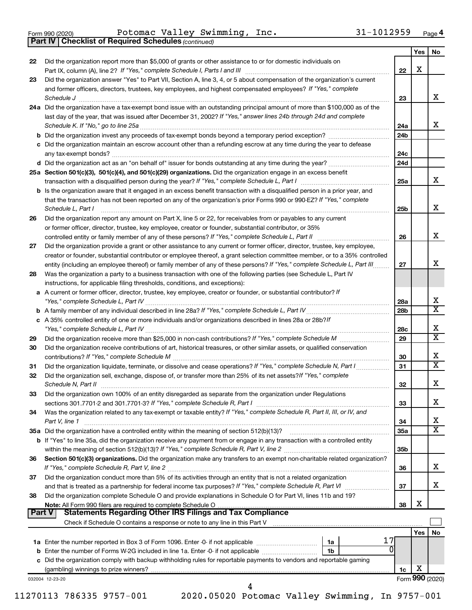**Part IV Checklist of Required Schedules**

Form 990 (2020) POLOMAC VALLEY SWIMMING, INC.  $31-1012959$  Page Potomac Valley Swimming, Inc. 31-1012959

*(continued)*

|        |                                                                                                                              |                 | Yes | No                      |
|--------|------------------------------------------------------------------------------------------------------------------------------|-----------------|-----|-------------------------|
| 22     | Did the organization report more than \$5,000 of grants or other assistance to or for domestic individuals on                |                 |     |                         |
|        |                                                                                                                              | 22              | X   |                         |
| 23     | Did the organization answer "Yes" to Part VII, Section A, line 3, 4, or 5 about compensation of the organization's current   |                 |     |                         |
|        | and former officers, directors, trustees, key employees, and highest compensated employees? If "Yes," complete               |                 |     |                         |
|        | Schedule J <b>Execute Schedule J Execute Schedule J</b>                                                                      | 23              |     | x                       |
|        | 24a Did the organization have a tax-exempt bond issue with an outstanding principal amount of more than \$100,000 as of the  |                 |     |                         |
|        | last day of the year, that was issued after December 31, 2002? If "Yes," answer lines 24b through 24d and complete           |                 |     |                         |
|        |                                                                                                                              | 24a             |     | х                       |
|        |                                                                                                                              | 24 <sub>b</sub> |     |                         |
|        | c Did the organization maintain an escrow account other than a refunding escrow at any time during the year to defease       |                 |     |                         |
|        |                                                                                                                              | 24c             |     |                         |
|        |                                                                                                                              | 24d             |     |                         |
|        | 25a Section 501(c)(3), 501(c)(4), and 501(c)(29) organizations. Did the organization engage in an excess benefit             |                 |     |                         |
|        |                                                                                                                              | 25a             |     | x                       |
|        | b Is the organization aware that it engaged in an excess benefit transaction with a disqualified person in a prior year, and |                 |     |                         |
|        | that the transaction has not been reported on any of the organization's prior Forms 990 or 990-EZ? If "Yes," complete        |                 |     |                         |
|        | Schedule L, Part I                                                                                                           | 25b             |     | х                       |
| 26     | Did the organization report any amount on Part X, line 5 or 22, for receivables from or payables to any current              |                 |     |                         |
|        | or former officer, director, trustee, key employee, creator or founder, substantial contributor, or 35%                      |                 |     |                         |
|        |                                                                                                                              | 26              |     | х                       |
| 27     | Did the organization provide a grant or other assistance to any current or former officer, director, trustee, key employee,  |                 |     |                         |
|        | creator or founder, substantial contributor or employee thereof, a grant selection committee member, or to a 35% controlled  |                 |     |                         |
|        | entity (including an employee thereof) or family member of any of these persons? If "Yes," complete Schedule L, Part III     | 27              |     | x                       |
| 28     | Was the organization a party to a business transaction with one of the following parties (see Schedule L, Part IV            |                 |     |                         |
|        | instructions, for applicable filing thresholds, conditions, and exceptions):                                                 |                 |     |                         |
|        | a A current or former officer, director, trustee, key employee, creator or founder, or substantial contributor? If           |                 |     |                         |
|        |                                                                                                                              | 28a             |     | х                       |
|        |                                                                                                                              | 28b             |     | $\overline{\texttt{x}}$ |
|        | c A 35% controlled entity of one or more individuals and/or organizations described in lines 28a or 28b?If                   |                 |     |                         |
|        |                                                                                                                              | 28c             |     | х                       |
| 29     |                                                                                                                              | 29              |     | $\overline{\text{x}}$   |
| 30     | Did the organization receive contributions of art, historical treasures, or other similar assets, or qualified conservation  |                 |     |                         |
|        |                                                                                                                              | 30              |     | х                       |
| 31     | Did the organization liquidate, terminate, or dissolve and cease operations? If "Yes," complete Schedule N, Part I           | 31              |     | $\overline{\texttt{x}}$ |
| 32     | Did the organization sell, exchange, dispose of, or transfer more than 25% of its net assets? If "Yes," complete             |                 |     |                         |
|        | Schedule N, Part II <b>Market Allen Schedule N, Part II Market Allen Schedule N, Part II</b>                                 | 32              |     | х                       |
| 33     | Did the organization own 100% of an entity disregarded as separate from the organization under Regulations                   |                 |     |                         |
|        |                                                                                                                              | 33              |     | x                       |
| 34     | Was the organization related to any tax-exempt or taxable entity? If "Yes," complete Schedule R, Part II, III, or IV, and    |                 |     |                         |
|        | Part V, line 1                                                                                                               | 34              |     | х                       |
|        | 35a Did the organization have a controlled entity within the meaning of section 512(b)(13)?                                  | 35a             |     | $\overline{\mathbf{X}}$ |
|        | b If "Yes" to line 35a, did the organization receive any payment from or engage in any transaction with a controlled entity  |                 |     |                         |
|        |                                                                                                                              | 35b             |     |                         |
| 36     | Section 501(c)(3) organizations. Did the organization make any transfers to an exempt non-charitable related organization?   |                 |     |                         |
|        |                                                                                                                              | 36              |     | х                       |
| 37     | Did the organization conduct more than 5% of its activities through an entity that is not a related organization             |                 |     |                         |
|        |                                                                                                                              | 37              |     | x                       |
| 38     | Did the organization complete Schedule O and provide explanations in Schedule O for Part VI, lines 11b and 19?               |                 |     |                         |
|        |                                                                                                                              | 38              | х   |                         |
| Part V |                                                                                                                              |                 |     |                         |
|        |                                                                                                                              |                 |     |                         |
|        |                                                                                                                              |                 | Yes | No                      |
|        | 1a                                                                                                                           |                 |     |                         |
|        | 0<br>b Enter the number of Forms W-2G included in line 1a. Enter -0- if not applicable<br>1b                                 |                 |     |                         |
|        | c Did the organization comply with backup withholding rules for reportable payments to vendors and reportable gaming         |                 |     |                         |
|        |                                                                                                                              | 1c              | X   |                         |
|        | 032004 12-23-20                                                                                                              |                 |     | Form 990 (2020)         |
|        | 4                                                                                                                            |                 |     |                         |

11270113 786335 9757-001 2020.05020 Potomac Valley Swimming, In 9757-001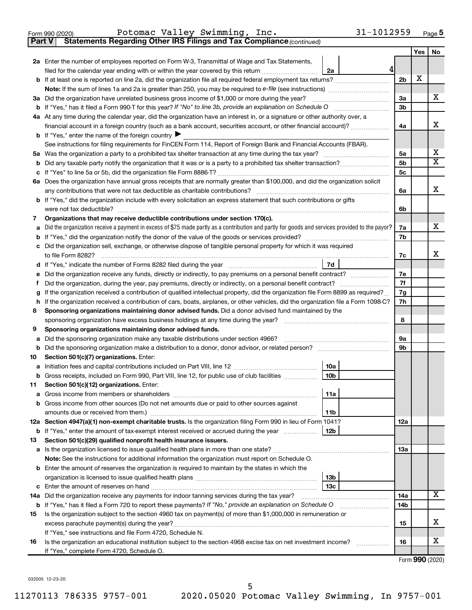|  | Form 990 (2020) |  |
|--|-----------------|--|
|  |                 |  |

**Part V Statements Regarding Other IRS Filings and Tax Compliance**

*(continued)*

|    |                                                                                                                                                                                                                                 |                | Yes | No |  |  |  |  |  |
|----|---------------------------------------------------------------------------------------------------------------------------------------------------------------------------------------------------------------------------------|----------------|-----|----|--|--|--|--|--|
|    | 2a Enter the number of employees reported on Form W-3, Transmittal of Wage and Tax Statements,                                                                                                                                  |                |     |    |  |  |  |  |  |
|    | 4<br>filed for the calendar year ending with or within the year covered by this return <i>manumumumum</i><br>2a                                                                                                                 |                |     |    |  |  |  |  |  |
|    |                                                                                                                                                                                                                                 | 2 <sub>b</sub> | х   |    |  |  |  |  |  |
|    |                                                                                                                                                                                                                                 |                |     |    |  |  |  |  |  |
|    | 3a Did the organization have unrelated business gross income of \$1,000 or more during the year?                                                                                                                                | 3a             |     | х  |  |  |  |  |  |
|    |                                                                                                                                                                                                                                 |                |     |    |  |  |  |  |  |
|    | 4a At any time during the calendar year, did the organization have an interest in, or a signature or other authority over, a                                                                                                    |                |     |    |  |  |  |  |  |
|    | financial account in a foreign country (such as a bank account, securities account, or other financial account)?                                                                                                                | 4a             |     | х  |  |  |  |  |  |
|    | <b>b</b> If "Yes," enter the name of the foreign country $\blacktriangleright$                                                                                                                                                  |                |     |    |  |  |  |  |  |
|    | See instructions for filing requirements for FinCEN Form 114, Report of Foreign Bank and Financial Accounts (FBAR).                                                                                                             |                |     |    |  |  |  |  |  |
|    |                                                                                                                                                                                                                                 | 5a             |     | х  |  |  |  |  |  |
| b  | Did any taxable party notify the organization that it was or is a party to a prohibited tax shelter transaction?                                                                                                                | 5 <sub>b</sub> |     | х  |  |  |  |  |  |
|    |                                                                                                                                                                                                                                 | 5 <sub>c</sub> |     |    |  |  |  |  |  |
|    | 6a Does the organization have annual gross receipts that are normally greater than \$100,000, and did the organization solicit                                                                                                  |                |     |    |  |  |  |  |  |
|    |                                                                                                                                                                                                                                 | 6a             |     | х  |  |  |  |  |  |
|    | <b>b</b> If "Yes," did the organization include with every solicitation an express statement that such contributions or gifts                                                                                                   |                |     |    |  |  |  |  |  |
|    | were not tax deductible?                                                                                                                                                                                                        | 6b             |     |    |  |  |  |  |  |
| 7  | Organizations that may receive deductible contributions under section 170(c).                                                                                                                                                   |                |     | х  |  |  |  |  |  |
| a  | Did the organization receive a payment in excess of \$75 made partly as a contribution and partly for goods and services provided to the payor?                                                                                 | 7a             |     |    |  |  |  |  |  |
|    |                                                                                                                                                                                                                                 | 7b             |     |    |  |  |  |  |  |
|    | c Did the organization sell, exchange, or otherwise dispose of tangible personal property for which it was required                                                                                                             | 7с             |     | x  |  |  |  |  |  |
|    | 7d                                                                                                                                                                                                                              |                |     |    |  |  |  |  |  |
| е  |                                                                                                                                                                                                                                 | 7e             |     |    |  |  |  |  |  |
| f  | Did the organization receive any funds, directly or indirectly, to pay premiums on a personal benefit contract?<br>Did the organization, during the year, pay premiums, directly or indirectly, on a personal benefit contract? |                |     |    |  |  |  |  |  |
| g  | If the organization received a contribution of qualified intellectual property, did the organization file Form 8899 as required?                                                                                                |                |     |    |  |  |  |  |  |
| h  | If the organization received a contribution of cars, boats, airplanes, or other vehicles, did the organization file a Form 1098-C?                                                                                              |                |     |    |  |  |  |  |  |
| 8  | Sponsoring organizations maintaining donor advised funds. Did a donor advised fund maintained by the                                                                                                                            |                |     |    |  |  |  |  |  |
|    |                                                                                                                                                                                                                                 | 8              |     |    |  |  |  |  |  |
| 9  | Sponsoring organizations maintaining donor advised funds.                                                                                                                                                                       |                |     |    |  |  |  |  |  |
| a  | Did the sponsoring organization make any taxable distributions under section 4966?                                                                                                                                              | <b>9a</b>      |     |    |  |  |  |  |  |
| b  |                                                                                                                                                                                                                                 | 9 <sub>b</sub> |     |    |  |  |  |  |  |
| 10 | Section 501(c)(7) organizations. Enter:                                                                                                                                                                                         |                |     |    |  |  |  |  |  |
| a  | 10a                                                                                                                                                                                                                             |                |     |    |  |  |  |  |  |
|    | 10 <sub>b</sub><br>b Gross receipts, included on Form 990, Part VIII, line 12, for public use of club facilities                                                                                                                |                |     |    |  |  |  |  |  |
|    | 11 Section 501(c)(12) organizations. Enter:                                                                                                                                                                                     |                |     |    |  |  |  |  |  |
|    | 11a                                                                                                                                                                                                                             |                |     |    |  |  |  |  |  |
|    | b Gross income from other sources (Do not net amounts due or paid to other sources against                                                                                                                                      |                |     |    |  |  |  |  |  |
|    | 11b                                                                                                                                                                                                                             |                |     |    |  |  |  |  |  |
|    | 12a Section 4947(a)(1) non-exempt charitable trusts. Is the organization filing Form 990 in lieu of Form 1041?                                                                                                                  | <b>12a</b>     |     |    |  |  |  |  |  |
|    | <b>b</b> If "Yes," enter the amount of tax-exempt interest received or accrued during the year<br>12b                                                                                                                           |                |     |    |  |  |  |  |  |
| 13 | Section 501(c)(29) qualified nonprofit health insurance issuers.                                                                                                                                                                |                |     |    |  |  |  |  |  |
|    | a Is the organization licensed to issue qualified health plans in more than one state?                                                                                                                                          | 13a            |     |    |  |  |  |  |  |
|    | Note: See the instructions for additional information the organization must report on Schedule O.                                                                                                                               |                |     |    |  |  |  |  |  |
|    | <b>b</b> Enter the amount of reserves the organization is required to maintain by the states in which the                                                                                                                       |                |     |    |  |  |  |  |  |
|    | 13 <sub>b</sub>                                                                                                                                                                                                                 |                |     |    |  |  |  |  |  |
|    | 13 <sub>c</sub>                                                                                                                                                                                                                 | 14a            |     | x. |  |  |  |  |  |
|    | 14a Did the organization receive any payments for indoor tanning services during the tax year?                                                                                                                                  |                |     |    |  |  |  |  |  |
|    | <b>b</b> If "Yes," has it filed a Form 720 to report these payments? If "No," provide an explanation on Schedule O                                                                                                              | 14b            |     |    |  |  |  |  |  |
| 15 | Is the organization subject to the section 4960 tax on payment(s) of more than \$1,000,000 in remuneration or                                                                                                                   |                |     | x  |  |  |  |  |  |
|    | excess parachute payment(s) during the year?                                                                                                                                                                                    | 15             |     |    |  |  |  |  |  |
| 16 | If "Yes," see instructions and file Form 4720, Schedule N.<br>Is the organization an educational institution subject to the section 4968 excise tax on net investment income?                                                   | 16             |     | x  |  |  |  |  |  |
|    | If "Yes," complete Form 4720, Schedule O.                                                                                                                                                                                       |                |     |    |  |  |  |  |  |
|    |                                                                                                                                                                                                                                 |                |     |    |  |  |  |  |  |

Form (2020) **990**

032005 12-23-20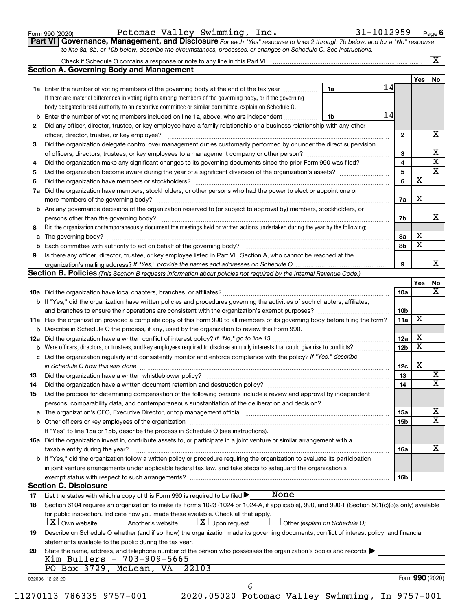Form 990 (2020) Potomac Valley Swimming, Inc.  $31-1012959$  Page

**Part VI** Governance, Management, and Disclosure For each "Yes" response to lines 2 through 7b below, and for a "No" response *to line 8a, 8b, or 10b below, describe the circumstances, processes, or changes on Schedule O. See instructions.*

|     |                                                                                                                                                  |                               |                 |                              | $\overline{\mathbf{x}}$ |
|-----|--------------------------------------------------------------------------------------------------------------------------------------------------|-------------------------------|-----------------|------------------------------|-------------------------|
|     | <b>Section A. Governing Body and Management</b>                                                                                                  |                               |                 |                              |                         |
|     |                                                                                                                                                  |                               |                 | Yes                          | No                      |
|     | 1a Enter the number of voting members of the governing body at the end of the tax year                                                           | 14<br>1a                      |                 |                              |                         |
|     | If there are material differences in voting rights among members of the governing body, or if the governing                                      |                               |                 |                              |                         |
|     | body delegated broad authority to an executive committee or similar committee, explain on Schedule O.                                            |                               |                 |                              |                         |
|     | <b>b</b> Enter the number of voting members included on line 1a, above, who are independent <i>manumum</i>                                       | 14<br>1b                      |                 |                              |                         |
| 2   | Did any officer, director, trustee, or key employee have a family relationship or a business relationship with any other                         |                               |                 |                              |                         |
|     | officer, director, trustee, or key employee?                                                                                                     |                               | $\mathbf{2}$    |                              |                         |
| 3   | Did the organization delegate control over management duties customarily performed by or under the direct supervision                            |                               |                 |                              |                         |
|     |                                                                                                                                                  |                               | 3               |                              |                         |
| 4   | Did the organization make any significant changes to its governing documents since the prior Form 990 was filed?                                 |                               | 4               |                              |                         |
| 5   |                                                                                                                                                  |                               | 5               |                              |                         |
| 6   |                                                                                                                                                  |                               | 6               | $\overline{\mathbf{x}}$      |                         |
| 7a  | Did the organization have members, stockholders, or other persons who had the power to elect or appoint one or                                   |                               |                 |                              |                         |
|     |                                                                                                                                                  |                               | 7a              | Х                            |                         |
|     | <b>b</b> Are any governance decisions of the organization reserved to (or subject to approval by) members, stockholders, or                      |                               |                 |                              |                         |
|     | persons other than the governing body?                                                                                                           |                               | 7b              |                              |                         |
| 8   | Did the organization contemporaneously document the meetings held or written actions undertaken during the year by the following:                |                               |                 |                              |                         |
|     |                                                                                                                                                  |                               | 8a              | X                            |                         |
|     |                                                                                                                                                  |                               | 8b              | $\overline{\textbf{x}}$      |                         |
| 9   | Is there any officer, director, trustee, or key employee listed in Part VII, Section A, who cannot be reached at the                             |                               |                 |                              |                         |
|     |                                                                                                                                                  |                               | 9               |                              |                         |
|     | Section B. Policies (This Section B requests information about policies not required by the Internal Revenue Code.)                              |                               |                 |                              |                         |
|     |                                                                                                                                                  |                               |                 | Yes                          |                         |
|     |                                                                                                                                                  |                               | 10a             |                              |                         |
|     |                                                                                                                                                  |                               |                 |                              |                         |
|     | <b>b</b> If "Yes," did the organization have written policies and procedures governing the activities of such chapters, affiliates,              |                               |                 |                              |                         |
|     | and branches to ensure their operations are consistent with the organization's exempt purposes?                                                  |                               | 10 <sub>b</sub> | X                            |                         |
|     | 11a Has the organization provided a complete copy of this Form 990 to all members of its governing body before filing the form?                  |                               | 11a             |                              |                         |
|     | <b>b</b> Describe in Schedule O the process, if any, used by the organization to review this Form 990.                                           |                               |                 |                              |                         |
| 12a |                                                                                                                                                  |                               | 12a             | х<br>$\overline{\textbf{x}}$ |                         |
| b   |                                                                                                                                                  |                               | 12 <sub>b</sub> |                              |                         |
|     | c Did the organization regularly and consistently monitor and enforce compliance with the policy? If "Yes," describe                             |                               |                 |                              |                         |
|     | in Schedule O how this was done manufactured and continuum and contact the was done manufactured and contact t                                   |                               | 12c             | X                            |                         |
| 13  |                                                                                                                                                  |                               | 13              |                              |                         |
| 14  | Did the organization have a written document retention and destruction policy? [11] manufaction manufaction in                                   |                               | 14              |                              |                         |
| 15  | Did the process for determining compensation of the following persons include a review and approval by independent                               |                               |                 |                              |                         |
|     | persons, comparability data, and contemporaneous substantiation of the deliberation and decision?                                                |                               |                 |                              |                         |
|     |                                                                                                                                                  |                               | <b>15a</b>      |                              |                         |
|     |                                                                                                                                                  |                               | 15b             |                              |                         |
|     | If "Yes" to line 15a or 15b, describe the process in Schedule O (see instructions).                                                              |                               |                 |                              |                         |
|     | 16a Did the organization invest in, contribute assets to, or participate in a joint venture or similar arrangement with a                        |                               |                 |                              |                         |
|     | taxable entity during the year?                                                                                                                  |                               | 16a             |                              |                         |
|     | b If "Yes," did the organization follow a written policy or procedure requiring the organization to evaluate its participation                   |                               |                 |                              |                         |
|     | in joint venture arrangements under applicable federal tax law, and take steps to safeguard the organization's                                   |                               |                 |                              |                         |
|     | exempt status with respect to such arrangements?                                                                                                 |                               | 16b             |                              |                         |
|     | <b>Section C. Disclosure</b>                                                                                                                     |                               |                 |                              |                         |
| 17  | None<br>List the states with which a copy of this Form 990 is required to be filed >                                                             |                               |                 |                              |                         |
| 18  | Section 6104 requires an organization to make its Forms 1023 (1024 or 1024-A, if applicable), 990, and 990-T (Section 501(c)(3)s only) available |                               |                 |                              |                         |
|     | for public inspection. Indicate how you made these available. Check all that apply.<br>$X$ Own website<br>$X$ Upon request<br>Another's website  | Other (explain on Schedule O) |                 |                              |                         |
| 19  | Describe on Schedule O whether (and if so, how) the organization made its governing documents, conflict of interest policy, and financial        |                               |                 |                              |                         |
|     | statements available to the public during the tax year.                                                                                          |                               |                 |                              |                         |
|     |                                                                                                                                                  |                               |                 |                              |                         |
| 20  | State the name, address, and telephone number of the person who possesses the organization's books and records<br>Kim Bullers - 703-909-5665     |                               |                 |                              |                         |
|     | PO Box 3729, McLean, VA<br>22103                                                                                                                 |                               |                 |                              |                         |
|     |                                                                                                                                                  |                               |                 | Form 990 (2020)              |                         |
|     | 032006 12-23-20<br>6                                                                                                                             |                               |                 |                              |                         |
|     | 2020.05020 Potomac Valley Swimming, In 9757-001<br>11270113 786335 9757-001                                                                      |                               |                 |                              |                         |
|     |                                                                                                                                                  |                               |                 |                              |                         |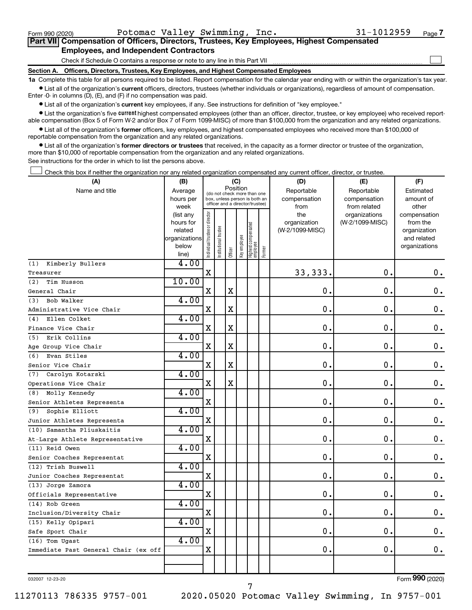$\Box$ 

| Part VII Compensation of Officers, Directors, Trustees, Key Employees, Highest Compensated |
|--------------------------------------------------------------------------------------------|
| <b>Employees, and Independent Contractors</b>                                              |

Check if Schedule O contains a response or note to any line in this Part VII

**Section A. Officers, Directors, Trustees, Key Employees, and Highest Compensated Employees**

**1a**  Complete this table for all persons required to be listed. Report compensation for the calendar year ending with or within the organization's tax year.  $\bullet$  List all of the organization's current officers, directors, trustees (whether individuals or organizations), regardless of amount of compensation.

Enter -0- in columns (D), (E), and (F) if no compensation was paid.

**•** List all of the organization's current key employees, if any. See instructions for definition of "key employee."

• List the organization's five *current* highest compensated employees (other than an officer, director, trustee, or key employee) who received reportable compensation (Box 5 of Form W-2 and/or Box 7 of Form 1099-MISC) of more than \$100,000 from the organization and any related organizations.

 $\bullet$  List all of the organization's former officers, key employees, and highest compensated employees who received more than \$100,000 of reportable compensation from the organization and any related organizations.

**•** List all of the organization's former directors or trustees that received, in the capacity as a former director or trustee of the organization, more than \$10,000 of reportable compensation from the organization and any related organizations.

See instructions for the order in which to list the persons above.

Check this box if neither the organization nor any related organization compensated any current officer, director, or trustee.  $\Box$ 

| (A)                                  | (B)                    | (C)                                     |                                                                  |             |              |                                  |        | (D)                 | (E)                              | (F)                      |  |  |
|--------------------------------------|------------------------|-----------------------------------------|------------------------------------------------------------------|-------------|--------------|----------------------------------|--------|---------------------|----------------------------------|--------------------------|--|--|
| Name and title                       | Average                | Position<br>(do not check more than one |                                                                  |             |              |                                  |        | Reportable          | Reportable                       | Estimated                |  |  |
|                                      | hours per              |                                         | box, unless person is both an<br>officer and a director/trustee) |             |              |                                  |        | compensation        | compensation                     | amount of                |  |  |
|                                      | week                   |                                         |                                                                  |             |              |                                  |        | from                | from related                     | other                    |  |  |
|                                      | (list any<br>hours for |                                         |                                                                  |             |              |                                  |        | the<br>organization | organizations<br>(W-2/1099-MISC) | compensation<br>from the |  |  |
|                                      | related                |                                         | trustee                                                          |             |              |                                  |        | (W-2/1099-MISC)     |                                  | organization             |  |  |
|                                      | organizations          |                                         |                                                                  |             |              |                                  |        |                     |                                  | and related              |  |  |
|                                      | below                  | ndividual trustee or director           | Institutional t                                                  |             | Key employee |                                  |        |                     |                                  | organizations            |  |  |
|                                      | line)                  |                                         |                                                                  | Officer     |              | Highest compensated<br> employee | Former |                     |                                  |                          |  |  |
| Kimberly Bullers<br>(1)              | 4.00                   |                                         |                                                                  |             |              |                                  |        |                     |                                  |                          |  |  |
| Treasurer                            |                        | X                                       |                                                                  |             |              |                                  |        | 33, 333.            | $\mathbf 0$ .                    | 0.                       |  |  |
| Tim Husson<br>(2)                    | 10.00                  |                                         |                                                                  |             |              |                                  |        |                     |                                  |                          |  |  |
| General Chair                        |                        | X                                       |                                                                  | $\mathbf X$ |              |                                  |        | $\mathbf 0$ .       | О.                               | 0.                       |  |  |
| Bob Walker<br>(3)                    | 4.00                   |                                         |                                                                  |             |              |                                  |        |                     |                                  |                          |  |  |
| Administrative Vice Chair            |                        | X                                       |                                                                  | $\mathbf X$ |              |                                  |        | $\mathbf 0$ .       | $\mathbf 0$ .                    | $\mathbf 0$ .            |  |  |
| Ellen Colket<br>(4)                  | 4.00                   |                                         |                                                                  |             |              |                                  |        |                     |                                  |                          |  |  |
| Finance Vice Chair                   |                        | $\mathbf X$                             |                                                                  | $\mathbf X$ |              |                                  |        | 0.                  | $\mathbf 0$ .                    | $0$ .                    |  |  |
| Erik Collins<br>(5)                  | 4.00                   |                                         |                                                                  |             |              |                                  |        |                     |                                  |                          |  |  |
| Age Group Vice Chair                 |                        | $\mathbf X$                             |                                                                  | $\mathbf X$ |              |                                  |        | 0.                  | $\mathbf 0$ .                    | $0$ .                    |  |  |
| Evan Stiles<br>(6)                   | 4.00                   |                                         |                                                                  |             |              |                                  |        |                     |                                  |                          |  |  |
| Senior Vice Chair                    |                        | $\mathbf X$                             |                                                                  | $\mathbf X$ |              |                                  |        | 0.                  | О.                               | $\mathbf 0$ .            |  |  |
| Carolyn Kotarski<br>(7)              | 4.00                   |                                         |                                                                  |             |              |                                  |        |                     |                                  |                          |  |  |
| Operations Vice Chair                |                        | X                                       |                                                                  | $\mathbf x$ |              |                                  |        | 0.                  | $\mathbf 0$ .                    | $\mathbf 0$ .            |  |  |
| Molly Kennedy<br>(8)                 | 4.00                   |                                         |                                                                  |             |              |                                  |        |                     |                                  |                          |  |  |
| Senior Athletes Representa           |                        | $\mathbf X$                             |                                                                  |             |              |                                  |        | 0.                  | $\mathbf 0$ .                    | 0.                       |  |  |
| Sophie Elliott<br>(9)                | 4.00                   |                                         |                                                                  |             |              |                                  |        |                     |                                  |                          |  |  |
| Junior Athletes Representa           |                        | $\mathbf X$                             |                                                                  |             |              |                                  |        | $0$ .               | $\mathbf 0$ .                    | $\mathbf 0$ .            |  |  |
| (10) Samantha Pliuskaitis            | 4.00                   |                                         |                                                                  |             |              |                                  |        |                     |                                  |                          |  |  |
| At-Large Athlete Representative      |                        | X                                       |                                                                  |             |              |                                  |        | $\mathbf 0$ .       | О.                               | 0.                       |  |  |
| (11) Reid Owen                       | 4.00                   |                                         |                                                                  |             |              |                                  |        |                     |                                  |                          |  |  |
| Senior Coaches Representat           |                        | $\mathbf X$                             |                                                                  |             |              |                                  |        | 0.                  | $\mathbf 0$ .                    | $\mathbf 0$ .            |  |  |
| (12) Trish Buswell                   | 4.00                   |                                         |                                                                  |             |              |                                  |        |                     |                                  |                          |  |  |
| Junior Coaches Representat           |                        | $\mathbf X$                             |                                                                  |             |              |                                  |        | 0.                  | О.                               | 0.                       |  |  |
| (13) Jorge Zamora                    | 4.00                   |                                         |                                                                  |             |              |                                  |        |                     |                                  |                          |  |  |
| Officials Representative             |                        | $\mathbf X$                             |                                                                  |             |              |                                  |        | 0.                  | $\mathbf 0$ .                    | $\mathbf 0$ .            |  |  |
| (14) Rob Green                       | 4.00                   |                                         |                                                                  |             |              |                                  |        |                     |                                  |                          |  |  |
| Inclusion/Diversity Chair            |                        | $\mathbf X$                             |                                                                  |             |              |                                  |        | $\mathbf 0$ .       | О.                               | $\mathbf 0$ .            |  |  |
| (15) Kelly Opipari                   | 4.00                   |                                         |                                                                  |             |              |                                  |        |                     |                                  |                          |  |  |
| Safe Sport Chair                     |                        | X                                       |                                                                  |             |              |                                  |        | 0.                  | $\mathbf 0$ .                    | $\mathbf 0$ .            |  |  |
| (16) Tom Ugast                       | 4.00                   |                                         |                                                                  |             |              |                                  |        |                     |                                  |                          |  |  |
| Immediate Past General Chair (ex off |                        | X                                       |                                                                  |             |              |                                  |        | 0.                  | $\mathbf 0$ .                    | 0.                       |  |  |
|                                      |                        |                                         |                                                                  |             |              |                                  |        |                     |                                  |                          |  |  |
|                                      |                        |                                         |                                                                  |             |              |                                  |        |                     |                                  |                          |  |  |

032007 12-23-20

11270113 786335 9757-001 2020.05020 Potomac Valley Swimming, In 9757-001

7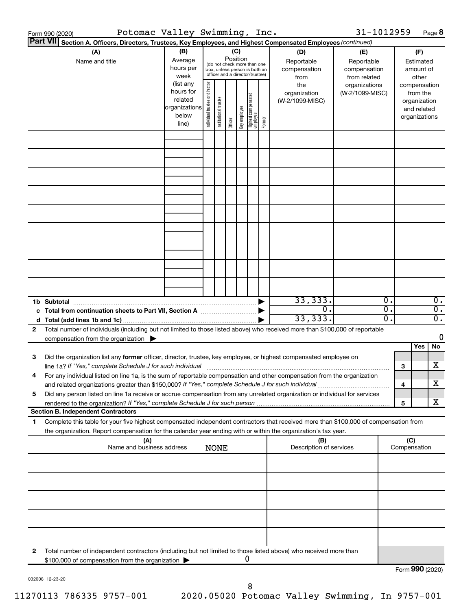|              | Potomac Valley Swimming, Inc.<br>Form 990 (2020)                                                                                                                                                                                |                                                                              |                                |                       |                                                                                 |              |                                 |        |                                                | 31-1012959                                       |                                                        |                             |                                                                                   | Page 8                                        |
|--------------|---------------------------------------------------------------------------------------------------------------------------------------------------------------------------------------------------------------------------------|------------------------------------------------------------------------------|--------------------------------|-----------------------|---------------------------------------------------------------------------------|--------------|---------------------------------|--------|------------------------------------------------|--------------------------------------------------|--------------------------------------------------------|-----------------------------|-----------------------------------------------------------------------------------|-----------------------------------------------|
|              | Part VII <br>Section A. Officers, Directors, Trustees, Key Employees, and Highest Compensated Employees (continued)                                                                                                             |                                                                              |                                |                       |                                                                                 |              |                                 |        |                                                |                                                  |                                                        |                             |                                                                                   |                                               |
|              | (A)<br>Name and title                                                                                                                                                                                                           | (B)<br>Average<br>hours per                                                  |                                |                       | (C)<br>Position<br>(do not check more than one<br>box, unless person is both an |              |                                 |        | (D)<br>Reportable<br>compensation              | (E)<br>Reportable<br>compensation                |                                                        |                             | (F)<br>Estimated<br>amount of                                                     |                                               |
|              |                                                                                                                                                                                                                                 | week<br>(list any<br>hours for<br>related<br>organizations<br>below<br>line) | Individual trustee or director | Institutional trustee | officer and a director/trustee)<br>Officer                                      | Key employee | Highest compensated<br>employee | Former | from<br>the<br>organization<br>(W-2/1099-MISC) | from related<br>organizations<br>(W-2/1099-MISC) |                                                        |                             | other<br>compensation<br>from the<br>organization<br>and related<br>organizations |                                               |
|              |                                                                                                                                                                                                                                 |                                                                              |                                |                       |                                                                                 |              |                                 |        |                                                |                                                  |                                                        |                             |                                                                                   |                                               |
|              |                                                                                                                                                                                                                                 |                                                                              |                                |                       |                                                                                 |              |                                 |        |                                                |                                                  |                                                        |                             |                                                                                   |                                               |
|              |                                                                                                                                                                                                                                 |                                                                              |                                |                       |                                                                                 |              |                                 |        |                                                |                                                  |                                                        |                             |                                                                                   |                                               |
|              |                                                                                                                                                                                                                                 |                                                                              |                                |                       |                                                                                 |              |                                 |        |                                                |                                                  |                                                        |                             |                                                                                   |                                               |
|              |                                                                                                                                                                                                                                 |                                                                              |                                |                       |                                                                                 |              |                                 |        |                                                |                                                  |                                                        |                             |                                                                                   |                                               |
|              |                                                                                                                                                                                                                                 |                                                                              |                                |                       |                                                                                 |              |                                 |        |                                                |                                                  |                                                        |                             |                                                                                   |                                               |
|              |                                                                                                                                                                                                                                 |                                                                              |                                |                       |                                                                                 |              |                                 |        |                                                |                                                  |                                                        |                             |                                                                                   |                                               |
|              | 1b Subtotal<br>c Total from continuation sheets to Part VII, Section A <b>manual</b> Total from $\blacktriangleright$                                                                                                           |                                                                              |                                |                       |                                                                                 |              |                                 |        | 33,333.<br>$\overline{0}$ .<br>33,333.         |                                                  | $\overline{0}$ .<br>$\overline{0}$ .<br>$\mathbf{0}$ . |                             |                                                                                   | $0$ .<br>$\overline{0}$ .<br>$\overline{0}$ . |
| $\mathbf{2}$ | Total number of individuals (including but not limited to those listed above) who received more than \$100,000 of reportable<br>compensation from the organization $\blacktriangleright$                                        |                                                                              |                                |                       |                                                                                 |              |                                 |        |                                                |                                                  |                                                        |                             |                                                                                   | 0                                             |
| 3            | Did the organization list any former officer, director, trustee, key employee, or highest compensated employee on<br>line 1a? If "Yes," complete Schedule J for such individual                                                 |                                                                              |                                |                       |                                                                                 |              |                                 |        |                                                |                                                  |                                                        | 3                           | Yes                                                                               | No<br>x                                       |
| 4            | For any individual listed on line 1a, is the sum of reportable compensation and other compensation from the organization<br>and related organizations greater than \$150,000? If "Yes," complete Schedule J for such individual |                                                                              |                                |                       |                                                                                 |              |                                 |        |                                                |                                                  |                                                        | 4                           |                                                                                   | x                                             |
| 5            | Did any person listed on line 1a receive or accrue compensation from any unrelated organization or individual for services<br><b>Section B. Independent Contractors</b>                                                         |                                                                              |                                |                       |                                                                                 |              |                                 |        |                                                |                                                  |                                                        | 5                           |                                                                                   | x                                             |
| 1            | Complete this table for your five highest compensated independent contractors that received more than \$100,000 of compensation from                                                                                            |                                                                              |                                |                       |                                                                                 |              |                                 |        |                                                |                                                  |                                                        |                             |                                                                                   |                                               |
|              | the organization. Report compensation for the calendar year ending with or within the organization's tax year.<br>(A)<br>Name and business address                                                                              |                                                                              |                                | <b>NONE</b>           |                                                                                 |              |                                 |        | (B)<br>Description of services                 |                                                  |                                                        | (C)<br>Compensation         |                                                                                   |                                               |
|              |                                                                                                                                                                                                                                 |                                                                              |                                |                       |                                                                                 |              |                                 |        |                                                |                                                  |                                                        |                             |                                                                                   |                                               |
|              |                                                                                                                                                                                                                                 |                                                                              |                                |                       |                                                                                 |              |                                 |        |                                                |                                                  |                                                        |                             |                                                                                   |                                               |
|              |                                                                                                                                                                                                                                 |                                                                              |                                |                       |                                                                                 |              |                                 |        |                                                |                                                  |                                                        |                             |                                                                                   |                                               |
|              |                                                                                                                                                                                                                                 |                                                                              |                                |                       |                                                                                 |              |                                 |        |                                                |                                                  |                                                        |                             |                                                                                   |                                               |
| 2            | Total number of independent contractors (including but not limited to those listed above) who received more than<br>\$100,000 of compensation from the organization                                                             |                                                                              |                                |                       |                                                                                 |              | 0                               |        |                                                |                                                  |                                                        |                             |                                                                                   |                                               |
|              |                                                                                                                                                                                                                                 |                                                                              |                                |                       |                                                                                 |              |                                 |        |                                                |                                                  |                                                        | $F_{\text{arm}}$ 000 (2020) |                                                                                   |                                               |

032008 12-23-20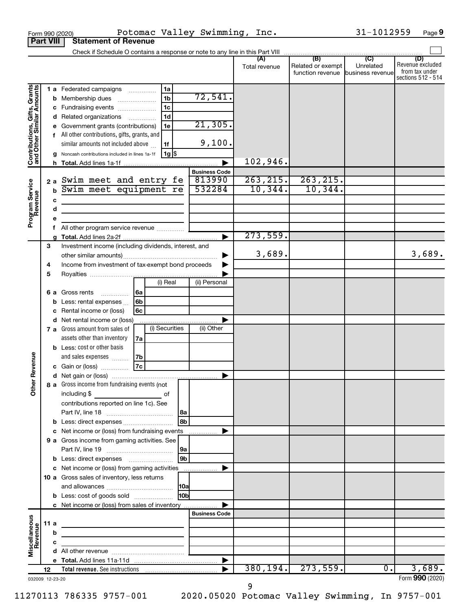| <b>Part VIII</b><br>(D)<br>Unrelated<br>Related or exempt<br>Total revenue<br>function revenue business revenue<br>Contributions, Gifts, Grants<br>and Other Similar Amounts<br>1 a Federated campaigns<br>1a<br>72,541.<br>1 <sub>b</sub><br>Membership dues<br>b<br>1 <sub>c</sub><br>Fundraising events<br>1 <sub>d</sub><br>Related organizations<br>$\ldots \ldots \ldots \ldots$<br>21, 305.<br>Government grants (contributions)<br>1e<br>All other contributions, gifts, grants, and<br>f<br>9,100.<br>similar amounts not included above<br>1f<br>$1g$ \$<br>Noncash contributions included in lines 1a-1f<br>102,946.<br>h.<br><b>Business Code</b><br>263, 215.<br>263, 215.<br>813990<br>Swim meet and entry fe<br>Program Service<br>Revenue<br>2a<br>10, 344.<br>10,344.<br>532284<br>Swim meet equipment re<br>$\mathbf b$<br>c<br>the control of the control of the control of the control of the control of<br>d<br>the control of the control of the control of the control of<br>е<br>f<br>273,559.<br>ь<br>3<br>Investment income (including dividends, interest, and<br>3,689.<br>Income from investment of tax-exempt bond proceeds<br>4<br>5<br>(i) Real<br>(ii) Personal<br>Gross rents<br>  6a<br>6а<br>.<br>6b<br>Less: rental expenses<br>Rental income or (loss)<br>6c<br>Net rental income or (loss)<br>d<br>(i) Securities<br>(ii) Other<br>7 a Gross amount from sales of<br>assets other than inventory<br>7a<br><b>b</b> Less: cost or other basis<br>evenue<br>and sales expenses<br>7b<br><b>7c</b><br>c Gain or (loss)<br>Œ<br>Other<br>8 a Gross income from fundraising events (not<br>including \$<br>of<br>contributions reported on line 1c). See<br>l8a<br><b>8h</b><br>c Net income or (loss) from fundraising events<br>.<br>9 a Gross income from gaming activities. See<br> 9a<br>9 <sub>b</sub><br>10 a Gross sales of inventory, less returns<br>10 <sub>b</sub><br><b>b</b> Less: cost of goods sold<br>c Net income or (loss) from sales of inventory<br><b>Business Code</b><br>Miscellaneous<br>Revenue<br>11a<br>the control of the control of the control of the control of the control of<br>b<br><u> 1989 - Johann Barn, mars ann an t-Amhain ann an t-Amhain an t-Amhain an t-Amhain an t-Amhain an t-Amhain an t-</u><br>c<br>the control of the control of the control of the control of<br>380, 194.<br>3,689.<br>273,559.<br>$0$ .<br>12 |  | Potomac Valley Swimming, Inc.<br>Form 990 (2020) |  |  | 31-1012959 | Page 9                                                   |
|-------------------------------------------------------------------------------------------------------------------------------------------------------------------------------------------------------------------------------------------------------------------------------------------------------------------------------------------------------------------------------------------------------------------------------------------------------------------------------------------------------------------------------------------------------------------------------------------------------------------------------------------------------------------------------------------------------------------------------------------------------------------------------------------------------------------------------------------------------------------------------------------------------------------------------------------------------------------------------------------------------------------------------------------------------------------------------------------------------------------------------------------------------------------------------------------------------------------------------------------------------------------------------------------------------------------------------------------------------------------------------------------------------------------------------------------------------------------------------------------------------------------------------------------------------------------------------------------------------------------------------------------------------------------------------------------------------------------------------------------------------------------------------------------------------------------------------------------------------------------------------------------------------------------------------------------------------------------------------------------------------------------------------------------------------------------------------------------------------------------------------------------------------------------------------------------------------------------------------------------------------------------------------------------------------------------------------------------------------------------------------------------------------|--|--------------------------------------------------|--|--|------------|----------------------------------------------------------|
|                                                                                                                                                                                                                                                                                                                                                                                                                                                                                                                                                                                                                                                                                                                                                                                                                                                                                                                                                                                                                                                                                                                                                                                                                                                                                                                                                                                                                                                                                                                                                                                                                                                                                                                                                                                                                                                                                                                                                                                                                                                                                                                                                                                                                                                                                                                                                                                                       |  | <b>Statement of Revenue</b>                      |  |  |            |                                                          |
|                                                                                                                                                                                                                                                                                                                                                                                                                                                                                                                                                                                                                                                                                                                                                                                                                                                                                                                                                                                                                                                                                                                                                                                                                                                                                                                                                                                                                                                                                                                                                                                                                                                                                                                                                                                                                                                                                                                                                                                                                                                                                                                                                                                                                                                                                                                                                                                                       |  |                                                  |  |  |            |                                                          |
|                                                                                                                                                                                                                                                                                                                                                                                                                                                                                                                                                                                                                                                                                                                                                                                                                                                                                                                                                                                                                                                                                                                                                                                                                                                                                                                                                                                                                                                                                                                                                                                                                                                                                                                                                                                                                                                                                                                                                                                                                                                                                                                                                                                                                                                                                                                                                                                                       |  |                                                  |  |  |            | Revenue excluded<br>from tax under<br>sections 512 - 514 |
|                                                                                                                                                                                                                                                                                                                                                                                                                                                                                                                                                                                                                                                                                                                                                                                                                                                                                                                                                                                                                                                                                                                                                                                                                                                                                                                                                                                                                                                                                                                                                                                                                                                                                                                                                                                                                                                                                                                                                                                                                                                                                                                                                                                                                                                                                                                                                                                                       |  |                                                  |  |  |            |                                                          |
|                                                                                                                                                                                                                                                                                                                                                                                                                                                                                                                                                                                                                                                                                                                                                                                                                                                                                                                                                                                                                                                                                                                                                                                                                                                                                                                                                                                                                                                                                                                                                                                                                                                                                                                                                                                                                                                                                                                                                                                                                                                                                                                                                                                                                                                                                                                                                                                                       |  |                                                  |  |  |            |                                                          |
|                                                                                                                                                                                                                                                                                                                                                                                                                                                                                                                                                                                                                                                                                                                                                                                                                                                                                                                                                                                                                                                                                                                                                                                                                                                                                                                                                                                                                                                                                                                                                                                                                                                                                                                                                                                                                                                                                                                                                                                                                                                                                                                                                                                                                                                                                                                                                                                                       |  |                                                  |  |  |            |                                                          |
|                                                                                                                                                                                                                                                                                                                                                                                                                                                                                                                                                                                                                                                                                                                                                                                                                                                                                                                                                                                                                                                                                                                                                                                                                                                                                                                                                                                                                                                                                                                                                                                                                                                                                                                                                                                                                                                                                                                                                                                                                                                                                                                                                                                                                                                                                                                                                                                                       |  |                                                  |  |  |            | 3,689.                                                   |
|                                                                                                                                                                                                                                                                                                                                                                                                                                                                                                                                                                                                                                                                                                                                                                                                                                                                                                                                                                                                                                                                                                                                                                                                                                                                                                                                                                                                                                                                                                                                                                                                                                                                                                                                                                                                                                                                                                                                                                                                                                                                                                                                                                                                                                                                                                                                                                                                       |  |                                                  |  |  |            |                                                          |
|                                                                                                                                                                                                                                                                                                                                                                                                                                                                                                                                                                                                                                                                                                                                                                                                                                                                                                                                                                                                                                                                                                                                                                                                                                                                                                                                                                                                                                                                                                                                                                                                                                                                                                                                                                                                                                                                                                                                                                                                                                                                                                                                                                                                                                                                                                                                                                                                       |  |                                                  |  |  |            |                                                          |
|                                                                                                                                                                                                                                                                                                                                                                                                                                                                                                                                                                                                                                                                                                                                                                                                                                                                                                                                                                                                                                                                                                                                                                                                                                                                                                                                                                                                                                                                                                                                                                                                                                                                                                                                                                                                                                                                                                                                                                                                                                                                                                                                                                                                                                                                                                                                                                                                       |  |                                                  |  |  |            |                                                          |
|                                                                                                                                                                                                                                                                                                                                                                                                                                                                                                                                                                                                                                                                                                                                                                                                                                                                                                                                                                                                                                                                                                                                                                                                                                                                                                                                                                                                                                                                                                                                                                                                                                                                                                                                                                                                                                                                                                                                                                                                                                                                                                                                                                                                                                                                                                                                                                                                       |  |                                                  |  |  |            |                                                          |
|                                                                                                                                                                                                                                                                                                                                                                                                                                                                                                                                                                                                                                                                                                                                                                                                                                                                                                                                                                                                                                                                                                                                                                                                                                                                                                                                                                                                                                                                                                                                                                                                                                                                                                                                                                                                                                                                                                                                                                                                                                                                                                                                                                                                                                                                                                                                                                                                       |  |                                                  |  |  |            |                                                          |
|                                                                                                                                                                                                                                                                                                                                                                                                                                                                                                                                                                                                                                                                                                                                                                                                                                                                                                                                                                                                                                                                                                                                                                                                                                                                                                                                                                                                                                                                                                                                                                                                                                                                                                                                                                                                                                                                                                                                                                                                                                                                                                                                                                                                                                                                                                                                                                                                       |  |                                                  |  |  |            |                                                          |
|                                                                                                                                                                                                                                                                                                                                                                                                                                                                                                                                                                                                                                                                                                                                                                                                                                                                                                                                                                                                                                                                                                                                                                                                                                                                                                                                                                                                                                                                                                                                                                                                                                                                                                                                                                                                                                                                                                                                                                                                                                                                                                                                                                                                                                                                                                                                                                                                       |  |                                                  |  |  |            |                                                          |
|                                                                                                                                                                                                                                                                                                                                                                                                                                                                                                                                                                                                                                                                                                                                                                                                                                                                                                                                                                                                                                                                                                                                                                                                                                                                                                                                                                                                                                                                                                                                                                                                                                                                                                                                                                                                                                                                                                                                                                                                                                                                                                                                                                                                                                                                                                                                                                                                       |  |                                                  |  |  |            |                                                          |
|                                                                                                                                                                                                                                                                                                                                                                                                                                                                                                                                                                                                                                                                                                                                                                                                                                                                                                                                                                                                                                                                                                                                                                                                                                                                                                                                                                                                                                                                                                                                                                                                                                                                                                                                                                                                                                                                                                                                                                                                                                                                                                                                                                                                                                                                                                                                                                                                       |  |                                                  |  |  |            |                                                          |
|                                                                                                                                                                                                                                                                                                                                                                                                                                                                                                                                                                                                                                                                                                                                                                                                                                                                                                                                                                                                                                                                                                                                                                                                                                                                                                                                                                                                                                                                                                                                                                                                                                                                                                                                                                                                                                                                                                                                                                                                                                                                                                                                                                                                                                                                                                                                                                                                       |  |                                                  |  |  |            |                                                          |
|                                                                                                                                                                                                                                                                                                                                                                                                                                                                                                                                                                                                                                                                                                                                                                                                                                                                                                                                                                                                                                                                                                                                                                                                                                                                                                                                                                                                                                                                                                                                                                                                                                                                                                                                                                                                                                                                                                                                                                                                                                                                                                                                                                                                                                                                                                                                                                                                       |  |                                                  |  |  |            |                                                          |
|                                                                                                                                                                                                                                                                                                                                                                                                                                                                                                                                                                                                                                                                                                                                                                                                                                                                                                                                                                                                                                                                                                                                                                                                                                                                                                                                                                                                                                                                                                                                                                                                                                                                                                                                                                                                                                                                                                                                                                                                                                                                                                                                                                                                                                                                                                                                                                                                       |  |                                                  |  |  |            |                                                          |
|                                                                                                                                                                                                                                                                                                                                                                                                                                                                                                                                                                                                                                                                                                                                                                                                                                                                                                                                                                                                                                                                                                                                                                                                                                                                                                                                                                                                                                                                                                                                                                                                                                                                                                                                                                                                                                                                                                                                                                                                                                                                                                                                                                                                                                                                                                                                                                                                       |  |                                                  |  |  |            |                                                          |
|                                                                                                                                                                                                                                                                                                                                                                                                                                                                                                                                                                                                                                                                                                                                                                                                                                                                                                                                                                                                                                                                                                                                                                                                                                                                                                                                                                                                                                                                                                                                                                                                                                                                                                                                                                                                                                                                                                                                                                                                                                                                                                                                                                                                                                                                                                                                                                                                       |  |                                                  |  |  |            |                                                          |
|                                                                                                                                                                                                                                                                                                                                                                                                                                                                                                                                                                                                                                                                                                                                                                                                                                                                                                                                                                                                                                                                                                                                                                                                                                                                                                                                                                                                                                                                                                                                                                                                                                                                                                                                                                                                                                                                                                                                                                                                                                                                                                                                                                                                                                                                                                                                                                                                       |  |                                                  |  |  |            |                                                          |
|                                                                                                                                                                                                                                                                                                                                                                                                                                                                                                                                                                                                                                                                                                                                                                                                                                                                                                                                                                                                                                                                                                                                                                                                                                                                                                                                                                                                                                                                                                                                                                                                                                                                                                                                                                                                                                                                                                                                                                                                                                                                                                                                                                                                                                                                                                                                                                                                       |  |                                                  |  |  |            |                                                          |
|                                                                                                                                                                                                                                                                                                                                                                                                                                                                                                                                                                                                                                                                                                                                                                                                                                                                                                                                                                                                                                                                                                                                                                                                                                                                                                                                                                                                                                                                                                                                                                                                                                                                                                                                                                                                                                                                                                                                                                                                                                                                                                                                                                                                                                                                                                                                                                                                       |  |                                                  |  |  |            |                                                          |
|                                                                                                                                                                                                                                                                                                                                                                                                                                                                                                                                                                                                                                                                                                                                                                                                                                                                                                                                                                                                                                                                                                                                                                                                                                                                                                                                                                                                                                                                                                                                                                                                                                                                                                                                                                                                                                                                                                                                                                                                                                                                                                                                                                                                                                                                                                                                                                                                       |  |                                                  |  |  |            |                                                          |
| 032009 12-23-20                                                                                                                                                                                                                                                                                                                                                                                                                                                                                                                                                                                                                                                                                                                                                                                                                                                                                                                                                                                                                                                                                                                                                                                                                                                                                                                                                                                                                                                                                                                                                                                                                                                                                                                                                                                                                                                                                                                                                                                                                                                                                                                                                                                                                                                                                                                                                                                       |  |                                                  |  |  |            | Form 990 (2020)                                          |

31-1012959 Page 9

9

11270113 786335 9757-001 2020.05020 Potomac Valley Swimming, In 9757-001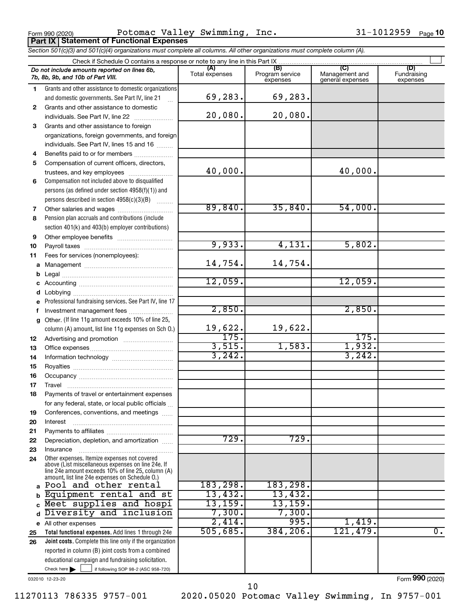Form 990 (2020) Potomac Valley Swimming, Inc.  $31-1012959$  Page **Part IX Statement of Functional Expenses**

|          | Section 501(c)(3) and 501(c)(4) organizations must complete all columns. All other organizations must complete column (A).                                 |                       |                                    |                                           |                                |
|----------|------------------------------------------------------------------------------------------------------------------------------------------------------------|-----------------------|------------------------------------|-------------------------------------------|--------------------------------|
|          | Check if Schedule O contains a response or note to any line in this Part IX                                                                                |                       |                                    |                                           |                                |
|          | Do not include amounts reported on lines 6b,<br>7b, 8b, 9b, and 10b of Part VIII.                                                                          | (A)<br>Total expenses | (B)<br>Program service<br>expenses | (C)<br>Management and<br>general expenses | (D)<br>Fundraising<br>expenses |
| 1.       | Grants and other assistance to domestic organizations<br>and domestic governments. See Part IV, line 21                                                    | 69,283.               | 69,283.                            |                                           |                                |
| 2        | Grants and other assistance to domestic                                                                                                                    |                       |                                    |                                           |                                |
|          | individuals. See Part IV, line 22                                                                                                                          | 20,080.               | 20,080.                            |                                           |                                |
| 3        | Grants and other assistance to foreign                                                                                                                     |                       |                                    |                                           |                                |
|          | organizations, foreign governments, and foreign                                                                                                            |                       |                                    |                                           |                                |
|          | individuals. See Part IV, lines 15 and 16                                                                                                                  |                       |                                    |                                           |                                |
| 4        | Benefits paid to or for members                                                                                                                            |                       |                                    |                                           |                                |
| 5        | Compensation of current officers, directors,                                                                                                               | 40,000.               |                                    | 40,000.                                   |                                |
|          | Compensation not included above to disqualified                                                                                                            |                       |                                    |                                           |                                |
| 6        | persons (as defined under section 4958(f)(1)) and                                                                                                          |                       |                                    |                                           |                                |
|          | persons described in section 4958(c)(3)(B)                                                                                                                 |                       |                                    |                                           |                                |
| 7        |                                                                                                                                                            | 89,840.               | 35,840.                            | 54,000.                                   |                                |
| 8        | Pension plan accruals and contributions (include                                                                                                           |                       |                                    |                                           |                                |
|          | section 401(k) and 403(b) employer contributions)                                                                                                          |                       |                                    |                                           |                                |
| 9        |                                                                                                                                                            |                       |                                    |                                           |                                |
| 10       |                                                                                                                                                            | 9,933.                | 4,131.                             | 5,802.                                    |                                |
| 11       | Fees for services (nonemployees):                                                                                                                          |                       |                                    |                                           |                                |
| а        |                                                                                                                                                            | 14,754.               | 14,754.                            |                                           |                                |
| b        |                                                                                                                                                            |                       |                                    |                                           |                                |
| с        |                                                                                                                                                            | 12,059.               |                                    | 12,059.                                   |                                |
| d        |                                                                                                                                                            |                       |                                    |                                           |                                |
| е        | Professional fundraising services. See Part IV, line 17                                                                                                    |                       |                                    |                                           |                                |
| f        | Investment management fees                                                                                                                                 | 2,850.                |                                    | 2,850.                                    |                                |
| g        | Other. (If line 11g amount exceeds 10% of line 25,                                                                                                         | 19,622.               | 19,622.                            |                                           |                                |
|          | column (A) amount, list line 11g expenses on Sch O.)                                                                                                       | 175.                  |                                    | 175.                                      |                                |
| 12<br>13 |                                                                                                                                                            | 3,515.                | 1,583.                             | 1,932.                                    |                                |
| 14       |                                                                                                                                                            | 3,242.                |                                    | 3,242.                                    |                                |
| 15       |                                                                                                                                                            |                       |                                    |                                           |                                |
| 16       |                                                                                                                                                            |                       |                                    |                                           |                                |
| 17       |                                                                                                                                                            |                       |                                    |                                           |                                |
| 18       | Payments of travel or entertainment expenses                                                                                                               |                       |                                    |                                           |                                |
|          | for any federal, state, or local public officials                                                                                                          |                       |                                    |                                           |                                |
| 19       | Conferences, conventions, and meetings                                                                                                                     |                       |                                    |                                           |                                |
| 20       | Interest                                                                                                                                                   |                       |                                    |                                           |                                |
| 21       |                                                                                                                                                            |                       |                                    |                                           |                                |
| 22       | Depreciation, depletion, and amortization                                                                                                                  | 729.                  | 729.                               |                                           |                                |
| 23       | Insurance<br>Other expenses. Itemize expenses not covered                                                                                                  |                       |                                    |                                           |                                |
| 24       | above (List miscellaneous expenses on line 24e. If<br>line 24e amount exceeds 10% of line 25, column (A)<br>amount, list line 24e expenses on Schedule O.) |                       |                                    |                                           |                                |
| a        | Pool and other rental                                                                                                                                      | 183,298.              | 183,298.                           |                                           |                                |
| b        | Equipment rental and st                                                                                                                                    | 13,432.               | 13,432.                            |                                           |                                |
| C        | Meet supplies and hospi                                                                                                                                    | 13, 159.              | 13,159.                            |                                           |                                |
|          | Diversity and inclusion                                                                                                                                    | 7,300.                | 7,300.                             |                                           |                                |
| е        | All other expenses                                                                                                                                         | 2,414.                | 995.                               | 1,419.                                    |                                |
| 25       | Total functional expenses. Add lines 1 through 24e                                                                                                         | 505,685.              | 384, 206.                          | 121,479.                                  | $\overline{\mathfrak{0}}$ .    |
| 26       | Joint costs. Complete this line only if the organization                                                                                                   |                       |                                    |                                           |                                |
|          | reported in column (B) joint costs from a combined<br>educational campaign and fundraising solicitation.                                                   |                       |                                    |                                           |                                |
|          |                                                                                                                                                            |                       |                                    |                                           |                                |

032010 12-23-20

Check here

Form (2020) **990**

11270113 786335 9757-001 2020.05020 Potomac Valley Swimming, In 9757-001

 $\Box$ 

if following SOP 98-2 (ASC 958-720)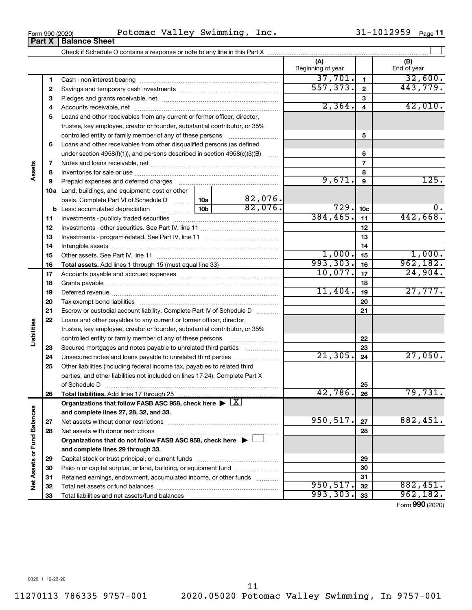**24 25**

**Liabilities**

**Assets**

**26**

**27 28**

**Net Assets or Fund Balances**

Net Assets or Fund Balances

Secured mortgages and notes payable to unrelated third parties  $\ldots$ ................. Unsecured notes and loans payable to unrelated third parties ~~~~~~~~ 82,076.  $21,305.$   $24$   $27,050.$ 

**Total liabilities.**  Add lines 17 through 25

Net assets without donor restrictions ~~~~~~~~~~~~~~~~~~~~ Net assets with donor restrictions ~~~~~~~~~~~~~~~~~~~~~~

Capital stock or trust principal, or current funds ~~~~~~~~~~~~~~~ Paid-in or capital surplus, or land, building, or equipment fund ....................... Retained earnings, endowment, accumulated income, or other funds ............ Total net assets or fund balances ~~~~~~~~~~~~~~~~~~~~~~

**Organizations that do not follow FASB ASC 958, check here** | †

Organizations that follow FASB ASC 958, check here  $\blacktriangleright \boxed{\text{X}}$ 

Other liabilities (including federal income tax, payables to related third parties, and other liabilities not included on lines 17-24). Complete Part X of Schedule D ~~~~~~~~~~~~~~~~~~~~~~~~~~~~~~~

**and complete lines 27, 28, 32, and 33.**

**and complete lines 29 through 33.**

Total liabilities and net assets/fund balances ...

**1 2 3 4** Accounts receivable, net ~~~~~~~~~~~~~~~~~~~~~~~~~~ **5** Loans and other receivables from any current or former officer, director, **6 7 8 9 10 a** Land, buildings, and equipment: cost or other **11 12** Investments - other securities. See Part IV, line 11 ~~~~~~~~~~~~~~ **13** Investments - program-related. See Part IV, line 11 ~~~~~~~~~~~~~ **14 15 16 17 18 19 20 21 22 23 1 2 3 4 5 6 7 8 9 10c 11 12 13 14 15 16 17 18 19 20 21 22 23 b** Less: accumulated depreciation  $\ldots$  [10b basis. Complete Part VI of Schedule D  $\frac{1}{10}$  10a **Total assets.**  Add lines 1 through 15 (must equal line 33) Beginning of year | | End of year Cash - non-interest-bearing ~~~~~~~~~~~~~~~~~~~~~~~~~ Savings and temporary cash investments ~~~~~~~~~~~~~~~~~~ Pledges and grants receivable, net ~~~~~~~~~~~~~~~~~~~~~ trustee, key employee, creator or founder, substantial contributor, or 35% controlled entity or family member of any of these persons  $\ldots$ ........................ Loans and other receivables from other disqualified persons (as defined under section 4958(f)(1)), and persons described in section  $4958(c)(3)(B)$  ...... Notes and loans receivable, net ~~~~~~~~~~~~~~~~~~~~~~~ Inventories for sale or use ~~~~~~~~~~~~~~~~~~~~~~~~~~ Prepaid expenses and deferred charges ~~~~~~~~~~~~~~~~~~ Investments - publicly traded securities ~~~~~~~~~~~~~~~~~~~ Intangible assets ~~~~~~~~~~~~~~~~~~~~~~~~~~~~~~ Other assets. See Part IV, line 11 ~~~~~~~~~~~~~~~~~~~~~~ Accounts payable and accrued expenses ~~~~~~~~~~~~~~~~~~ Grants payable ~~~~~~~~~~~~~~~~~~~~~~~~~~~~~~~ Deferred revenue ~~~~~~~~~~~~~~~~~~~~~~~~~~~~~~ Tax-exempt bond liabilities ~~~~~~~~~~~~~~~~~~~~~~~~~ Escrow or custodial account liability. Complete Part IV of Schedule D ........... Loans and other payables to any current or former officer, director, trustee, key employee, creator or founder, substantial contributor, or 35% controlled entity or family member of any of these persons ~~~~~~~~~ 37,701. 32,600. 557,373. 443,779.  $2,364. 4$   $42,010.$  $9,671.$  |  $9$  |  $125.$  $82,076.$   $729.$   $10c$  0. 384,465. 442,668.  $1,000$ .  $1,000$ . 993,303. 16 962,182. 10,077. 24,904. 11,404. 27,777.

Form 990 (2020) Potomac Valley Swimming, Inc.  $31-1012959$  Page Check if Schedule O contains a response or note to any line in this Part X  $\perp$ 

**(A) (B)**

**24**

**25 26**

42,786. 79,731.

 $950, 517$ .  $27$  882, 451.

 $950, 517.$   $32 \mid 882, 451.$ 993,303. 962,182.

**27 28**

Form (2020) **990**

**Part X** | **Balance Sheet** 

31-1012959 Page 11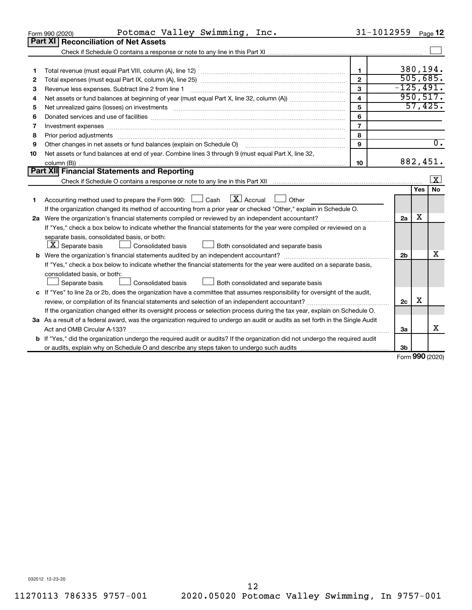|    | Potomac Valley Swimming, Inc.<br>Form 990 (2020)                                                                                                                                                                               | 31-1012959              |                |     | Page 12                 |
|----|--------------------------------------------------------------------------------------------------------------------------------------------------------------------------------------------------------------------------------|-------------------------|----------------|-----|-------------------------|
|    | Part XI   Reconciliation of Net Assets                                                                                                                                                                                         |                         |                |     |                         |
|    |                                                                                                                                                                                                                                |                         |                |     |                         |
|    |                                                                                                                                                                                                                                |                         |                |     |                         |
| 1  |                                                                                                                                                                                                                                | $\mathbf{1}$            |                |     | 380,194.                |
| 2  |                                                                                                                                                                                                                                | $\overline{2}$          | 505,685.       |     |                         |
| З  | Revenue less expenses. Subtract line 2 from line 1                                                                                                                                                                             | 3                       | $-125,491.$    |     |                         |
| 4  |                                                                                                                                                                                                                                | $\overline{\mathbf{4}}$ |                |     | 950, 517.               |
| 5  | Net unrealized gains (losses) on investments [11] matter than the control of the state of the state of the state of the state of the state of the state of the state of the state of the state of the state of the state of th | 5                       |                |     | 57,425.                 |
| 6  | Donated services and use of facilities [[111] matter contracts and use of facilities [[11] matter contracts and use of facilities [[11] matter contracts and use of facilities [[11] matter contracts and a service contract o | 6                       |                |     |                         |
| 7  |                                                                                                                                                                                                                                | $\overline{7}$          |                |     |                         |
| 8  | Prior period adjustments material contents and content and content and content and content and content and content and content and content and content and content and content and content and content and content and content | 8                       |                |     |                         |
| 9  | Other changes in net assets or fund balances (explain on Schedule O)                                                                                                                                                           | 9                       |                |     | $\overline{0}$ .        |
| 10 | Net assets or fund balances at end of year. Combine lines 3 through 9 (must equal Part X, line 32,                                                                                                                             |                         |                |     |                         |
|    |                                                                                                                                                                                                                                | 10                      |                |     | 882,451.                |
|    | Part XII Financial Statements and Reporting                                                                                                                                                                                    |                         |                |     |                         |
|    |                                                                                                                                                                                                                                |                         |                |     | $\overline{\mathbf{X}}$ |
| 1  | $\lfloor \mathbf{X} \rfloor$ Accrual<br>Accounting method used to prepare the Form 990: [130] Cash<br>Other<br><b>Contract</b>                                                                                                 |                         |                | Yes | No                      |
|    | If the organization changed its method of accounting from a prior year or checked "Other," explain in Schedule O.                                                                                                              |                         |                |     |                         |
|    | 2a Were the organization's financial statements compiled or reviewed by an independent accountant?                                                                                                                             |                         | 2a             | x   |                         |
|    | If "Yes," check a box below to indicate whether the financial statements for the year were compiled or reviewed on a                                                                                                           |                         |                |     |                         |
|    | separate basis, consolidated basis, or both:                                                                                                                                                                                   |                         |                |     |                         |
|    | $ \mathbf{X} $ Separate basis<br>Consolidated basis<br>Both consolidated and separate basis                                                                                                                                    |                         |                |     |                         |
|    |                                                                                                                                                                                                                                |                         | 2 <sub>b</sub> |     | x                       |
|    | If "Yes," check a box below to indicate whether the financial statements for the year were audited on a separate basis,                                                                                                        |                         |                |     |                         |
|    | consolidated basis, or both:                                                                                                                                                                                                   |                         |                |     |                         |
|    | Consolidated basis<br>Both consolidated and separate basis<br>Separate basis                                                                                                                                                   |                         |                |     |                         |
|    | c If "Yes" to line 2a or 2b, does the organization have a committee that assumes responsibility for oversight of the audit,                                                                                                    |                         |                |     |                         |
|    |                                                                                                                                                                                                                                |                         | 2 <sub>c</sub> | х   |                         |
|    | If the organization changed either its oversight process or selection process during the tax year, explain on Schedule O.                                                                                                      |                         |                |     |                         |
|    | 3a As a result of a federal award, was the organization required to undergo an audit or audits as set forth in the Single Audit                                                                                                |                         |                |     |                         |
|    |                                                                                                                                                                                                                                |                         | За             |     | X                       |
|    | <b>b</b> If "Yes," did the organization undergo the required audit or audits? If the organization did not undergo the required audit                                                                                           |                         |                |     |                         |
|    |                                                                                                                                                                                                                                |                         | 3b             |     |                         |
|    |                                                                                                                                                                                                                                |                         |                |     | $000$ (2020)            |

Form (2020) **990**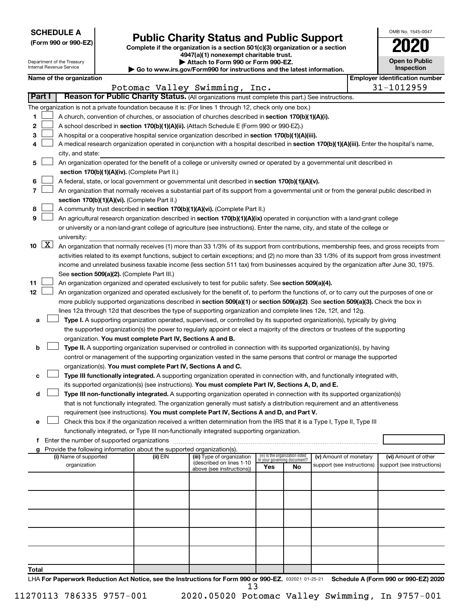**SCHEDULE A**

# **Public Charity Status and Public Support**

**(Form 990 or 990-EZ) Complete if the organization is a section 501(c)(3) organization or a section**

**4947(a)(1) nonexempt charitable trust. | Attach to Form 990 or Form 990-EZ.** 

|    | <b>Open to Public</b><br>Inspection |
|----|-------------------------------------|
| er | identification numbe                |

OMB No. 1545-0047

|    |                                                                                                                                       | Department of the Treasury<br>Internal Revenue Service                                                                                                                                                                                                                                   |  |                                                                                    | Attach to Form 990 or Form 990-EZ.<br>Go to www.irs.gov/Form990 for instructions and the latest information.                                                                                                                                                    |      |                                 |                            |  | <b>Open to Public</b><br>Inspection   |
|----|---------------------------------------------------------------------------------------------------------------------------------------|------------------------------------------------------------------------------------------------------------------------------------------------------------------------------------------------------------------------------------------------------------------------------------------|--|------------------------------------------------------------------------------------|-----------------------------------------------------------------------------------------------------------------------------------------------------------------------------------------------------------------------------------------------------------------|------|---------------------------------|----------------------------|--|---------------------------------------|
|    |                                                                                                                                       | Name of the organization                                                                                                                                                                                                                                                                 |  |                                                                                    |                                                                                                                                                                                                                                                                 |      |                                 |                            |  | <b>Employer identification number</b> |
|    |                                                                                                                                       |                                                                                                                                                                                                                                                                                          |  | Potomac Valley Swimming,                                                           |                                                                                                                                                                                                                                                                 | Inc. |                                 |                            |  | 31-1012959                            |
|    | Part I                                                                                                                                |                                                                                                                                                                                                                                                                                          |  |                                                                                    | Reason for Public Charity Status. (All organizations must complete this part.) See instructions.                                                                                                                                                                |      |                                 |                            |  |                                       |
|    |                                                                                                                                       |                                                                                                                                                                                                                                                                                          |  |                                                                                    | The organization is not a private foundation because it is: (For lines 1 through 12, check only one box.)                                                                                                                                                       |      |                                 |                            |  |                                       |
| 1  |                                                                                                                                       |                                                                                                                                                                                                                                                                                          |  |                                                                                    | A church, convention of churches, or association of churches described in section 170(b)(1)(A)(i).                                                                                                                                                              |      |                                 |                            |  |                                       |
| 2  |                                                                                                                                       |                                                                                                                                                                                                                                                                                          |  |                                                                                    | A school described in section 170(b)(1)(A)(ii). (Attach Schedule E (Form 990 or 990-EZ).)                                                                                                                                                                       |      |                                 |                            |  |                                       |
| 3  |                                                                                                                                       |                                                                                                                                                                                                                                                                                          |  |                                                                                    | A hospital or a cooperative hospital service organization described in section 170(b)(1)(A)(iii).                                                                                                                                                               |      |                                 |                            |  |                                       |
| 4  |                                                                                                                                       |                                                                                                                                                                                                                                                                                          |  |                                                                                    | A medical research organization operated in conjunction with a hospital described in section 170(b)(1)(A)(iii). Enter the hospital's name,                                                                                                                      |      |                                 |                            |  |                                       |
|    |                                                                                                                                       | city, and state:                                                                                                                                                                                                                                                                         |  |                                                                                    |                                                                                                                                                                                                                                                                 |      |                                 |                            |  |                                       |
| 5  |                                                                                                                                       |                                                                                                                                                                                                                                                                                          |  |                                                                                    | An organization operated for the benefit of a college or university owned or operated by a governmental unit described in                                                                                                                                       |      |                                 |                            |  |                                       |
|    |                                                                                                                                       |                                                                                                                                                                                                                                                                                          |  | section 170(b)(1)(A)(iv). (Complete Part II.)                                      |                                                                                                                                                                                                                                                                 |      |                                 |                            |  |                                       |
| 6  |                                                                                                                                       |                                                                                                                                                                                                                                                                                          |  |                                                                                    | A federal, state, or local government or governmental unit described in section 170(b)(1)(A)(v).                                                                                                                                                                |      |                                 |                            |  |                                       |
| 7  |                                                                                                                                       |                                                                                                                                                                                                                                                                                          |  |                                                                                    | An organization that normally receives a substantial part of its support from a governmental unit or from the general public described in                                                                                                                       |      |                                 |                            |  |                                       |
|    |                                                                                                                                       |                                                                                                                                                                                                                                                                                          |  |                                                                                    |                                                                                                                                                                                                                                                                 |      |                                 |                            |  |                                       |
| 8  |                                                                                                                                       |                                                                                                                                                                                                                                                                                          |  | section 170(b)(1)(A)(vi). (Complete Part II.)                                      |                                                                                                                                                                                                                                                                 |      |                                 |                            |  |                                       |
| 9  |                                                                                                                                       |                                                                                                                                                                                                                                                                                          |  |                                                                                    | A community trust described in section 170(b)(1)(A)(vi). (Complete Part II.)                                                                                                                                                                                    |      |                                 |                            |  |                                       |
|    |                                                                                                                                       |                                                                                                                                                                                                                                                                                          |  |                                                                                    | An agricultural research organization described in section 170(b)(1)(A)(ix) operated in conjunction with a land-grant college<br>or university or a non-land-grant college of agriculture (see instructions). Enter the name, city, and state of the college or |      |                                 |                            |  |                                       |
|    |                                                                                                                                       |                                                                                                                                                                                                                                                                                          |  |                                                                                    |                                                                                                                                                                                                                                                                 |      |                                 |                            |  |                                       |
| 10 | $\boxed{\text{X}}$                                                                                                                    | university:                                                                                                                                                                                                                                                                              |  |                                                                                    |                                                                                                                                                                                                                                                                 |      |                                 |                            |  |                                       |
|    |                                                                                                                                       | An organization that normally receives (1) more than 33 1/3% of its support from contributions, membership fees, and gross receipts from<br>activities related to its exempt functions, subject to certain exceptions; and (2) no more than 33 1/3% of its support from gross investment |  |                                                                                    |                                                                                                                                                                                                                                                                 |      |                                 |                            |  |                                       |
|    | income and unrelated business taxable income (less section 511 tax) from businesses acquired by the organization after June 30, 1975. |                                                                                                                                                                                                                                                                                          |  |                                                                                    |                                                                                                                                                                                                                                                                 |      |                                 |                            |  |                                       |
|    |                                                                                                                                       |                                                                                                                                                                                                                                                                                          |  |                                                                                    |                                                                                                                                                                                                                                                                 |      |                                 |                            |  |                                       |
|    |                                                                                                                                       |                                                                                                                                                                                                                                                                                          |  | See section 509(a)(2). (Complete Part III.)                                        |                                                                                                                                                                                                                                                                 |      |                                 |                            |  |                                       |
| 11 |                                                                                                                                       |                                                                                                                                                                                                                                                                                          |  |                                                                                    | An organization organized and operated exclusively to test for public safety. See section 509(a)(4).                                                                                                                                                            |      |                                 |                            |  |                                       |
| 12 |                                                                                                                                       |                                                                                                                                                                                                                                                                                          |  |                                                                                    | An organization organized and operated exclusively for the benefit of, to perform the functions of, or to carry out the purposes of one or                                                                                                                      |      |                                 |                            |  |                                       |
|    |                                                                                                                                       |                                                                                                                                                                                                                                                                                          |  |                                                                                    | more publicly supported organizations described in section 509(a)(1) or section 509(a)(2). See section 509(a)(3). Check the box in                                                                                                                              |      |                                 |                            |  |                                       |
|    |                                                                                                                                       |                                                                                                                                                                                                                                                                                          |  |                                                                                    | lines 12a through 12d that describes the type of supporting organization and complete lines 12e, 12f, and 12g.                                                                                                                                                  |      |                                 |                            |  |                                       |
| а  |                                                                                                                                       |                                                                                                                                                                                                                                                                                          |  |                                                                                    | Type I. A supporting organization operated, supervised, or controlled by its supported organization(s), typically by giving                                                                                                                                     |      |                                 |                            |  |                                       |
|    |                                                                                                                                       |                                                                                                                                                                                                                                                                                          |  |                                                                                    | the supported organization(s) the power to regularly appoint or elect a majority of the directors or trustees of the supporting                                                                                                                                 |      |                                 |                            |  |                                       |
|    |                                                                                                                                       |                                                                                                                                                                                                                                                                                          |  | organization. You must complete Part IV, Sections A and B.                         |                                                                                                                                                                                                                                                                 |      |                                 |                            |  |                                       |
| b  |                                                                                                                                       |                                                                                                                                                                                                                                                                                          |  |                                                                                    | Type II. A supporting organization supervised or controlled in connection with its supported organization(s), by having                                                                                                                                         |      |                                 |                            |  |                                       |
|    |                                                                                                                                       |                                                                                                                                                                                                                                                                                          |  |                                                                                    | control or management of the supporting organization vested in the same persons that control or manage the supported                                                                                                                                            |      |                                 |                            |  |                                       |
|    |                                                                                                                                       |                                                                                                                                                                                                                                                                                          |  | organization(s). You must complete Part IV, Sections A and C.                      |                                                                                                                                                                                                                                                                 |      |                                 |                            |  |                                       |
| с  |                                                                                                                                       |                                                                                                                                                                                                                                                                                          |  |                                                                                    | Type III functionally integrated. A supporting organization operated in connection with, and functionally integrated with,                                                                                                                                      |      |                                 |                            |  |                                       |
|    |                                                                                                                                       |                                                                                                                                                                                                                                                                                          |  |                                                                                    | its supported organization(s) (see instructions). You must complete Part IV, Sections A, D, and E.                                                                                                                                                              |      |                                 |                            |  |                                       |
| d  |                                                                                                                                       |                                                                                                                                                                                                                                                                                          |  |                                                                                    | Type III non-functionally integrated. A supporting organization operated in connection with its supported organization(s)                                                                                                                                       |      |                                 |                            |  |                                       |
|    |                                                                                                                                       |                                                                                                                                                                                                                                                                                          |  |                                                                                    | that is not functionally integrated. The organization generally must satisfy a distribution requirement and an attentiveness                                                                                                                                    |      |                                 |                            |  |                                       |
|    |                                                                                                                                       |                                                                                                                                                                                                                                                                                          |  |                                                                                    | requirement (see instructions). You must complete Part IV, Sections A and D, and Part V.                                                                                                                                                                        |      |                                 |                            |  |                                       |
| е  |                                                                                                                                       |                                                                                                                                                                                                                                                                                          |  |                                                                                    | Check this box if the organization received a written determination from the IRS that it is a Type I, Type II, Type III                                                                                                                                         |      |                                 |                            |  |                                       |
|    |                                                                                                                                       |                                                                                                                                                                                                                                                                                          |  |                                                                                    | functionally integrated, or Type III non-functionally integrated supporting organization.                                                                                                                                                                       |      |                                 |                            |  |                                       |
|    |                                                                                                                                       |                                                                                                                                                                                                                                                                                          |  |                                                                                    |                                                                                                                                                                                                                                                                 |      |                                 |                            |  |                                       |
| g  |                                                                                                                                       | (i) Name of supported                                                                                                                                                                                                                                                                    |  | Provide the following information about the supported organization(s).<br>(ii) EIN | (iii) Type of organization                                                                                                                                                                                                                                      |      | (iv) Is the organization listed | (v) Amount of monetary     |  | (vi) Amount of other                  |
|    |                                                                                                                                       | organization                                                                                                                                                                                                                                                                             |  |                                                                                    | (described on lines 1-10                                                                                                                                                                                                                                        |      | in your governing document?     | support (see instructions) |  | support (see instructions)            |
|    |                                                                                                                                       |                                                                                                                                                                                                                                                                                          |  |                                                                                    | above (see instructions))                                                                                                                                                                                                                                       | Yes  | No                              |                            |  |                                       |
|    |                                                                                                                                       |                                                                                                                                                                                                                                                                                          |  |                                                                                    |                                                                                                                                                                                                                                                                 |      |                                 |                            |  |                                       |
|    |                                                                                                                                       |                                                                                                                                                                                                                                                                                          |  |                                                                                    |                                                                                                                                                                                                                                                                 |      |                                 |                            |  |                                       |
|    |                                                                                                                                       |                                                                                                                                                                                                                                                                                          |  |                                                                                    |                                                                                                                                                                                                                                                                 |      |                                 |                            |  |                                       |
|    |                                                                                                                                       |                                                                                                                                                                                                                                                                                          |  |                                                                                    |                                                                                                                                                                                                                                                                 |      |                                 |                            |  |                                       |
|    |                                                                                                                                       |                                                                                                                                                                                                                                                                                          |  |                                                                                    |                                                                                                                                                                                                                                                                 |      |                                 |                            |  |                                       |
|    |                                                                                                                                       |                                                                                                                                                                                                                                                                                          |  |                                                                                    |                                                                                                                                                                                                                                                                 |      |                                 |                            |  |                                       |
|    |                                                                                                                                       |                                                                                                                                                                                                                                                                                          |  |                                                                                    |                                                                                                                                                                                                                                                                 |      |                                 |                            |  |                                       |
|    |                                                                                                                                       |                                                                                                                                                                                                                                                                                          |  |                                                                                    |                                                                                                                                                                                                                                                                 |      |                                 |                            |  |                                       |
|    |                                                                                                                                       |                                                                                                                                                                                                                                                                                          |  |                                                                                    |                                                                                                                                                                                                                                                                 |      |                                 |                            |  |                                       |
|    |                                                                                                                                       |                                                                                                                                                                                                                                                                                          |  |                                                                                    |                                                                                                                                                                                                                                                                 |      |                                 |                            |  |                                       |

LHA For Paperwork Reduction Act Notice, see the Instructions for Form 990 or 990-EZ. 032021 01-25-21 Schedule A (Form 990 or 990-EZ) 2020

**Total**

11270113 786335 9757-001 2020.05020 Potomac Valley Swimming, In 9757-001 13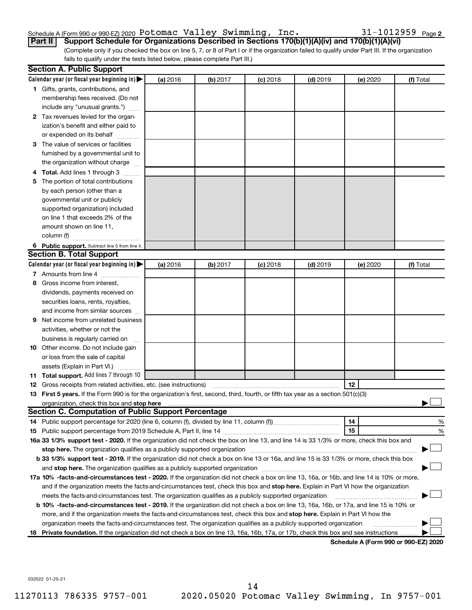# Schedule A (Form 990 or 990-EZ) 2020 <code>Potomac Valley Swimming</code> , <code>Inc.</code>  $31\text{--}1012959$  <code>Page</code>

(Complete only if you checked the box on line 5, 7, or 8 of Part I or if the organization failed to qualify under Part III. If the organization fails to qualify under the tests listed below, please complete Part III.) **Part II Support Schedule for Organizations Described in Sections 170(b)(1)(A)(iv) and 170(b)(1)(A)(vi)**

|    | <b>Section A. Public Support</b>                                                                                                                                                                                               |          |          |            |            |          |           |
|----|--------------------------------------------------------------------------------------------------------------------------------------------------------------------------------------------------------------------------------|----------|----------|------------|------------|----------|-----------|
|    | Calendar year (or fiscal year beginning in)                                                                                                                                                                                    | (a) 2016 | (b) 2017 | $(c)$ 2018 | $(d)$ 2019 | (e) 2020 | (f) Total |
|    | 1 Gifts, grants, contributions, and                                                                                                                                                                                            |          |          |            |            |          |           |
|    | membership fees received. (Do not                                                                                                                                                                                              |          |          |            |            |          |           |
|    | include any "unusual grants.")                                                                                                                                                                                                 |          |          |            |            |          |           |
|    | 2 Tax revenues levied for the organ-                                                                                                                                                                                           |          |          |            |            |          |           |
|    | ization's benefit and either paid to                                                                                                                                                                                           |          |          |            |            |          |           |
|    | or expended on its behalf                                                                                                                                                                                                      |          |          |            |            |          |           |
| з  | The value of services or facilities                                                                                                                                                                                            |          |          |            |            |          |           |
|    | furnished by a governmental unit to                                                                                                                                                                                            |          |          |            |            |          |           |
|    | the organization without charge                                                                                                                                                                                                |          |          |            |            |          |           |
|    | Total. Add lines 1 through 3                                                                                                                                                                                                   |          |          |            |            |          |           |
| 5  | The portion of total contributions                                                                                                                                                                                             |          |          |            |            |          |           |
|    | by each person (other than a                                                                                                                                                                                                   |          |          |            |            |          |           |
|    | governmental unit or publicly                                                                                                                                                                                                  |          |          |            |            |          |           |
|    | supported organization) included                                                                                                                                                                                               |          |          |            |            |          |           |
|    | on line 1 that exceeds 2% of the                                                                                                                                                                                               |          |          |            |            |          |           |
|    | amount shown on line 11,                                                                                                                                                                                                       |          |          |            |            |          |           |
|    |                                                                                                                                                                                                                                |          |          |            |            |          |           |
|    | 6 Public support. Subtract line 5 from line 4.                                                                                                                                                                                 |          |          |            |            |          |           |
|    | <b>Section B. Total Support</b>                                                                                                                                                                                                |          |          |            |            |          |           |
|    | Calendar year (or fiscal year beginning in)                                                                                                                                                                                    | (a) 2016 | (b) 2017 | $(c)$ 2018 | $(d)$ 2019 | (e) 2020 | (f) Total |
|    | 7 Amounts from line 4                                                                                                                                                                                                          |          |          |            |            |          |           |
| 8  | Gross income from interest,                                                                                                                                                                                                    |          |          |            |            |          |           |
|    | dividends, payments received on                                                                                                                                                                                                |          |          |            |            |          |           |
|    | securities loans, rents, royalties,                                                                                                                                                                                            |          |          |            |            |          |           |
|    | and income from similar sources                                                                                                                                                                                                |          |          |            |            |          |           |
| 9  | Net income from unrelated business                                                                                                                                                                                             |          |          |            |            |          |           |
|    | activities, whether or not the                                                                                                                                                                                                 |          |          |            |            |          |           |
|    | business is regularly carried on                                                                                                                                                                                               |          |          |            |            |          |           |
|    | 10 Other income. Do not include gain                                                                                                                                                                                           |          |          |            |            |          |           |
|    | or loss from the sale of capital                                                                                                                                                                                               |          |          |            |            |          |           |
|    | assets (Explain in Part VI.)                                                                                                                                                                                                   |          |          |            |            |          |           |
|    | 11 Total support. Add lines 7 through 10                                                                                                                                                                                       |          |          |            |            |          |           |
|    | <b>12</b> Gross receipts from related activities, etc. (see instructions)                                                                                                                                                      |          |          |            |            | 12       |           |
|    | 13 First 5 years. If the Form 990 is for the organization's first, second, third, fourth, or fifth tax year as a section 501(c)(3)                                                                                             |          |          |            |            |          |           |
|    | organization, check this box and stop here measurement content to the state of the state of the state of the state of the state of the state of the state of the state of the state of the state of the state of the state of  |          |          |            |            |          |           |
|    | Section C. Computation of Public Support Percentage                                                                                                                                                                            |          |          |            |            |          |           |
|    |                                                                                                                                                                                                                                |          |          |            |            | 14       | %         |
|    |                                                                                                                                                                                                                                |          |          |            |            | 15       | %         |
|    | 16a 33 1/3% support test - 2020. If the organization did not check the box on line 13, and line 14 is 33 1/3% or more, check this box and                                                                                      |          |          |            |            |          |           |
|    | stop here. The organization qualifies as a publicly supported organization manufaction manufacture or manufacture or the organization manufacture or the state of the state of the state of the state of the state of the stat |          |          |            |            |          |           |
|    | b 33 1/3% support test - 2019. If the organization did not check a box on line 13 or 16a, and line 15 is 33 1/3% or more, check this box                                                                                       |          |          |            |            |          |           |
|    |                                                                                                                                                                                                                                |          |          |            |            |          |           |
|    | 17a 10% -facts-and-circumstances test - 2020. If the organization did not check a box on line 13, 16a, or 16b, and line 14 is 10% or more,                                                                                     |          |          |            |            |          |           |
|    | and if the organization meets the facts-and-circumstances test, check this box and stop here. Explain in Part VI how the organization                                                                                          |          |          |            |            |          |           |
|    | meets the facts-and-circumstances test. The organization qualifies as a publicly supported organization                                                                                                                        |          |          |            |            |          |           |
|    | <b>b 10%</b> -facts-and-circumstances test - 2019. If the organization did not check a box on line 13, 16a, 16b, or 17a, and line 15 is 10% or                                                                                 |          |          |            |            |          |           |
|    | more, and if the organization meets the facts-and-circumstances test, check this box and stop here. Explain in Part VI how the                                                                                                 |          |          |            |            |          |           |
|    | organization meets the facts-and-circumstances test. The organization qualifies as a publicly supported organization                                                                                                           |          |          |            |            |          |           |
| 18 | Private foundation. If the organization did not check a box on line 13, 16a, 16b, 17a, or 17b, check this box and see instructions                                                                                             |          |          |            |            |          |           |

**Schedule A (Form 990 or 990-EZ) 2020**

032022 01-25-21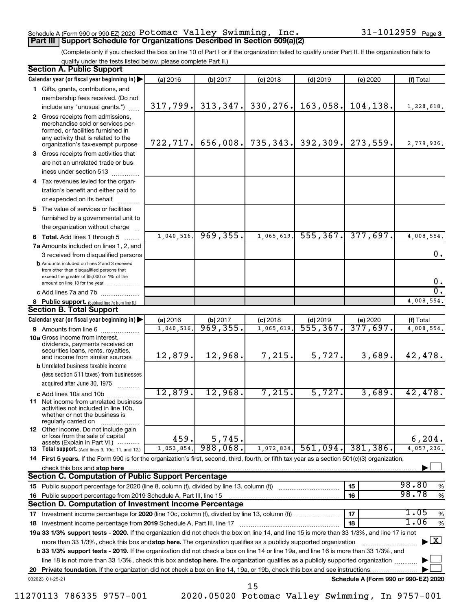### Schedule A (Form 990 or 990-EZ) 2020 <code>Potomac Valley Swimming</code> , <code>Inc.</code>  $31\text{--}1012959$  <code>Page</code> **Part III | Support Schedule for Organizations Described in Section 509(a)(2)**

### 31-1012959 Page 3

(Complete only if you checked the box on line 10 of Part I or if the organization failed to qualify under Part II. If the organization fails to qualify under the tests listed below, please complete Part II.)

| <b>Section A. Public Support</b>                                                                                                                                                 |            |           |            |            |                                      |                                    |
|----------------------------------------------------------------------------------------------------------------------------------------------------------------------------------|------------|-----------|------------|------------|--------------------------------------|------------------------------------|
| Calendar year (or fiscal year beginning in)                                                                                                                                      | (a) 2016   | (b) 2017  | $(c)$ 2018 | $(d)$ 2019 | (e) 2020                             | (f) Total                          |
| 1 Gifts, grants, contributions, and                                                                                                                                              |            |           |            |            |                                      |                                    |
| membership fees received. (Do not                                                                                                                                                |            |           |            |            |                                      |                                    |
| include any "unusual grants.")                                                                                                                                                   | 317,799.   | 313,347.  | 330,276.   | 163,058.   | 104, 138.                            | 1,228,618.                         |
| 2 Gross receipts from admissions,<br>merchandise sold or services per-<br>formed, or facilities furnished in<br>any activity that is related to the                              |            |           |            |            |                                      |                                    |
| organization's tax-exempt purpose                                                                                                                                                | 722, 717.  | 656,008.  | 735,343.   | 392, 309.  | 273,559.                             | 2,779,936.                         |
| 3 Gross receipts from activities that                                                                                                                                            |            |           |            |            |                                      |                                    |
| are not an unrelated trade or bus-                                                                                                                                               |            |           |            |            |                                      |                                    |
| iness under section 513                                                                                                                                                          |            |           |            |            |                                      |                                    |
| 4 Tax revenues levied for the organ-                                                                                                                                             |            |           |            |            |                                      |                                    |
| ization's benefit and either paid to<br>or expended on its behalf<br>.                                                                                                           |            |           |            |            |                                      |                                    |
| 5 The value of services or facilities                                                                                                                                            |            |           |            |            |                                      |                                    |
| furnished by a governmental unit to                                                                                                                                              |            |           |            |            |                                      |                                    |
| the organization without charge                                                                                                                                                  |            |           |            |            |                                      |                                    |
| <b>6 Total.</b> Add lines 1 through 5                                                                                                                                            | 1,040,516. | 969, 355. | 1,065,619  | 555, 367.  | 377,697.                             | 4,008,554.                         |
| 7a Amounts included on lines 1, 2, and                                                                                                                                           |            |           |            |            |                                      |                                    |
| 3 received from disqualified persons                                                                                                                                             |            |           |            |            |                                      | 0.                                 |
| <b>b</b> Amounts included on lines 2 and 3 received<br>from other than disqualified persons that<br>exceed the greater of \$5,000 or 1% of the<br>amount on line 13 for the year |            |           |            |            |                                      | 0.                                 |
| c Add lines 7a and 7b                                                                                                                                                            |            |           |            |            |                                      | σ.                                 |
| 8 Public support. (Subtract line 7c from line 6.)                                                                                                                                |            |           |            |            |                                      | 4,008,554.                         |
| <b>Section B. Total Support</b>                                                                                                                                                  |            |           |            |            |                                      |                                    |
| Calendar year (or fiscal year beginning in)                                                                                                                                      | (a) 2016   | (b) 2017  | $(c)$ 2018 | $(d)$ 2019 | (e) 2020                             | (f) Total                          |
| 9 Amounts from line 6                                                                                                                                                            | 1,040,516  | 969,355.  | 1,065,619  | 555, 367.  | 377,697.                             | 4,008,554.                         |
| <b>10a</b> Gross income from interest,<br>dividends, payments received on<br>securities loans, rents, royalties,                                                                 |            |           |            |            |                                      |                                    |
| and income from similar sources                                                                                                                                                  | 12,879.    | 12,968.   | 7,215.     | 5,727.     | 3,689.                               | 42,478.                            |
| <b>b</b> Unrelated business taxable income<br>(less section 511 taxes) from businesses                                                                                           |            |           |            |            |                                      |                                    |
| acquired after June 30, 1975                                                                                                                                                     | 12,879.    | 12,968.   | 7,215.     | 5,727.     | 3,689.                               |                                    |
| c Add lines 10a and 10b<br>11 Net income from unrelated business                                                                                                                 |            |           |            |            |                                      | 42,478.                            |
| activities not included in line 10b,<br>whether or not the business is<br>regularly carried on                                                                                   |            |           |            |            |                                      |                                    |
| 12 Other income. Do not include gain<br>or loss from the sale of capital<br>assets (Explain in Part VI.)                                                                         | 459.       | 5,745.    |            |            |                                      | 6, 204.                            |
| <b>13</b> Total support. (Add lines 9, 10c, 11, and 12.)                                                                                                                         | 1,053,854. | 988,068.  | 1,072,834. | 561,094.   | 381,386.                             | 4,057,236.                         |
| 14 First 5 years. If the Form 990 is for the organization's first, second, third, fourth, or fifth tax year as a section 501(c)(3) organization,                                 |            |           |            |            |                                      |                                    |
| check this box and stop here                                                                                                                                                     |            |           |            |            |                                      |                                    |
| <b>Section C. Computation of Public Support Percentage</b>                                                                                                                       |            |           |            |            |                                      |                                    |
| 15 Public support percentage for 2020 (line 8, column (f), divided by line 13, column (f) <i></i>                                                                                |            |           |            |            | 15                                   | 98.80<br>%                         |
| 16 Public support percentage from 2019 Schedule A, Part III, line 15                                                                                                             |            |           |            |            | 16                                   | 98.78<br>$\%$                      |
| Section D. Computation of Investment Income Percentage                                                                                                                           |            |           |            |            |                                      |                                    |
|                                                                                                                                                                                  |            |           |            |            | 17                                   | 1.05<br>$\%$                       |
| 18 Investment income percentage from 2019 Schedule A, Part III, line 17                                                                                                          |            |           |            |            | 18                                   | 1.06<br>%                          |
| 19a 33 1/3% support tests - 2020. If the organization did not check the box on line 14, and line 15 is more than 33 1/3%, and line 17 is not                                     |            |           |            |            |                                      |                                    |
| more than 33 1/3%, check this box and stop here. The organization qualifies as a publicly supported organization                                                                 |            |           |            |            |                                      | $\blacktriangleright$ $\mathbf{X}$ |
| b 33 1/3% support tests - 2019. If the organization did not check a box on line 14 or line 19a, and line 16 is more than 33 1/3%, and                                            |            |           |            |            |                                      |                                    |
| line 18 is not more than 33 1/3%, check this box and stop here. The organization qualifies as a publicly supported organization                                                  |            |           |            |            |                                      |                                    |
|                                                                                                                                                                                  |            |           |            |            |                                      |                                    |
| 032023 01-25-21                                                                                                                                                                  |            |           | 15         |            | Schedule A (Form 990 or 990-EZ) 2020 |                                    |

11270113 786335 9757-001 2020.05020 Potomac Valley Swimming, In 9757-001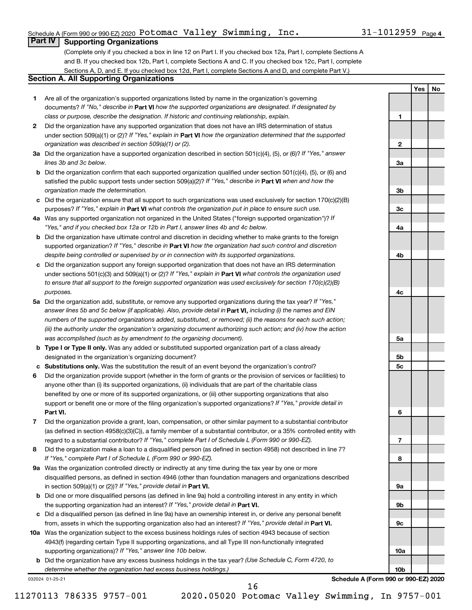**1**

**2**

**3a**

**3b**

**3c**

**4a**

**4b**

**4c**

**5a**

**5b 5c**

**6**

**7**

**8**

**9a**

**9b**

**9c**

**10a**

**10b**

**Yes No**

# **Part IV Supporting Organizations**

(Complete only if you checked a box in line 12 on Part I. If you checked box 12a, Part I, complete Sections A and B. If you checked box 12b, Part I, complete Sections A and C. If you checked box 12c, Part I, complete Sections A, D, and E. If you checked box 12d, Part I, complete Sections A and D, and complete Part V.)

# **Section A. All Supporting Organizations**

- **1** Are all of the organization's supported organizations listed by name in the organization's governing documents? If "No," describe in Part VI how the supported organizations are designated. If designated by *class or purpose, describe the designation. If historic and continuing relationship, explain.*
- **2** Did the organization have any supported organization that does not have an IRS determination of status under section 509(a)(1) or (2)? If "Yes," explain in Part **VI** how the organization determined that the supported *organization was described in section 509(a)(1) or (2).*
- **3a** Did the organization have a supported organization described in section 501(c)(4), (5), or (6)? If "Yes," answer *lines 3b and 3c below.*
- **b** Did the organization confirm that each supported organization qualified under section 501(c)(4), (5), or (6) and satisfied the public support tests under section 509(a)(2)? If "Yes," describe in Part VI when and how the *organization made the determination.*
- **c** Did the organization ensure that all support to such organizations was used exclusively for section 170(c)(2)(B) purposes? If "Yes," explain in Part VI what controls the organization put in place to ensure such use.
- **4 a** *If* Was any supported organization not organized in the United States ("foreign supported organization")? *"Yes," and if you checked box 12a or 12b in Part I, answer lines 4b and 4c below.*
- **b** Did the organization have ultimate control and discretion in deciding whether to make grants to the foreign supported organization? If "Yes," describe in Part VI how the organization had such control and discretion *despite being controlled or supervised by or in connection with its supported organizations.*
- **c** Did the organization support any foreign supported organization that does not have an IRS determination under sections 501(c)(3) and 509(a)(1) or (2)? If "Yes," explain in Part VI what controls the organization used *to ensure that all support to the foreign supported organization was used exclusively for section 170(c)(2)(B) purposes.*
- **5a** Did the organization add, substitute, or remove any supported organizations during the tax year? If "Yes," answer lines 5b and 5c below (if applicable). Also, provide detail in **Part VI,** including (i) the names and EIN *numbers of the supported organizations added, substituted, or removed; (ii) the reasons for each such action; (iii) the authority under the organization's organizing document authorizing such action; and (iv) how the action was accomplished (such as by amendment to the organizing document).*
- **b Type I or Type II only.** Was any added or substituted supported organization part of a class already designated in the organization's organizing document?
- **c Substitutions only.**  Was the substitution the result of an event beyond the organization's control?
- **6** Did the organization provide support (whether in the form of grants or the provision of services or facilities) to **Part VI.** support or benefit one or more of the filing organization's supported organizations? If "Yes," provide detail in anyone other than (i) its supported organizations, (ii) individuals that are part of the charitable class benefited by one or more of its supported organizations, or (iii) other supporting organizations that also
- **7** Did the organization provide a grant, loan, compensation, or other similar payment to a substantial contributor regard to a substantial contributor? If "Yes," complete Part I of Schedule L (Form 990 or 990-EZ). (as defined in section 4958(c)(3)(C)), a family member of a substantial contributor, or a 35% controlled entity with
- **8** Did the organization make a loan to a disqualified person (as defined in section 4958) not described in line 7? *If "Yes," complete Part I of Schedule L (Form 990 or 990-EZ).*
- **9 a** Was the organization controlled directly or indirectly at any time during the tax year by one or more in section 509(a)(1) or (2))? If "Yes," provide detail in **Part VI.** disqualified persons, as defined in section 4946 (other than foundation managers and organizations described
- **b** Did one or more disqualified persons (as defined in line 9a) hold a controlling interest in any entity in which the supporting organization had an interest? If "Yes," provide detail in Part VI.
- **c** Did a disqualified person (as defined in line 9a) have an ownership interest in, or derive any personal benefit from, assets in which the supporting organization also had an interest? If "Yes," provide detail in Part VI.
- **10 a** Was the organization subject to the excess business holdings rules of section 4943 because of section supporting organizations)? If "Yes," answer line 10b below. 4943(f) (regarding certain Type II supporting organizations, and all Type III non-functionally integrated
	- **b** Did the organization have any excess business holdings in the tax year? (Use Schedule C, Form 4720, to *determine whether the organization had excess business holdings.)*

032024 01-25-21

**Schedule A (Form 990 or 990-EZ) 2020**

11270113 786335 9757-001 2020.05020 Potomac Valley Swimming, In 9757-001 16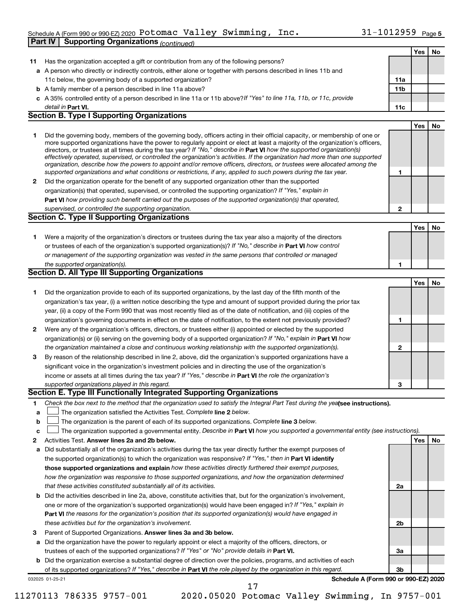# Schedule A (Form 990 or 990-EZ) 2020 <code>Potomac Valley Swimming</code> , <code>Inc.</code>  $31\text{--}1012959$  <code>Page</code> **Part IV Supporting Organizations** *(continued)*

| 11     |                                                                                                                                                                                                                                                             |              |     | Yes<br>No. |
|--------|-------------------------------------------------------------------------------------------------------------------------------------------------------------------------------------------------------------------------------------------------------------|--------------|-----|------------|
|        | Has the organization accepted a gift or contribution from any of the following persons?                                                                                                                                                                     |              |     |            |
|        | a A person who directly or indirectly controls, either alone or together with persons described in lines 11b and                                                                                                                                            |              |     |            |
|        | 11c below, the governing body of a supported organization?                                                                                                                                                                                                  | 11a          |     |            |
|        | <b>b</b> A family member of a person described in line 11a above?                                                                                                                                                                                           | 11b          |     |            |
|        | c A 35% controlled entity of a person described in line 11a or 11b above? If "Yes" to line 11a, 11b, or 11c, provide                                                                                                                                        |              |     |            |
|        | detail in Part VI.                                                                                                                                                                                                                                          | 11c          |     |            |
|        | <b>Section B. Type I Supporting Organizations</b>                                                                                                                                                                                                           |              |     |            |
|        |                                                                                                                                                                                                                                                             |              |     |            |
|        |                                                                                                                                                                                                                                                             |              | Yes | No         |
| 1      | Did the governing body, members of the governing body, officers acting in their official capacity, or membership of one or<br>more supported organizations have the power to regularly appoint or elect at least a majority of the organization's officers, |              |     |            |
|        | directors, or trustees at all times during the tax year? If "No," describe in Part VI how the supported organization(s)                                                                                                                                     |              |     |            |
|        | effectively operated, supervised, or controlled the organization's activities. If the organization had more than one supported                                                                                                                              |              |     |            |
|        | organization, describe how the powers to appoint and/or remove officers, directors, or trustees were allocated among the                                                                                                                                    |              |     |            |
|        | supported organizations and what conditions or restrictions, if any, applied to such powers during the tax year.                                                                                                                                            | 1            |     |            |
| 2      | Did the organization operate for the benefit of any supported organization other than the supported                                                                                                                                                         |              |     |            |
|        | organization(s) that operated, supervised, or controlled the supporting organization? If "Yes," explain in                                                                                                                                                  |              |     |            |
|        | Part VI how providing such benefit carried out the purposes of the supported organization(s) that operated,                                                                                                                                                 |              |     |            |
|        | supervised, or controlled the supporting organization.                                                                                                                                                                                                      | $\mathbf{2}$ |     |            |
|        | <b>Section C. Type II Supporting Organizations</b>                                                                                                                                                                                                          |              |     |            |
|        |                                                                                                                                                                                                                                                             |              |     |            |
|        |                                                                                                                                                                                                                                                             |              | Yes | No         |
| 1      | Were a majority of the organization's directors or trustees during the tax year also a majority of the directors                                                                                                                                            |              |     |            |
|        | or trustees of each of the organization's supported organization(s)? If "No," describe in Part VI how control                                                                                                                                               |              |     |            |
|        | or management of the supporting organization was vested in the same persons that controlled or managed                                                                                                                                                      |              |     |            |
|        | the supported organization(s).                                                                                                                                                                                                                              | 1            |     |            |
|        | <b>Section D. All Type III Supporting Organizations</b>                                                                                                                                                                                                     |              |     |            |
|        |                                                                                                                                                                                                                                                             |              | Yes |            |
| 1      | Did the organization provide to each of its supported organizations, by the last day of the fifth month of the                                                                                                                                              |              |     |            |
|        | organization's tax year, (i) a written notice describing the type and amount of support provided during the prior tax                                                                                                                                       |              |     |            |
|        | year, (ii) a copy of the Form 990 that was most recently filed as of the date of notification, and (iii) copies of the                                                                                                                                      |              |     |            |
|        |                                                                                                                                                                                                                                                             | 1            |     |            |
|        | organization's governing documents in effect on the date of notification, to the extent not previously provided?                                                                                                                                            |              |     |            |
| 2      | Were any of the organization's officers, directors, or trustees either (i) appointed or elected by the supported                                                                                                                                            |              |     |            |
|        | organization(s) or (ii) serving on the governing body of a supported organization? If "No," explain in Part VI how                                                                                                                                          |              |     |            |
|        | the organization maintained a close and continuous working relationship with the supported organization(s).                                                                                                                                                 | 2            |     |            |
| 3      | By reason of the relationship described in line 2, above, did the organization's supported organizations have a                                                                                                                                             |              |     |            |
|        | significant voice in the organization's investment policies and in directing the use of the organization's                                                                                                                                                  |              |     |            |
|        | income or assets at all times during the tax year? If "Yes," describe in Part VI the role the organization's                                                                                                                                                |              |     |            |
|        | supported organizations played in this regard.                                                                                                                                                                                                              |              |     |            |
|        | Section E. Type III Functionally Integrated Supporting Organizations                                                                                                                                                                                        | 3            |     |            |
|        |                                                                                                                                                                                                                                                             |              |     |            |
|        |                                                                                                                                                                                                                                                             |              |     |            |
|        | Check the box next to the method that the organization used to satisfy the Integral Part Test during the yealsee instructions).                                                                                                                             |              |     |            |
| a      | The organization satisfied the Activities Test. Complete line 2 below.                                                                                                                                                                                      |              |     |            |
| 1<br>b | The organization is the parent of each of its supported organizations. Complete line 3 below.                                                                                                                                                               |              |     |            |
| c      | The organization supported a governmental entity. Describe in Part VI how you supported a governmental entity (see instructions).                                                                                                                           |              |     |            |
|        | Activities Test. Answer lines 2a and 2b below.                                                                                                                                                                                                              |              | Yes |            |
| а      | Did substantially all of the organization's activities during the tax year directly further the exempt purposes of                                                                                                                                          |              |     |            |
|        | the supported organization(s) to which the organization was responsive? If "Yes," then in Part VI identify                                                                                                                                                  |              |     |            |
|        | those supported organizations and explain how these activities directly furthered their exempt purposes,                                                                                                                                                    |              |     |            |
|        | how the organization was responsive to those supported organizations, and how the organization determined                                                                                                                                                   |              |     |            |
|        | that these activities constituted substantially all of its activities.                                                                                                                                                                                      | 2a           |     |            |
|        |                                                                                                                                                                                                                                                             |              |     |            |
| b      | Did the activities described in line 2a, above, constitute activities that, but for the organization's involvement,                                                                                                                                         |              |     |            |
|        | one or more of the organization's supported organization(s) would have been engaged in? If "Yes," explain in                                                                                                                                                |              |     |            |
|        | <b>Part VI</b> the reasons for the organization's position that its supported organization(s) would have engaged in                                                                                                                                         |              |     |            |
|        | these activities but for the organization's involvement.                                                                                                                                                                                                    | 2b           |     |            |
| 2<br>3 | Parent of Supported Organizations. Answer lines 3a and 3b below.                                                                                                                                                                                            |              |     |            |
| а      | Did the organization have the power to regularly appoint or elect a majority of the officers, directors, or                                                                                                                                                 |              |     |            |
|        | trustees of each of the supported organizations? If "Yes" or "No" provide details in Part VI.                                                                                                                                                               | За           |     |            |
|        | b Did the organization exercise a substantial degree of direction over the policies, programs, and activities of each                                                                                                                                       |              |     | No         |
|        | of its supported organizations? If "Yes," describe in Part VI the role played by the organization in this regard.                                                                                                                                           | 3b           |     |            |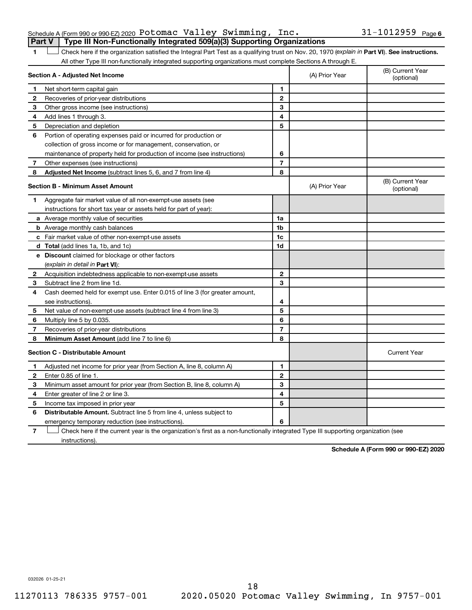|  | Schedule A (Form 990 or 990-EZ) 2020 Potomac Valley Swimming, $Inc.$                  |  |  | $31 - 1012959$ Page 6 |  |
|--|---------------------------------------------------------------------------------------|--|--|-----------------------|--|
|  | <b>Part V</b> Type III Non-Functionally Integrated 509(a)(3) Supporting Organizations |  |  |                       |  |

1 **Letter See instructions.** Check here if the organization satisfied the Integral Part Test as a qualifying trust on Nov. 20, 1970 (*explain in* Part **VI**). See instructions. All other Type III non-functionally integrated supporting organizations must complete Sections A through E.

|    | Section A - Adjusted Net Income                                             |                | (A) Prior Year | (B) Current Year<br>(optional) |
|----|-----------------------------------------------------------------------------|----------------|----------------|--------------------------------|
| 1  | Net short-term capital gain                                                 | 1              |                |                                |
| 2  | Recoveries of prior-year distributions                                      | $\overline{2}$ |                |                                |
| 3  | Other gross income (see instructions)                                       | 3              |                |                                |
| 4  | Add lines 1 through 3.                                                      | 4              |                |                                |
| 5  | Depreciation and depletion                                                  | 5              |                |                                |
| 6  | Portion of operating expenses paid or incurred for production or            |                |                |                                |
|    | collection of gross income or for management, conservation, or              |                |                |                                |
|    | maintenance of property held for production of income (see instructions)    | 6              |                |                                |
| 7  | Other expenses (see instructions)                                           | $\overline{7}$ |                |                                |
| 8  | Adjusted Net Income (subtract lines 5, 6, and 7 from line 4)                | 8              |                |                                |
|    | <b>Section B - Minimum Asset Amount</b>                                     |                | (A) Prior Year | (B) Current Year<br>(optional) |
| 1. | Aggregate fair market value of all non-exempt-use assets (see               |                |                |                                |
|    | instructions for short tax year or assets held for part of year):           |                |                |                                |
|    | a Average monthly value of securities                                       | 1a             |                |                                |
|    | <b>b</b> Average monthly cash balances                                      | 1 <sub>b</sub> |                |                                |
|    | c Fair market value of other non-exempt-use assets                          | 1c             |                |                                |
|    | d Total (add lines 1a, 1b, and 1c)                                          | 1d             |                |                                |
|    | e Discount claimed for blockage or other factors                            |                |                |                                |
|    | (explain in detail in Part VI):                                             |                |                |                                |
| 2  | Acquisition indebtedness applicable to non-exempt-use assets                | $\mathbf{2}$   |                |                                |
| З  | Subtract line 2 from line 1d.                                               | 3              |                |                                |
| 4  | Cash deemed held for exempt use. Enter 0.015 of line 3 (for greater amount, |                |                |                                |
|    | see instructions).                                                          | 4              |                |                                |
| 5  | Net value of non-exempt-use assets (subtract line 4 from line 3)            | 5              |                |                                |
| 6  | Multiply line 5 by 0.035.                                                   | 6              |                |                                |
| 7  | Recoveries of prior-year distributions                                      | $\overline{7}$ |                |                                |
| 8  | Minimum Asset Amount (add line 7 to line 6)                                 | 8              |                |                                |
|    | <b>Section C - Distributable Amount</b>                                     |                |                | <b>Current Year</b>            |
| 1  | Adjusted net income for prior year (from Section A, line 8, column A)       | 1              |                |                                |
| 2  | Enter 0.85 of line 1.                                                       | $\mathbf{2}$   |                |                                |
| З  | Minimum asset amount for prior year (from Section B, line 8, column A)      | 3              |                |                                |
| 4  | Enter greater of line 2 or line 3.                                          | 4              |                |                                |
| 5  | Income tax imposed in prior year                                            | 5              |                |                                |
| 6  | <b>Distributable Amount.</b> Subtract line 5 from line 4, unless subject to |                |                |                                |
|    | emergency temporary reduction (see instructions).                           | 6              |                |                                |
|    |                                                                             |                |                |                                |

**7** Check here if the current year is the organization's first as a non-functionally integrated Type III supporting organization (see † instructions).

**Schedule A (Form 990 or 990-EZ) 2020**

032026 01-25-21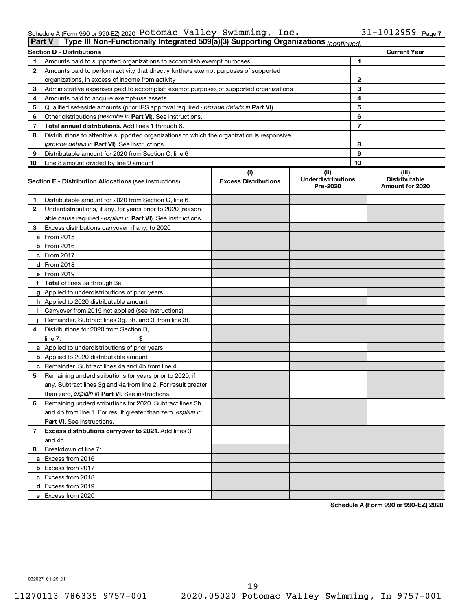| Schedule A (Form 990 or 990 EZ) 2020 $\, {\tt Potonac} \,$ $\, \tt{Valley} \,$ $\, \tt{Swimming}$ , $\, \, {\tt Inc.}$ |  |  | $31 - 1012959$ Page 7 |
|------------------------------------------------------------------------------------------------------------------------|--|--|-----------------------|
|------------------------------------------------------------------------------------------------------------------------|--|--|-----------------------|

| Type III Non-Functionally Integrated 509(a)(3) Supporting Organizations (continued)<br><b>Part V</b> |                                                                                            |                             |                                       |    |                                         |  |  |
|------------------------------------------------------------------------------------------------------|--------------------------------------------------------------------------------------------|-----------------------------|---------------------------------------|----|-----------------------------------------|--|--|
|                                                                                                      | <b>Section D - Distributions</b>                                                           |                             |                                       |    | <b>Current Year</b>                     |  |  |
| 1                                                                                                    | Amounts paid to supported organizations to accomplish exempt purposes                      |                             |                                       | 1  |                                         |  |  |
| 2                                                                                                    | Amounts paid to perform activity that directly furthers exempt purposes of supported       |                             |                                       |    |                                         |  |  |
|                                                                                                      | organizations, in excess of income from activity                                           |                             |                                       | 2  |                                         |  |  |
| 3                                                                                                    | Administrative expenses paid to accomplish exempt purposes of supported organizations      |                             |                                       | 3  |                                         |  |  |
| 4                                                                                                    | Amounts paid to acquire exempt-use assets                                                  |                             |                                       | 4  |                                         |  |  |
| 5                                                                                                    | Qualified set-aside amounts (prior IRS approval required - provide details in Part VI)     |                             |                                       | 5  |                                         |  |  |
| 6                                                                                                    | Other distributions (describe in Part VI). See instructions.                               |                             |                                       | 6  |                                         |  |  |
| 7                                                                                                    | <b>Total annual distributions.</b> Add lines 1 through 6.                                  |                             |                                       | 7  |                                         |  |  |
| 8                                                                                                    | Distributions to attentive supported organizations to which the organization is responsive |                             |                                       |    |                                         |  |  |
|                                                                                                      | (provide details in Part VI). See instructions.                                            |                             |                                       | 8  |                                         |  |  |
| 9                                                                                                    | Distributable amount for 2020 from Section C, line 6                                       |                             |                                       | 9  |                                         |  |  |
| 10                                                                                                   | Line 8 amount divided by line 9 amount                                                     |                             |                                       | 10 |                                         |  |  |
|                                                                                                      |                                                                                            | (i)                         | (iii)                                 |    | (iii)                                   |  |  |
|                                                                                                      | <b>Section E - Distribution Allocations (see instructions)</b>                             | <b>Excess Distributions</b> | <b>Underdistributions</b><br>Pre-2020 |    | <b>Distributable</b><br>Amount for 2020 |  |  |
| 1                                                                                                    | Distributable amount for 2020 from Section C, line 6                                       |                             |                                       |    |                                         |  |  |
| 2                                                                                                    | Underdistributions, if any, for years prior to 2020 (reason-                               |                             |                                       |    |                                         |  |  |
|                                                                                                      | able cause required - explain in Part VI). See instructions.                               |                             |                                       |    |                                         |  |  |
| 3                                                                                                    | Excess distributions carryover, if any, to 2020                                            |                             |                                       |    |                                         |  |  |
|                                                                                                      | <b>a</b> From 2015                                                                         |                             |                                       |    |                                         |  |  |
|                                                                                                      | $b$ From 2016                                                                              |                             |                                       |    |                                         |  |  |
|                                                                                                      | c From 2017                                                                                |                             |                                       |    |                                         |  |  |
|                                                                                                      | d From 2018                                                                                |                             |                                       |    |                                         |  |  |
|                                                                                                      | e From 2019                                                                                |                             |                                       |    |                                         |  |  |
|                                                                                                      | f Total of lines 3a through 3e                                                             |                             |                                       |    |                                         |  |  |
|                                                                                                      | g Applied to underdistributions of prior years                                             |                             |                                       |    |                                         |  |  |
|                                                                                                      | h Applied to 2020 distributable amount                                                     |                             |                                       |    |                                         |  |  |
| j.                                                                                                   | Carryover from 2015 not applied (see instructions)                                         |                             |                                       |    |                                         |  |  |
|                                                                                                      | Remainder. Subtract lines 3g, 3h, and 3i from line 3f.                                     |                             |                                       |    |                                         |  |  |
| 4                                                                                                    | Distributions for 2020 from Section D,                                                     |                             |                                       |    |                                         |  |  |
|                                                                                                      | \$<br>line $7:$                                                                            |                             |                                       |    |                                         |  |  |
|                                                                                                      | a Applied to underdistributions of prior years                                             |                             |                                       |    |                                         |  |  |
|                                                                                                      | <b>b</b> Applied to 2020 distributable amount                                              |                             |                                       |    |                                         |  |  |
|                                                                                                      | <b>c</b> Remainder. Subtract lines 4a and 4b from line 4.                                  |                             |                                       |    |                                         |  |  |
| 5                                                                                                    | Remaining underdistributions for years prior to 2020, if                                   |                             |                                       |    |                                         |  |  |
|                                                                                                      | any. Subtract lines 3g and 4a from line 2. For result greater                              |                             |                                       |    |                                         |  |  |
|                                                                                                      | than zero, explain in Part VI. See instructions.                                           |                             |                                       |    |                                         |  |  |
| 6                                                                                                    | Remaining underdistributions for 2020. Subtract lines 3h                                   |                             |                                       |    |                                         |  |  |
|                                                                                                      | and 4b from line 1. For result greater than zero, explain in                               |                             |                                       |    |                                         |  |  |
|                                                                                                      | <b>Part VI.</b> See instructions.                                                          |                             |                                       |    |                                         |  |  |
|                                                                                                      | 7 Excess distributions carryover to 2021. Add lines 3j                                     |                             |                                       |    |                                         |  |  |
|                                                                                                      | and 4c.                                                                                    |                             |                                       |    |                                         |  |  |
| 8                                                                                                    | Breakdown of line 7:                                                                       |                             |                                       |    |                                         |  |  |
|                                                                                                      | a Excess from 2016                                                                         |                             |                                       |    |                                         |  |  |
|                                                                                                      | <b>b</b> Excess from 2017                                                                  |                             |                                       |    |                                         |  |  |
|                                                                                                      | c Excess from 2018                                                                         |                             |                                       |    |                                         |  |  |
|                                                                                                      | d Excess from 2019                                                                         |                             |                                       |    |                                         |  |  |
|                                                                                                      | e Excess from 2020                                                                         |                             |                                       |    |                                         |  |  |

**Schedule A (Form 990 or 990-EZ) 2020**

032027 01-25-21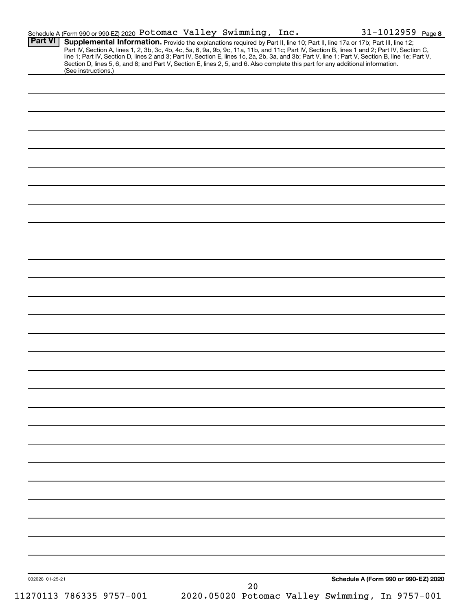| Part VI         | Schedule A (Form 990 or 990-EZ) 2020 Potomac Valley Swimming, Inc.<br>Supplemental Information. Provide the explanations required by Part II, line 10; Part II, line 17a or 17b; Part III, line 12; |    |                                                 | 31-1012959 Page 8                                                                                                                                                                                                                                                                                |
|-----------------|-----------------------------------------------------------------------------------------------------------------------------------------------------------------------------------------------------|----|-------------------------------------------------|--------------------------------------------------------------------------------------------------------------------------------------------------------------------------------------------------------------------------------------------------------------------------------------------------|
|                 | Section D, lines 5, 6, and 8; and Part V, Section E, lines 2, 5, and 6. Also complete this part for any additional information.                                                                     |    |                                                 | Part IV, Section A, lines 1, 2, 3b, 3c, 4b, 4c, 5a, 6, 9a, 9b, 9c, 11a, 11b, and 11c; Part IV, Section B, lines 1 and 2; Part IV, Section C,<br>line 1; Part IV, Section D, lines 2 and 3; Part IV, Section E, lines 1c, 2a, 2b, 3a, and 3b; Part V, line 1; Part V, Section B, line 1e; Part V, |
|                 | (See instructions.)                                                                                                                                                                                 |    |                                                 |                                                                                                                                                                                                                                                                                                  |
|                 |                                                                                                                                                                                                     |    |                                                 |                                                                                                                                                                                                                                                                                                  |
|                 |                                                                                                                                                                                                     |    |                                                 |                                                                                                                                                                                                                                                                                                  |
|                 |                                                                                                                                                                                                     |    |                                                 |                                                                                                                                                                                                                                                                                                  |
|                 |                                                                                                                                                                                                     |    |                                                 |                                                                                                                                                                                                                                                                                                  |
|                 |                                                                                                                                                                                                     |    |                                                 |                                                                                                                                                                                                                                                                                                  |
|                 |                                                                                                                                                                                                     |    |                                                 |                                                                                                                                                                                                                                                                                                  |
|                 |                                                                                                                                                                                                     |    |                                                 |                                                                                                                                                                                                                                                                                                  |
|                 |                                                                                                                                                                                                     |    |                                                 |                                                                                                                                                                                                                                                                                                  |
|                 |                                                                                                                                                                                                     |    |                                                 |                                                                                                                                                                                                                                                                                                  |
|                 |                                                                                                                                                                                                     |    |                                                 |                                                                                                                                                                                                                                                                                                  |
|                 |                                                                                                                                                                                                     |    |                                                 |                                                                                                                                                                                                                                                                                                  |
|                 |                                                                                                                                                                                                     |    |                                                 |                                                                                                                                                                                                                                                                                                  |
|                 |                                                                                                                                                                                                     |    |                                                 |                                                                                                                                                                                                                                                                                                  |
|                 |                                                                                                                                                                                                     |    |                                                 |                                                                                                                                                                                                                                                                                                  |
|                 |                                                                                                                                                                                                     |    |                                                 |                                                                                                                                                                                                                                                                                                  |
|                 |                                                                                                                                                                                                     |    |                                                 |                                                                                                                                                                                                                                                                                                  |
|                 |                                                                                                                                                                                                     |    |                                                 |                                                                                                                                                                                                                                                                                                  |
|                 |                                                                                                                                                                                                     |    |                                                 |                                                                                                                                                                                                                                                                                                  |
|                 |                                                                                                                                                                                                     |    |                                                 |                                                                                                                                                                                                                                                                                                  |
|                 |                                                                                                                                                                                                     |    |                                                 |                                                                                                                                                                                                                                                                                                  |
|                 |                                                                                                                                                                                                     |    |                                                 |                                                                                                                                                                                                                                                                                                  |
|                 |                                                                                                                                                                                                     |    |                                                 |                                                                                                                                                                                                                                                                                                  |
|                 |                                                                                                                                                                                                     |    |                                                 |                                                                                                                                                                                                                                                                                                  |
|                 |                                                                                                                                                                                                     |    |                                                 |                                                                                                                                                                                                                                                                                                  |
|                 |                                                                                                                                                                                                     |    |                                                 |                                                                                                                                                                                                                                                                                                  |
|                 |                                                                                                                                                                                                     |    |                                                 |                                                                                                                                                                                                                                                                                                  |
|                 |                                                                                                                                                                                                     |    |                                                 |                                                                                                                                                                                                                                                                                                  |
|                 |                                                                                                                                                                                                     |    |                                                 |                                                                                                                                                                                                                                                                                                  |
|                 |                                                                                                                                                                                                     |    |                                                 |                                                                                                                                                                                                                                                                                                  |
|                 |                                                                                                                                                                                                     |    |                                                 |                                                                                                                                                                                                                                                                                                  |
|                 |                                                                                                                                                                                                     |    |                                                 |                                                                                                                                                                                                                                                                                                  |
|                 |                                                                                                                                                                                                     |    |                                                 |                                                                                                                                                                                                                                                                                                  |
|                 |                                                                                                                                                                                                     |    |                                                 |                                                                                                                                                                                                                                                                                                  |
|                 |                                                                                                                                                                                                     |    |                                                 |                                                                                                                                                                                                                                                                                                  |
|                 |                                                                                                                                                                                                     |    |                                                 |                                                                                                                                                                                                                                                                                                  |
|                 |                                                                                                                                                                                                     |    |                                                 |                                                                                                                                                                                                                                                                                                  |
| 032028 01-25-21 |                                                                                                                                                                                                     |    |                                                 | Schedule A (Form 990 or 990-EZ) 2020                                                                                                                                                                                                                                                             |
|                 |                                                                                                                                                                                                     | 20 | 2020.05020 Potomac Valley Swimming, In 9757-001 |                                                                                                                                                                                                                                                                                                  |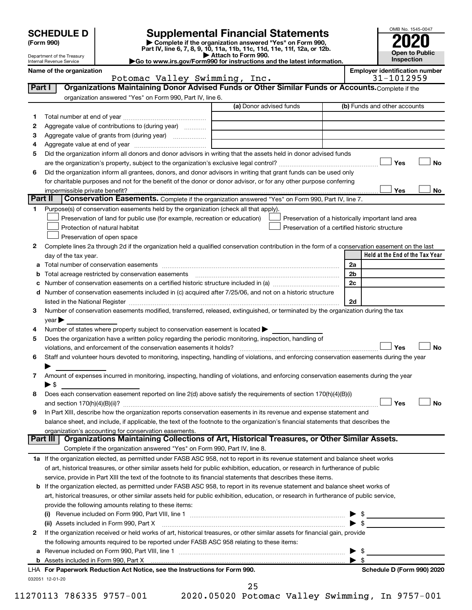| <b>SCHEDULE D</b> |  |
|-------------------|--|
|-------------------|--|

| (Form 990) |  |
|------------|--|
|------------|--|

# **SCHEDULE D Supplemental Financial Statements**<br> **Form 990 2020**<br> **Part IV** line 6.7.8.9.10, 11a, 11b, 11d, 11d, 11d, 11d, 11d, 12a, 0r, 12b

**(Form 990) | Complete if the organization answered "Yes" on Form 990, Part IV, line 6, 7, 8, 9, 10, 11a, 11b, 11c, 11d, 11e, 11f, 12a, or 12b.**

**| Attach to Form 990. |Go to www.irs.gov/Form990 for instructions and the latest information.**



Department of the Treasury Internal Revenue Service

| <b>INTERNATIVE VEHICLE</b> |                               |                                       |
|----------------------------|-------------------------------|---------------------------------------|
| Name of the organization   |                               | <b>Emplover identification number</b> |
|                            | Potomac Valley Swimming, Inc. | 31-1012959                            |

| Part I  | Organizations Maintaining Donor Advised Funds or Other Similar Funds or Accounts. Complete if the                                                                                                                                                                    |                         |                                                    |
|---------|----------------------------------------------------------------------------------------------------------------------------------------------------------------------------------------------------------------------------------------------------------------------|-------------------------|----------------------------------------------------|
|         | organization answered "Yes" on Form 990, Part IV, line 6.                                                                                                                                                                                                            |                         |                                                    |
|         |                                                                                                                                                                                                                                                                      | (a) Donor advised funds | (b) Funds and other accounts                       |
| 1       |                                                                                                                                                                                                                                                                      |                         |                                                    |
| 2       | Aggregate value of contributions to (during year)                                                                                                                                                                                                                    |                         |                                                    |
| 3       | Aggregate value of grants from (during year)                                                                                                                                                                                                                         |                         |                                                    |
| 4       |                                                                                                                                                                                                                                                                      |                         |                                                    |
| 5       | Did the organization inform all donors and donor advisors in writing that the assets held in donor advised funds                                                                                                                                                     |                         |                                                    |
|         |                                                                                                                                                                                                                                                                      |                         | Yes<br>No                                          |
| 6       | Did the organization inform all grantees, donors, and donor advisors in writing that grant funds can be used only                                                                                                                                                    |                         |                                                    |
|         | for charitable purposes and not for the benefit of the donor or donor advisor, or for any other purpose conferring                                                                                                                                                   |                         |                                                    |
|         | impermissible private benefit?                                                                                                                                                                                                                                       |                         | Yes<br>No                                          |
| Part II | Conservation Easements. Complete if the organization answered "Yes" on Form 990, Part IV, line 7.                                                                                                                                                                    |                         |                                                    |
| 1.      | Purpose(s) of conservation easements held by the organization (check all that apply).                                                                                                                                                                                |                         |                                                    |
|         | Preservation of land for public use (for example, recreation or education)                                                                                                                                                                                           |                         | Preservation of a historically important land area |
|         | Protection of natural habitat                                                                                                                                                                                                                                        |                         | Preservation of a certified historic structure     |
|         | Preservation of open space                                                                                                                                                                                                                                           |                         |                                                    |
| 2       | Complete lines 2a through 2d if the organization held a qualified conservation contribution in the form of a conservation easement on the last                                                                                                                       |                         |                                                    |
|         | day of the tax year.                                                                                                                                                                                                                                                 |                         | Held at the End of the Tax Year                    |
|         |                                                                                                                                                                                                                                                                      |                         | 2a                                                 |
|         |                                                                                                                                                                                                                                                                      |                         | 2 <sub>b</sub>                                     |
|         | Number of conservation easements on a certified historic structure included in (a) manufacture included in (a)                                                                                                                                                       |                         | 2c                                                 |
| d       | Number of conservation easements included in (c) acquired after 7/25/06, and not on a historic structure                                                                                                                                                             |                         |                                                    |
|         | listed in the National Register [111] Marshall Register [11] Marshall Register [11] Marshall Register [11] Marshall Register [11] Marshall Register [11] Marshall Register [11] Marshall Register [11] Marshall Register [11]                                        |                         | 2d                                                 |
| з       | Number of conservation easements modified, transferred, released, extinguished, or terminated by the organization during the tax                                                                                                                                     |                         |                                                    |
|         | $year \triangleright$                                                                                                                                                                                                                                                |                         |                                                    |
| 4       | Number of states where property subject to conservation easement is located >                                                                                                                                                                                        |                         |                                                    |
| 5       | Does the organization have a written policy regarding the periodic monitoring, inspection, handling of                                                                                                                                                               |                         |                                                    |
|         | violations, and enforcement of the conservation easements it holds?                                                                                                                                                                                                  |                         | <b>No</b><br>Yes                                   |
| 6       | Staff and volunteer hours devoted to monitoring, inspecting, handling of violations, and enforcing conservation easements during the year                                                                                                                            |                         |                                                    |
|         |                                                                                                                                                                                                                                                                      |                         |                                                    |
| 7       | Amount of expenses incurred in monitoring, inspecting, handling of violations, and enforcing conservation easements during the year                                                                                                                                  |                         |                                                    |
|         | $\blacktriangleright$ \$                                                                                                                                                                                                                                             |                         |                                                    |
| 8       | Does each conservation easement reported on line 2(d) above satisfy the requirements of section 170(h)(4)(B)(i)                                                                                                                                                      |                         |                                                    |
|         |                                                                                                                                                                                                                                                                      |                         | Yes<br>No                                          |
| 9       | In Part XIII, describe how the organization reports conservation easements in its revenue and expense statement and                                                                                                                                                  |                         |                                                    |
|         | balance sheet, and include, if applicable, the text of the footnote to the organization's financial statements that describes the                                                                                                                                    |                         |                                                    |
|         | organization's accounting for conservation easements.<br>Organizations Maintaining Collections of Art, Historical Treasures, or Other Similar Assets.<br>Part III                                                                                                    |                         |                                                    |
|         | Complete if the organization answered "Yes" on Form 990, Part IV, line 8.                                                                                                                                                                                            |                         |                                                    |
|         |                                                                                                                                                                                                                                                                      |                         |                                                    |
|         | 1a If the organization elected, as permitted under FASB ASC 958, not to report in its revenue statement and balance sheet works<br>of art, historical treasures, or other similar assets held for public exhibition, education, or research in furtherance of public |                         |                                                    |
|         |                                                                                                                                                                                                                                                                      |                         |                                                    |
|         | service, provide in Part XIII the text of the footnote to its financial statements that describes these items.<br><b>b</b> If the organization elected, as permitted under FASB ASC 958, to report in its revenue statement and balance sheet works of               |                         |                                                    |
|         | art, historical treasures, or other similar assets held for public exhibition, education, or research in furtherance of public service,                                                                                                                              |                         |                                                    |
|         | provide the following amounts relating to these items:                                                                                                                                                                                                               |                         |                                                    |
|         | Revenue included on Form 990, Part VIII, line 1 [2000] [2000] [2000] [2000] [2000] [2000] [2000] [2000] [2000                                                                                                                                                        |                         | \$                                                 |
|         |                                                                                                                                                                                                                                                                      |                         | $\blacktriangleright$ \$                           |
| 2       | (ii) Assets included in Form 990, Part X<br>If the organization received or held works of art, historical treasures, or other similar assets for financial gain, provide                                                                                             |                         |                                                    |
|         |                                                                                                                                                                                                                                                                      |                         |                                                    |
|         | the following amounts required to be reported under FASB ASC 958 relating to these items:                                                                                                                                                                            |                         | \$                                                 |
| а       |                                                                                                                                                                                                                                                                      |                         | ▶<br>$\blacktriangleright$ s                       |
|         | LHA For Paperwork Reduction Act Notice, see the Instructions for Form 990.                                                                                                                                                                                           |                         | Schedule D (Form 990) 2020                         |
|         | 032051 12-01-20                                                                                                                                                                                                                                                      |                         |                                                    |
|         |                                                                                                                                                                                                                                                                      |                         |                                                    |

25

11270113 786335 9757-001 2020.05020 Potomac Valley Swimming, In 9757-001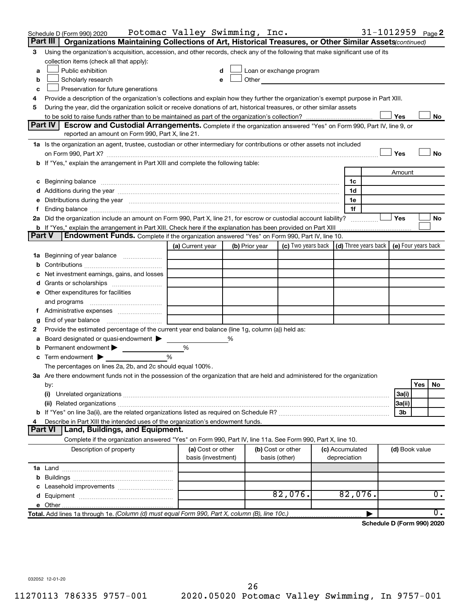|               | Schedule D (Form 990) 2020                                                                                                                                                                                                     | Potomac Valley Swimming, Inc. |   |                |                                                                                                                                                                                                                                |                                                  | 31-1012959 Page 2          |                |     |    |
|---------------|--------------------------------------------------------------------------------------------------------------------------------------------------------------------------------------------------------------------------------|-------------------------------|---|----------------|--------------------------------------------------------------------------------------------------------------------------------------------------------------------------------------------------------------------------------|--------------------------------------------------|----------------------------|----------------|-----|----|
|               | Part III   Organizations Maintaining Collections of Art, Historical Treasures, or Other Similar Assets (continued)                                                                                                             |                               |   |                |                                                                                                                                                                                                                                |                                                  |                            |                |     |    |
| 3             | Using the organization's acquisition, accession, and other records, check any of the following that make significant use of its                                                                                                |                               |   |                |                                                                                                                                                                                                                                |                                                  |                            |                |     |    |
|               | collection items (check all that apply):                                                                                                                                                                                       |                               |   |                |                                                                                                                                                                                                                                |                                                  |                            |                |     |    |
| a             | Public exhibition                                                                                                                                                                                                              | d                             |   |                | Loan or exchange program                                                                                                                                                                                                       |                                                  |                            |                |     |    |
| b             | Scholarly research                                                                                                                                                                                                             | е                             |   |                | Other and the control of the control of the control of the control of the control of the control of the control of the control of the control of the control of the control of the control of the control of the control of th |                                                  |                            |                |     |    |
| c             | Preservation for future generations                                                                                                                                                                                            |                               |   |                |                                                                                                                                                                                                                                |                                                  |                            |                |     |    |
| 4             | Provide a description of the organization's collections and explain how they further the organization's exempt purpose in Part XIII.                                                                                           |                               |   |                |                                                                                                                                                                                                                                |                                                  |                            |                |     |    |
| 5             | During the year, did the organization solicit or receive donations of art, historical treasures, or other similar assets                                                                                                       |                               |   |                |                                                                                                                                                                                                                                |                                                  |                            |                |     |    |
|               |                                                                                                                                                                                                                                |                               |   |                |                                                                                                                                                                                                                                |                                                  |                            | Yes            |     | No |
|               | Part IV<br><b>Escrow and Custodial Arrangements.</b> Complete if the organization answered "Yes" on Form 990, Part IV, line 9, or                                                                                              |                               |   |                |                                                                                                                                                                                                                                |                                                  |                            |                |     |    |
|               | reported an amount on Form 990, Part X, line 21.                                                                                                                                                                               |                               |   |                |                                                                                                                                                                                                                                |                                                  |                            |                |     |    |
|               | 1a Is the organization an agent, trustee, custodian or other intermediary for contributions or other assets not included                                                                                                       |                               |   |                |                                                                                                                                                                                                                                |                                                  |                            |                |     |    |
|               |                                                                                                                                                                                                                                |                               |   |                |                                                                                                                                                                                                                                |                                                  |                            | Yes            |     | No |
|               | b If "Yes," explain the arrangement in Part XIII and complete the following table:                                                                                                                                             |                               |   |                |                                                                                                                                                                                                                                |                                                  |                            |                |     |    |
|               |                                                                                                                                                                                                                                |                               |   |                |                                                                                                                                                                                                                                |                                                  |                            | Amount         |     |    |
|               | c Beginning balance measurements and the contract of the contract of the contract of the contract of the contract of the contract of the contract of the contract of the contract of the contract of the contract of the contr |                               |   |                |                                                                                                                                                                                                                                | 1c                                               |                            |                |     |    |
|               |                                                                                                                                                                                                                                |                               |   |                |                                                                                                                                                                                                                                | 1d                                               |                            |                |     |    |
| е             | Distributions during the year manufactured and an account of the year manufactured and the year manufactured and the year manufactured and the year manufactured and the year manufactured and the year manufactured and the y |                               |   |                |                                                                                                                                                                                                                                | 1e                                               |                            |                |     |    |
| f.            | Ending balance <i>www.communicality.communicality.communicality.communicality.communicality.communicality.communicality.com</i>                                                                                                |                               |   |                |                                                                                                                                                                                                                                | 1f                                               |                            |                |     |    |
|               | 2a Did the organization include an amount on Form 990, Part X, line 21, for escrow or custodial account liability?                                                                                                             |                               |   |                |                                                                                                                                                                                                                                |                                                  |                            | Yes            |     | No |
| <b>Part V</b> | <b>b</b> If "Yes," explain the arrangement in Part XIII. Check here if the explanation has been provided on Part XIII<br><b>Endowment Funds.</b> Complete if the organization answered "Yes" on Form 990, Part IV, line 10.    |                               |   |                |                                                                                                                                                                                                                                |                                                  |                            |                |     |    |
|               |                                                                                                                                                                                                                                |                               |   |                |                                                                                                                                                                                                                                |                                                  |                            |                |     |    |
|               |                                                                                                                                                                                                                                | (a) Current year              |   | (b) Prior year | (c) Two years back                                                                                                                                                                                                             | (d) Three years back $\vert$ (e) Four years back |                            |                |     |    |
|               | 1a Beginning of year balance                                                                                                                                                                                                   |                               |   |                |                                                                                                                                                                                                                                |                                                  |                            |                |     |    |
| b             |                                                                                                                                                                                                                                |                               |   |                |                                                                                                                                                                                                                                |                                                  |                            |                |     |    |
| с             | Net investment earnings, gains, and losses                                                                                                                                                                                     |                               |   |                |                                                                                                                                                                                                                                |                                                  |                            |                |     |    |
| d             |                                                                                                                                                                                                                                |                               |   |                |                                                                                                                                                                                                                                |                                                  |                            |                |     |    |
|               | e Other expenditures for facilities                                                                                                                                                                                            |                               |   |                |                                                                                                                                                                                                                                |                                                  |                            |                |     |    |
|               | and programs                                                                                                                                                                                                                   |                               |   |                |                                                                                                                                                                                                                                |                                                  |                            |                |     |    |
|               | f Administrative expenses                                                                                                                                                                                                      |                               |   |                |                                                                                                                                                                                                                                |                                                  |                            |                |     |    |
| g             |                                                                                                                                                                                                                                |                               |   |                |                                                                                                                                                                                                                                |                                                  |                            |                |     |    |
| 2             | Provide the estimated percentage of the current year end balance (line 1g, column (a)) held as:                                                                                                                                |                               |   |                |                                                                                                                                                                                                                                |                                                  |                            |                |     |    |
| а             | Board designated or quasi-endowment                                                                                                                                                                                            |                               | % |                |                                                                                                                                                                                                                                |                                                  |                            |                |     |    |
| b             | Permanent endowment >                                                                                                                                                                                                          | %                             |   |                |                                                                                                                                                                                                                                |                                                  |                            |                |     |    |
| c             | Term endowment $\blacktriangleright$                                                                                                                                                                                           | $\frac{0}{0}$                 |   |                |                                                                                                                                                                                                                                |                                                  |                            |                |     |    |
|               | The percentages on lines 2a, 2b, and 2c should equal 100%.                                                                                                                                                                     |                               |   |                |                                                                                                                                                                                                                                |                                                  |                            |                |     |    |
|               | 3a Are there endowment funds not in the possession of the organization that are held and administered for the organization                                                                                                     |                               |   |                |                                                                                                                                                                                                                                |                                                  |                            |                |     |    |
|               | by:                                                                                                                                                                                                                            |                               |   |                |                                                                                                                                                                                                                                |                                                  |                            |                | Yes | No |
|               | (i)                                                                                                                                                                                                                            |                               |   |                |                                                                                                                                                                                                                                |                                                  |                            | 3a(i)          |     |    |
|               |                                                                                                                                                                                                                                |                               |   |                |                                                                                                                                                                                                                                |                                                  |                            | 3a(ii)         |     |    |
| b             |                                                                                                                                                                                                                                |                               |   |                |                                                                                                                                                                                                                                |                                                  |                            | 3b             |     |    |
| 4             | Describe in Part XIII the intended uses of the organization's endowment funds.                                                                                                                                                 |                               |   |                |                                                                                                                                                                                                                                |                                                  |                            |                |     |    |
|               | Part VI   Land, Buildings, and Equipment.                                                                                                                                                                                      |                               |   |                |                                                                                                                                                                                                                                |                                                  |                            |                |     |    |
|               | Complete if the organization answered "Yes" on Form 990, Part IV, line 11a. See Form 990, Part X, line 10.                                                                                                                     |                               |   |                |                                                                                                                                                                                                                                |                                                  |                            |                |     |    |
|               | Description of property                                                                                                                                                                                                        | (a) Cost or other             |   |                | (b) Cost or other                                                                                                                                                                                                              | (c) Accumulated                                  |                            | (d) Book value |     |    |
|               |                                                                                                                                                                                                                                | basis (investment)            |   |                | basis (other)                                                                                                                                                                                                                  | depreciation                                     |                            |                |     |    |
|               |                                                                                                                                                                                                                                |                               |   |                |                                                                                                                                                                                                                                |                                                  |                            |                |     |    |
| b             |                                                                                                                                                                                                                                |                               |   |                |                                                                                                                                                                                                                                |                                                  |                            |                |     |    |
| с             | Leasehold improvements                                                                                                                                                                                                         |                               |   |                |                                                                                                                                                                                                                                |                                                  |                            |                |     |    |
| d             |                                                                                                                                                                                                                                |                               |   |                | 82,076.                                                                                                                                                                                                                        | 82,076.                                          |                            |                |     | 0. |
|               |                                                                                                                                                                                                                                |                               |   |                |                                                                                                                                                                                                                                |                                                  |                            |                |     |    |
|               | Total. Add lines 1a through 1e. (Column (d) must equal Form 990, Part X, column (B), line 10c.)                                                                                                                                |                               |   |                |                                                                                                                                                                                                                                |                                                  |                            |                |     | 0. |
|               |                                                                                                                                                                                                                                |                               |   |                |                                                                                                                                                                                                                                |                                                  | Schedule D (Form 990) 2020 |                |     |    |

032052 12-01-20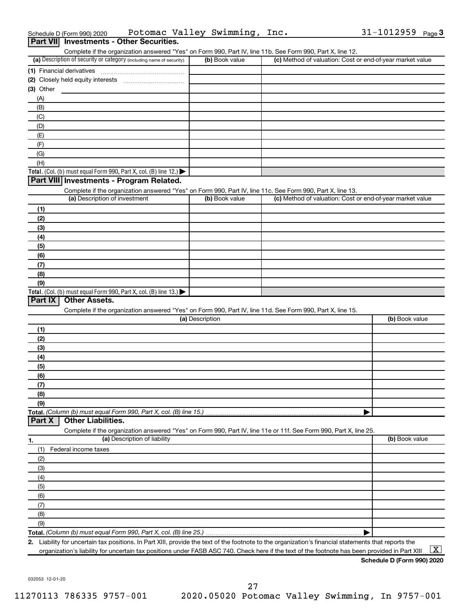|                  | Schedule D (Form 990) 2020    | Potomac Valley Swimming, Inc.                                                                                                                        |                 |                |                                                           | 31-1012959     | Page 3        |
|------------------|-------------------------------|------------------------------------------------------------------------------------------------------------------------------------------------------|-----------------|----------------|-----------------------------------------------------------|----------------|---------------|
| <b>Part VIII</b> |                               | <b>Investments - Other Securities.</b>                                                                                                               |                 |                |                                                           |                |               |
|                  |                               | Complete if the organization answered "Yes" on Form 990, Part IV, line 11b. See Form 990, Part X, line 12.                                           |                 |                |                                                           |                |               |
|                  |                               | (a) Description of security or category (including name of security)                                                                                 |                 | (b) Book value | (c) Method of valuation: Cost or end-of-year market value |                |               |
|                  | (1) Financial derivatives     |                                                                                                                                                      |                 |                |                                                           |                |               |
|                  |                               |                                                                                                                                                      |                 |                |                                                           |                |               |
| $(3)$ Other      |                               |                                                                                                                                                      |                 |                |                                                           |                |               |
| (A)              |                               |                                                                                                                                                      |                 |                |                                                           |                |               |
| (B)              |                               |                                                                                                                                                      |                 |                |                                                           |                |               |
| (C)              |                               |                                                                                                                                                      |                 |                |                                                           |                |               |
| (D)              |                               |                                                                                                                                                      |                 |                |                                                           |                |               |
| (E)              |                               |                                                                                                                                                      |                 |                |                                                           |                |               |
| (F)              |                               |                                                                                                                                                      |                 |                |                                                           |                |               |
| (G)              |                               |                                                                                                                                                      |                 |                |                                                           |                |               |
| (H)              |                               |                                                                                                                                                      |                 |                |                                                           |                |               |
|                  |                               | Total. (Col. (b) must equal Form 990, Part X, col. (B) line 12.)                                                                                     |                 |                |                                                           |                |               |
|                  |                               | Part VIII Investments - Program Related.                                                                                                             |                 |                |                                                           |                |               |
|                  |                               | Complete if the organization answered "Yes" on Form 990, Part IV, line 11c. See Form 990, Part X, line 13.                                           |                 |                |                                                           |                |               |
|                  | (a) Description of investment |                                                                                                                                                      |                 | (b) Book value | (c) Method of valuation: Cost or end-of-year market value |                |               |
| (1)              |                               |                                                                                                                                                      |                 |                |                                                           |                |               |
| (2)              |                               |                                                                                                                                                      |                 |                |                                                           |                |               |
| (3)              |                               |                                                                                                                                                      |                 |                |                                                           |                |               |
| (4)              |                               |                                                                                                                                                      |                 |                |                                                           |                |               |
| (5)              |                               |                                                                                                                                                      |                 |                |                                                           |                |               |
| (6)              |                               |                                                                                                                                                      |                 |                |                                                           |                |               |
| (7)              |                               |                                                                                                                                                      |                 |                |                                                           |                |               |
| (8)              |                               |                                                                                                                                                      |                 |                |                                                           |                |               |
| (9)              |                               |                                                                                                                                                      |                 |                |                                                           |                |               |
|                  |                               | Total. (Col. (b) must equal Form 990, Part X, col. (B) line 13.)                                                                                     |                 |                |                                                           |                |               |
| Part IX          | <b>Other Assets.</b>          |                                                                                                                                                      |                 |                |                                                           |                |               |
|                  |                               | Complete if the organization answered "Yes" on Form 990, Part IV, line 11d. See Form 990, Part X, line 15.                                           |                 |                |                                                           |                |               |
|                  |                               |                                                                                                                                                      | (a) Description |                |                                                           | (b) Book value |               |
| (1)              |                               |                                                                                                                                                      |                 |                |                                                           |                |               |
| (2)              |                               |                                                                                                                                                      |                 |                |                                                           |                |               |
| (3)              |                               |                                                                                                                                                      |                 |                |                                                           |                |               |
| (4)              |                               |                                                                                                                                                      |                 |                |                                                           |                |               |
| (5)              |                               |                                                                                                                                                      |                 |                |                                                           |                |               |
| (6)              |                               |                                                                                                                                                      |                 |                |                                                           |                |               |
| (7)              |                               |                                                                                                                                                      |                 |                |                                                           |                |               |
| (8)              |                               |                                                                                                                                                      |                 |                |                                                           |                |               |
| (9)              |                               |                                                                                                                                                      |                 |                |                                                           |                |               |
|                  |                               | Total. (Column (b) must equal Form 990, Part X, col. (B) line 15.).                                                                                  |                 |                |                                                           |                |               |
| Part X           | <b>Other Liabilities.</b>     |                                                                                                                                                      |                 |                |                                                           |                |               |
|                  |                               | Complete if the organization answered "Yes" on Form 990, Part IV, line 11e or 11f. See Form 990, Part X, line 25.                                    |                 |                |                                                           |                |               |
| 1.               |                               | (a) Description of liability                                                                                                                         |                 |                |                                                           | (b) Book value |               |
| (1)              | Federal income taxes          |                                                                                                                                                      |                 |                |                                                           |                |               |
| (2)              |                               |                                                                                                                                                      |                 |                |                                                           |                |               |
| (3)              |                               |                                                                                                                                                      |                 |                |                                                           |                |               |
| (4)              |                               |                                                                                                                                                      |                 |                |                                                           |                |               |
| (5)              |                               |                                                                                                                                                      |                 |                |                                                           |                |               |
| (6)              |                               |                                                                                                                                                      |                 |                |                                                           |                |               |
| (7)              |                               |                                                                                                                                                      |                 |                |                                                           |                |               |
|                  |                               |                                                                                                                                                      |                 |                |                                                           |                |               |
| (8)              |                               |                                                                                                                                                      |                 |                |                                                           |                |               |
| (9)              |                               |                                                                                                                                                      |                 |                |                                                           |                |               |
|                  |                               |                                                                                                                                                      |                 |                |                                                           |                |               |
|                  |                               | 2. Liability for uncertain tax positions. In Part XIII, provide the text of the footnote to the organization's financial statements that reports the |                 |                |                                                           |                | <b>Castle</b> |

organization's liability for uncertain tax positions under FASB ASC 740. Check here if the text of the footnote has been provided in Part XIII ...  $\fbox{\bf X}$ 

032053 12-01-20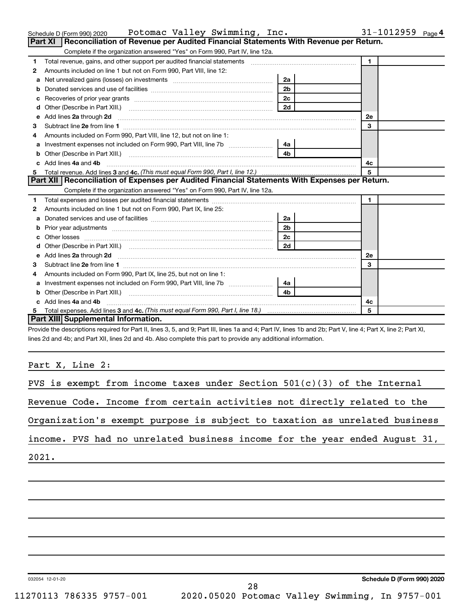|    | Potomac Valley Swimming, Inc.<br>Schedule D (Form 990) 2020                                                                                                                                                                              |                | 31-1012959 $_{Page 4}$ |
|----|------------------------------------------------------------------------------------------------------------------------------------------------------------------------------------------------------------------------------------------|----------------|------------------------|
|    | <b>Part XI</b><br>Reconciliation of Revenue per Audited Financial Statements With Revenue per Return.                                                                                                                                    |                |                        |
|    | Complete if the organization answered "Yes" on Form 990, Part IV, line 12a.                                                                                                                                                              |                |                        |
| 1  |                                                                                                                                                                                                                                          |                | $\mathbf{1}$           |
| 2  | Amounts included on line 1 but not on Form 990, Part VIII, line 12:                                                                                                                                                                      |                |                        |
| a  | Net unrealized gains (losses) on investments [111] [12] matter and all property and all property and all property and the university and the university and the university of the university and the university and the univer           | 2a             |                        |
| b  | Donated services and use of facilities [111] matter contracts and use of facilities [11] matter contracts and use of facilities [11] matter contracts and use of facilities [11] matter contracts and the Donate Service and D           | 2 <sub>b</sub> |                        |
| с  |                                                                                                                                                                                                                                          | 2c             |                        |
| d  |                                                                                                                                                                                                                                          | 2d             |                        |
|    | e Add lines 2a through 2d [11] manufactured and all the Add lines 2a through 2d [11] manufactured and all through 2d [11] manufactured and all through 2d [11] manufactured and all through 2d [11] manufactured and all throu           |                | <b>2e</b>              |
| 3  |                                                                                                                                                                                                                                          |                | 3                      |
| 4  | Amounts included on Form 990, Part VIII, line 12, but not on line 1:                                                                                                                                                                     |                |                        |
| a  | Investment expenses not included on Form 990, Part VIII, line 7b [100] [2006] [4a]                                                                                                                                                       |                |                        |
| b  |                                                                                                                                                                                                                                          |                |                        |
| c  | Add lines 4a and 4b                                                                                                                                                                                                                      |                | 4c                     |
| 5. |                                                                                                                                                                                                                                          |                | 5                      |
|    | Part XII   Reconciliation of Expenses per Audited Financial Statements With Expenses per Return.                                                                                                                                         |                |                        |
|    | Complete if the organization answered "Yes" on Form 990, Part IV, line 12a.                                                                                                                                                              |                |                        |
| 1  |                                                                                                                                                                                                                                          |                | $\mathbf{1}$           |
| 2  | Amounts included on line 1 but not on Form 990, Part IX, line 25:                                                                                                                                                                        |                |                        |
| a  | Donated services and use of facilities [11] matter controller and use of facilities [11] matter controller and use of facilities [11] matter controller and use of facilities [11] matter controller and the Donated School an           | 2a             |                        |
| b  |                                                                                                                                                                                                                                          | 2 <sub>b</sub> |                        |
| с  | Other losses                                                                                                                                                                                                                             | 2c             |                        |
| d  |                                                                                                                                                                                                                                          | 2d             |                        |
|    | e Add lines 2a through 2d <b>[10]</b> [10] <b>All and Property Contract 20 and 20</b> and 20 and 20 and 20 and 20 and 20 and 20 and 20 and 20 and 20 and 20 and 20 and 20 and 20 and 20 and 20 and 20 and 20 and 20 and 20 and 20 and 20 |                | <b>2e</b>              |
| 3  |                                                                                                                                                                                                                                          |                | 3                      |
| 4  | Amounts included on Form 990, Part IX, line 25, but not on line 1:                                                                                                                                                                       |                |                        |
|    |                                                                                                                                                                                                                                          |                |                        |

### **5** Total expenses. Add lines 3 and 4c. (This must equal Form 990, Part I, line 18.) **Part XIII Supplemental Information.**

**b 4b** Other (Describe in Part XIII.) ~~~~~~~~~~~~~~~~~~~~~~~~~~

**c 4a 4b** Add lines and ~~~~~~~~~~~~~~~~~~~~~~~~~~~~~~~~~~~~~~~~~~~~~

Provide the descriptions required for Part II, lines 3, 5, and 9; Part III, lines 1a and 4; Part IV, lines 1b and 2b; Part V, line 4; Part X, line 2; Part XI, lines 2d and 4b; and Part XII, lines 2d and 4b. Also complete this part to provide any additional information.

Part X, Line 2:

| PVS is exempt from income taxes under Section $501(c)(3)$ of the Internal  |
|----------------------------------------------------------------------------|
| Revenue Code. Income from certain activities not directly related to the   |
| Organization's exempt purpose is subject to taxation as unrelated business |
| income. PVS had no unrelated business income for the year ended August 31, |
| 2021.                                                                      |
|                                                                            |
|                                                                            |
|                                                                            |
|                                                                            |
|                                                                            |

032054 12-01-20

**4c 5**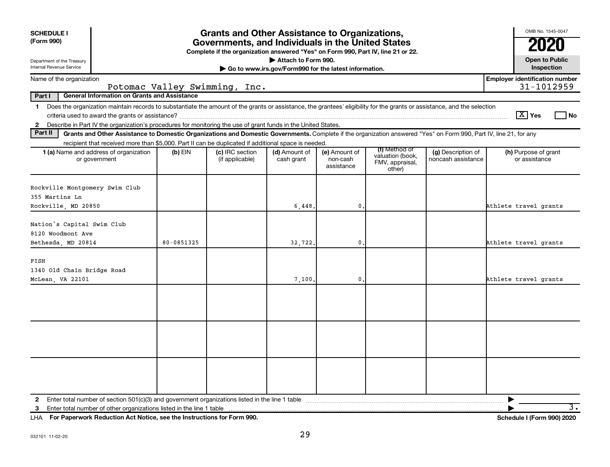| <b>Grants and Other Assistance to Organizations,</b><br><b>SCHEDULE I</b><br>(Form 990)<br>Governments, and Individuals in the United States<br>Complete if the organization answered "Yes" on Form 990, Part IV, line 21 or 22. |                                                                                                                                                                                                                                                                                     |            |                                    |                                                                              |                                         |                                                                |                                          | OMB No. 1545-0047<br>2020                           |
|----------------------------------------------------------------------------------------------------------------------------------------------------------------------------------------------------------------------------------|-------------------------------------------------------------------------------------------------------------------------------------------------------------------------------------------------------------------------------------------------------------------------------------|------------|------------------------------------|------------------------------------------------------------------------------|-----------------------------------------|----------------------------------------------------------------|------------------------------------------|-----------------------------------------------------|
| Department of the Treasury<br>Internal Revenue Service                                                                                                                                                                           |                                                                                                                                                                                                                                                                                     |            |                                    | Attach to Form 990.<br>Go to www.irs.gov/Form990 for the latest information. |                                         |                                                                |                                          | <b>Open to Public</b><br>Inspection                 |
| Name of the organization                                                                                                                                                                                                         |                                                                                                                                                                                                                                                                                     |            | Potomac Valley Swimming, Inc.      |                                                                              |                                         |                                                                |                                          | <b>Employer identification number</b><br>31-1012959 |
| Part I                                                                                                                                                                                                                           | <b>General Information on Grants and Assistance</b>                                                                                                                                                                                                                                 |            |                                    |                                                                              |                                         |                                                                |                                          |                                                     |
| $\mathbf 1$                                                                                                                                                                                                                      | Does the organization maintain records to substantiate the amount of the grants or assistance, the grantees' eligibility for the grants or assistance, and the selection                                                                                                            |            |                                    |                                                                              |                                         |                                                                |                                          | $ \mathbf{X} $ Yes<br>l No                          |
| $\mathbf{2}$<br>Part II                                                                                                                                                                                                          | Describe in Part IV the organization's procedures for monitoring the use of grant funds in the United States.<br>Grants and Other Assistance to Domestic Organizations and Domestic Governments. Complete if the organization answered "Yes" on Form 990, Part IV, line 21, for any |            |                                    |                                                                              |                                         |                                                                |                                          |                                                     |
|                                                                                                                                                                                                                                  | recipient that received more than \$5,000. Part II can be duplicated if additional space is needed.                                                                                                                                                                                 |            |                                    |                                                                              |                                         |                                                                |                                          |                                                     |
|                                                                                                                                                                                                                                  | <b>1 (a)</b> Name and address of organization<br>or government                                                                                                                                                                                                                      | $(b)$ EIN  | (c) IRC section<br>(if applicable) | (d) Amount of<br>cash grant                                                  | (e) Amount of<br>non-cash<br>assistance | (f) Method of<br>valuation (book,<br>FMV, appraisal,<br>other) | (g) Description of<br>noncash assistance | (h) Purpose of grant<br>or assistance               |
| Rockville Montgomery Swim Club<br>355 Martins Ln<br>Rockville, MD 20850                                                                                                                                                          |                                                                                                                                                                                                                                                                                     |            |                                    | 6,448                                                                        | 0.                                      |                                                                |                                          | Athlete travel grants                               |
| Nation's Capital Swim Club<br>8120 Woodmont Ave                                                                                                                                                                                  |                                                                                                                                                                                                                                                                                     |            |                                    |                                                                              |                                         |                                                                |                                          |                                                     |
| Bethesda, MD 20814                                                                                                                                                                                                               |                                                                                                                                                                                                                                                                                     | 80-0851325 |                                    | 32,722.                                                                      | $\mathbf 0$                             |                                                                |                                          | Athlete travel grants                               |
| FISH<br>1340 Old Chain Bridge Road<br>McLean, VA 22101                                                                                                                                                                           |                                                                                                                                                                                                                                                                                     |            |                                    | 7,100.                                                                       | $\mathbf{0}$                            |                                                                |                                          | Athlete travel grants                               |
|                                                                                                                                                                                                                                  |                                                                                                                                                                                                                                                                                     |            |                                    |                                                                              |                                         |                                                                |                                          |                                                     |
|                                                                                                                                                                                                                                  |                                                                                                                                                                                                                                                                                     |            |                                    |                                                                              |                                         |                                                                |                                          |                                                     |
|                                                                                                                                                                                                                                  |                                                                                                                                                                                                                                                                                     |            |                                    |                                                                              |                                         |                                                                |                                          |                                                     |
| 3                                                                                                                                                                                                                                | Enter total number of other organizations listed in the line 1 table                                                                                                                                                                                                                |            |                                    |                                                                              |                                         |                                                                |                                          | $\overline{\mathbf{3}}$ .                           |

**For Paperwork Reduction Act Notice, see the Instructions for Form 990. Schedule I (Form 990) 2020** LHA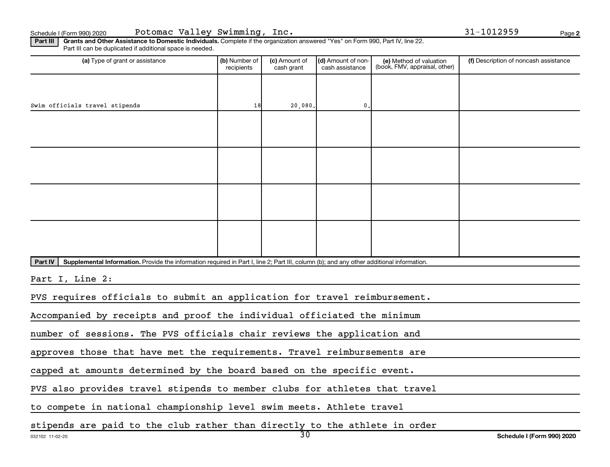**2**

Part III | Grants and Other Assistance to Domestic Individuals. Complete if the organization answered "Yes" on Form 990, Part IV, line 22. Part III can be duplicated if additional space is needed.

| (a) Type of grant or assistance                                                                                                                      | (b) Number of<br>recipients                                                | (c) Amount of<br>cash grant | (d) Amount of non-<br>cash assistance | (e) Method of valuation<br>(book, FMV, appraisal, other) | (f) Description of noncash assistance |  |  |  |
|------------------------------------------------------------------------------------------------------------------------------------------------------|----------------------------------------------------------------------------|-----------------------------|---------------------------------------|----------------------------------------------------------|---------------------------------------|--|--|--|
|                                                                                                                                                      |                                                                            |                             |                                       |                                                          |                                       |  |  |  |
| Swim officials travel stipends                                                                                                                       | 18                                                                         | 20,080.                     | 0.                                    |                                                          |                                       |  |  |  |
|                                                                                                                                                      |                                                                            |                             |                                       |                                                          |                                       |  |  |  |
|                                                                                                                                                      |                                                                            |                             |                                       |                                                          |                                       |  |  |  |
|                                                                                                                                                      |                                                                            |                             |                                       |                                                          |                                       |  |  |  |
|                                                                                                                                                      |                                                                            |                             |                                       |                                                          |                                       |  |  |  |
|                                                                                                                                                      |                                                                            |                             |                                       |                                                          |                                       |  |  |  |
|                                                                                                                                                      |                                                                            |                             |                                       |                                                          |                                       |  |  |  |
|                                                                                                                                                      |                                                                            |                             |                                       |                                                          |                                       |  |  |  |
|                                                                                                                                                      |                                                                            |                             |                                       |                                                          |                                       |  |  |  |
| Part IV<br>Supplemental Information. Provide the information required in Part I, line 2; Part III, column (b); and any other additional information. |                                                                            |                             |                                       |                                                          |                                       |  |  |  |
| Part I, Line 2:                                                                                                                                      |                                                                            |                             |                                       |                                                          |                                       |  |  |  |
| PVS requires officials to submit an application for travel reimbursement.                                                                            |                                                                            |                             |                                       |                                                          |                                       |  |  |  |
| Accompanied by receipts and proof the individual officiated the minimum                                                                              |                                                                            |                             |                                       |                                                          |                                       |  |  |  |
| number of sessions. The PVS officials chair reviews the application and                                                                              |                                                                            |                             |                                       |                                                          |                                       |  |  |  |
| approves those that have met the requirements. Travel reimbursements are                                                                             |                                                                            |                             |                                       |                                                          |                                       |  |  |  |
| capped at amounts determined by the board based on the specific event.                                                                               |                                                                            |                             |                                       |                                                          |                                       |  |  |  |
|                                                                                                                                                      | PVS also provides travel stipends to member clubs for athletes that travel |                             |                                       |                                                          |                                       |  |  |  |
| to compete in national championship level swim meets. Athlete travel                                                                                 |                                                                            |                             |                                       |                                                          |                                       |  |  |  |

stipends are paid to the club rather than directly to the athlete in order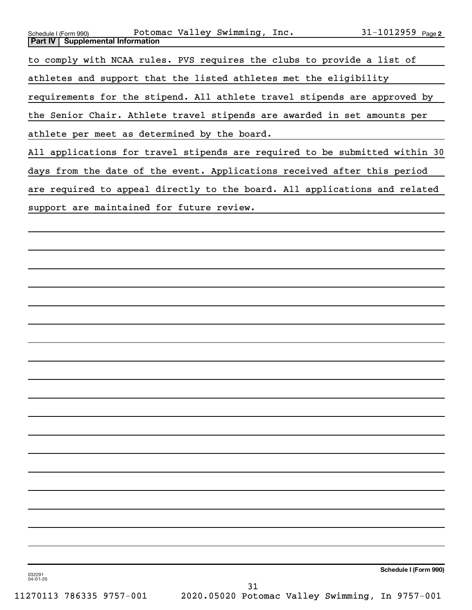| Schedule I (Form 990)                                                     |  | Potomac Valley Swimming, Inc. | $31 - 1012959$ Page 2                                                       |
|---------------------------------------------------------------------------|--|-------------------------------|-----------------------------------------------------------------------------|
| <b>Part IV   Supplemental Information</b>                                 |  |                               |                                                                             |
| to comply with NCAA rules. PVS requires the clubs to provide a list of    |  |                               |                                                                             |
| athletes and support that the listed athletes met the eligibility         |  |                               |                                                                             |
| requirements for the stipend. All athlete travel stipends are approved by |  |                               |                                                                             |
| the Senior Chair. Athlete travel stipends are awarded in set amounts per  |  |                               |                                                                             |
| athlete per meet as determined by the board.                              |  |                               |                                                                             |
|                                                                           |  |                               | All applications for travel stipends are required to be submitted within 30 |
| days from the date of the event. Applications received after this period  |  |                               |                                                                             |
|                                                                           |  |                               | are required to appeal directly to the board. All applications and related  |
| support are maintained for future review.                                 |  |                               |                                                                             |
|                                                                           |  |                               |                                                                             |
|                                                                           |  |                               |                                                                             |
|                                                                           |  |                               |                                                                             |
|                                                                           |  |                               |                                                                             |
|                                                                           |  |                               |                                                                             |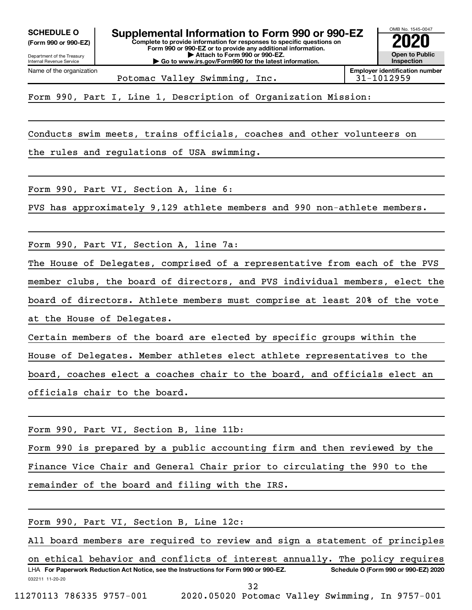**(Form 990 or 990-EZ)**



Potomac Valley Swimming, Inc.  $\vert$  31-1012959

Form 990, Part I, Line 1, Description of Organization Mission:

Conducts swim meets, trains officials, coaches and other volunteers on

the rules and regulations of USA swimming.

Form 990, Part VI, Section A, line 6:

PVS has approximately 9,129 athlete members and 990 non-athlete members.

Form 990, Part VI, Section A, line 7a:

The House of Delegates, comprised of a representative from each of the PVS member clubs, the board of directors, and PVS individual members, elect the board of directors. Athlete members must comprise at least 20% of the vote at the House of Delegates.

Certain members of the board are elected by specific groups within the House of Delegates. Member athletes elect athlete representatives to the board, coaches elect a coaches chair to the board, and officials elect an officials chair to the board.

Form 990, Part VI, Section B, line 11b:

Form 990 is prepared by a public accounting firm and then reviewed by the Finance Vice Chair and General Chair prior to circulating the 990 to the remainder of the board and filing with the IRS.

| Form 990, Part VI, Section B, Line 12c:                                                                                      |
|------------------------------------------------------------------------------------------------------------------------------|
| All board members are required to review and sign a statement of principles                                                  |
| on ethical behavior and conflicts of interest annually. The policy requires                                                  |
| LHA For Paperwork Reduction Act Notice, see the Instructions for Form 990 or 990-EZ.<br>Schedule O (Form 990 or 990-EZ) 2020 |
| 032211 11-20-20                                                                                                              |
| 32                                                                                                                           |
| 2020.05020 Potomac Valley Swimming, In 9757-001<br>11270113 786335 9757-001                                                  |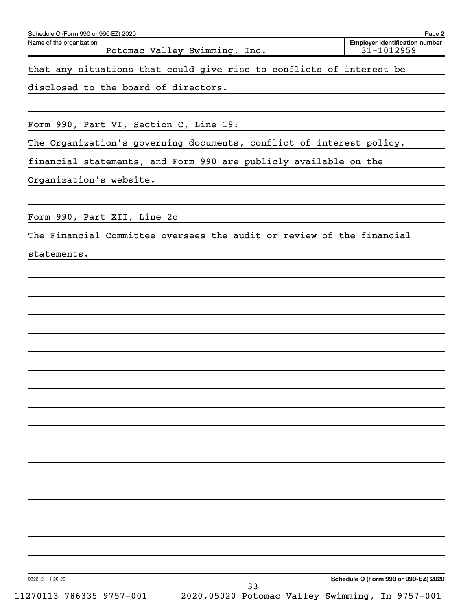| Name of the organization               | Potomac Valley Swimming, Inc.                                         | <b>Employer identification number</b><br>31-1012959 |
|----------------------------------------|-----------------------------------------------------------------------|-----------------------------------------------------|
|                                        | that any situations that could give rise to conflicts of interest be  |                                                     |
| disclosed to the board of directors.   |                                                                       |                                                     |
|                                        |                                                                       |                                                     |
| Form 990, Part VI, Section C, Line 19: |                                                                       |                                                     |
|                                        | The Organization's governing documents, conflict of interest policy,  |                                                     |
|                                        | financial statements, and Form 990 are publicly available on the      |                                                     |
| Organization's website.                |                                                                       |                                                     |
| Form 990, Part XII, Line 2c            |                                                                       |                                                     |
|                                        | The Financial Committee oversees the audit or review of the financial |                                                     |
| statements.                            |                                                                       |                                                     |
|                                        |                                                                       |                                                     |
|                                        |                                                                       |                                                     |
|                                        |                                                                       |                                                     |
|                                        |                                                                       |                                                     |
|                                        |                                                                       |                                                     |
|                                        |                                                                       |                                                     |
|                                        |                                                                       |                                                     |
|                                        |                                                                       |                                                     |
|                                        |                                                                       |                                                     |
|                                        |                                                                       |                                                     |
|                                        |                                                                       |                                                     |
|                                        |                                                                       |                                                     |
|                                        |                                                                       |                                                     |
|                                        |                                                                       |                                                     |
|                                        |                                                                       |                                                     |
|                                        |                                                                       |                                                     |
|                                        |                                                                       |                                                     |
| 032212 11-20-20                        | 33                                                                    | Schedule O (Form 990 or 990-EZ) 2020                |
| 11270113 786335 9757-001               | 2020.05020 Potomac Valley Swimming, In 9757-001                       |                                                     |

Schedule O (Form 990 or 990-EZ) 2020

**2**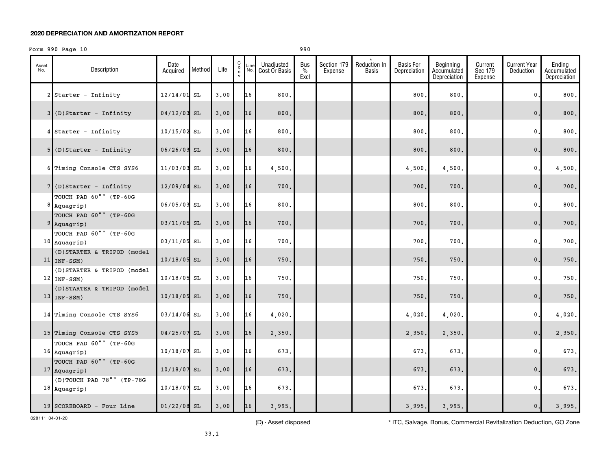# Form 990 Page 10 990 990

| Asset<br>No. | Description                                    | Date<br>Acquired | Method | Life | $\begin{matrix} 0 \\ 0 \\ n \end{matrix}$ | Line<br>No. | Unadjusted<br>Cost Or Basis | Bus<br>$\%$<br>Excl | Section 179<br>Expense | <b>Reduction In</b><br>Basis | <b>Basis For</b><br>Depreciation | Beginning<br>Accumulated<br>Depreciation | Current<br>Sec 179<br>Expense | <b>Current Year</b><br>Deduction | Ending<br>Accumulated<br>Depreciation |
|--------------|------------------------------------------------|------------------|--------|------|-------------------------------------------|-------------|-----------------------------|---------------------|------------------------|------------------------------|----------------------------------|------------------------------------------|-------------------------------|----------------------------------|---------------------------------------|
|              | $2$ Starter - Infinity                         | 12/14/01 SL      |        | 3.00 |                                           | 16          | 800.                        |                     |                        |                              | 800                              | 800.                                     |                               | $\mathbf{0}$ .                   | 800.                                  |
|              | $3$ (D)Starter - Infinity                      | $04/12/03$ SL    |        | 3.00 |                                           | 16          | 800.                        |                     |                        |                              | 800.                             | 800.                                     |                               | $\mathbf{0}$ .                   | 800.                                  |
|              | $4$ Starter - Infinity                         | $10/15/02$ SL    |        | 3,00 |                                           | 16          | 800.                        |                     |                        |                              | 800                              | 800.                                     |                               | $\mathbf{0}$ .                   | 800.                                  |
|              | $5$ (D)Starter - Infinity                      | $06/26/03$ SL    |        | 3.00 |                                           | 16          | 800.                        |                     |                        |                              | 800.                             | 800.                                     |                               | 0.                               | 800.                                  |
|              | 6 Timing Console CTS SYS6                      | 11/03/03 SL      |        | 3.00 |                                           | 16          | 4,500.                      |                     |                        |                              | 4,500.                           | 4,500.                                   |                               | $\mathfrak o$ .                  | 4,500.                                |
|              | $7$ (D)Starter - Infinity                      | $12/09/04$ SL    |        | 3,00 |                                           | 16          | 700.                        |                     |                        |                              | 700.                             | 700.                                     |                               | 0.                               | 700.                                  |
|              | TOUCH PAD 60"" (TP-60G<br>$8$ Aquagrip)        | 06/05/03 SL      |        | 3.00 |                                           | 16          | 800.                        |                     |                        |                              | 800                              | 800.                                     |                               | $\mathbf{0}$                     | 800.                                  |
|              | TOUCH PAD 60"" (TP-60G<br>$9$ Aquagrip)        | $03/11/05$ SL    |        | 3,00 |                                           | 16          | 700.                        |                     |                        |                              | 700.                             | 700.                                     |                               | $\mathbf{0}$ .                   | 700.                                  |
|              | TOUCH PAD 60"" (TP-60G<br>$10$ Aquagrip)       | 03/11/05 SL      |        | 3,00 |                                           | 16          | 700.                        |                     |                        |                              | 700                              | 700.                                     |                               | $\mathbf{0}$ .                   | 700.                                  |
|              | (D) STARTER & TRIPOD (model<br>$11$   INF-SSM) | 10/18/05 SL      |        | 3.00 |                                           | 16          | 750.                        |                     |                        |                              | 750.                             | 750.                                     |                               | $\mathbf{0}$ .                   | $750.$                                |
|              | (D) STARTER & TRIPOD (model<br>$12$ INF-SSM)   | $10/18/05$ SL    |        | 3.00 |                                           | 16          | 750.                        |                     |                        |                              | 750                              | 750.                                     |                               | $\mathbf{0}$ .                   | 750.                                  |
|              | (D) STARTER & TRIPOD (model<br>$13$ INF-SSM)   | $10/18/05$ SL    |        | 3,00 |                                           | 16          | 750.                        |                     |                        |                              | 750.                             | 750.                                     |                               | 0.                               | $750.$                                |
|              | 14 Timing Console CTS SYS6                     | $03/14/06$ SL    |        | 3.00 |                                           | 16          | 4,020.                      |                     |                        |                              | 4,020.                           | 4,020.                                   |                               | 0.                               | 4,020.                                |
|              | 15 Timing Console CTS SYS5                     | $04/25/07$ SL    |        | 3,00 |                                           | 16          | 2,350.                      |                     |                        |                              | 2,350.                           | 2,350.                                   |                               | $\mathsf{0}\,.$                  | 2,350.                                |
|              | TOUCH PAD 60"" (TP-60G<br>$16$ Aquagrip)       | $10/18/07$ SL    |        | 3.00 |                                           | 16          | 673.                        |                     |                        |                              | 673.                             | 673.                                     |                               | 0.                               | 673.                                  |
|              | TOUCH PAD 60"" (TP-60G<br>$17$ Aquagrip)       | $10/18/07$ SL    |        | 3,00 |                                           | 16          | 673.                        |                     |                        |                              | 673.                             | 673.                                     |                               | 0.                               | 673.                                  |
|              | $(D)$ TOUCH PAD 78"" (TP-78G<br>$18$ Aquagrip) | $10/18/07$ SL    |        | 3.00 |                                           | 16          | 673.                        |                     |                        |                              | 673.                             | 673.                                     |                               | $\mathbf{0}$ .                   | 673.                                  |
|              | 19 SCOREBOARD - Four Line                      | $01/22/08$ SL    |        | 3.00 |                                           | 16          | 3,995.                      |                     |                        |                              | 3,995.                           | 3,995.                                   |                               | $\mathsf{0}$ .                   | 3,995.                                |

028111 04-01-20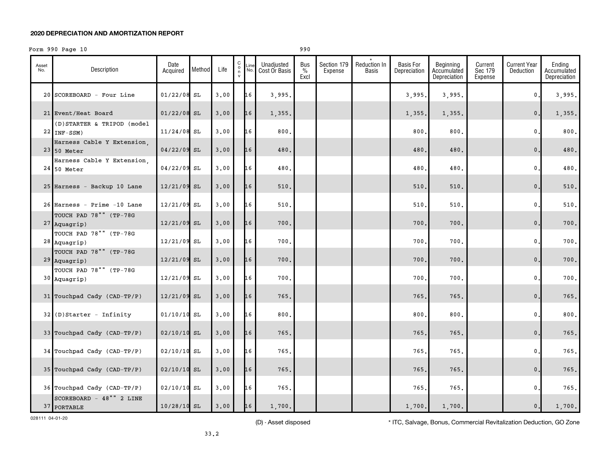## Form 990 Page 10 990 990

| Asset<br>No. | Description                                  | Date<br>Acquired | Method | Life | $_{\rm o}^{\rm C}$<br>n<br>$\mathsf{v}$ | Line<br>No. | Unadjusted<br>Cost Or Basis | Bus<br>% | Section 179<br>Expense | Reduction In<br>Basis | <b>Basis For</b><br>Depreciation | Beginning<br>Accumulated | Current<br>Sec 179 | Current Year<br>Deduction | Ending<br>Accumulated |
|--------------|----------------------------------------------|------------------|--------|------|-----------------------------------------|-------------|-----------------------------|----------|------------------------|-----------------------|----------------------------------|--------------------------|--------------------|---------------------------|-----------------------|
|              |                                              |                  |        |      |                                         |             |                             | Excl     |                        |                       |                                  | Depreciation             | Expense            |                           | Depreciation          |
|              | 20 SCOREBOARD - Four Line                    | $01/22/08$ SL    |        | 3.00 |                                         | 16          | 3,995.                      |          |                        |                       | 3,995.                           | 3,995.                   |                    | 0.                        | 3,995.                |
|              | 21 Event/Heat Board                          | $01/22/08$ SL    |        | 3.00 |                                         | 16          | 1,355.                      |          |                        |                       | 1,355.                           | 1,355.                   |                    | $\mathsf{0}\,.$           | 1,355.                |
|              | (D) STARTER & TRIPOD (model<br>$22$ INF-SSM) | $11/24/08$ SL    |        | 3.00 |                                         | 16          | 800.                        |          |                        |                       | 800                              | 800.                     |                    | $\mathbf{0}$ .            | 800.                  |
|              | Harness Cable Y Extension,<br>23 50 Meter    | 04/22/09 SL      |        | 3.00 |                                         | 16          | 480.                        |          |                        |                       | 480                              | 480.                     |                    | $\mathbf{0}$ .            | 480.                  |
|              | Harness Cable Y Extension,<br>$24$ 50 Meter  | $04/22/09$ SL    |        | 3.00 |                                         | 16          | 480.                        |          |                        |                       | 480                              | 480.                     |                    | $\mathbf{0}$ .            | 480.                  |
|              | 25 Harness - Backup 10 Lane                  | $12/21/09$ SL    |        | 3.00 |                                         | 16          | 510.                        |          |                        |                       | 510                              | 510.                     |                    | $\mathbf{0}$ .            | 510.                  |
|              |                                              |                  |        |      |                                         |             |                             |          |                        |                       |                                  |                          |                    |                           |                       |
|              | 26 Harness - Prime -10 Lane                  | $12/21/09$ SL    |        | 3.00 |                                         | 16          | 510.                        |          |                        |                       | 510                              | 510.                     |                    | $\mathbf{0}$              | $510.$                |
|              | TOUCH PAD 78"" (TP-78G<br>$27$ Aquagrip)     | 12/21/09 SL      |        | 3.00 |                                         | 16          | 700.                        |          |                        |                       | 700.                             | 700.                     |                    | $\mathbf{0}$ .            | 700.                  |
|              | TOUCH PAD 78"" (TP-78G                       |                  |        |      |                                         |             |                             |          |                        |                       |                                  |                          |                    |                           |                       |
|              | $28$ Aquagrip)                               | $12/21/09$ SL    |        | 3.00 |                                         | 16          | 700.                        |          |                        |                       | 700                              | 700.                     |                    | $\mathbf 0$ .             | 700.                  |
|              | TOUCH PAD 78"" (TP-78G<br>$29$ Aquagrip)     | 12/21/09 SL      |        | 3.00 |                                         | 16          | 700.                        |          |                        |                       | 700.                             | 700.                     |                    | $\mathbf{0}$ .            | 700.                  |
|              | TOUCH PAD 78"" (TP-78G<br>$30$ Aquagrip)     | $12/21/09$ SL    |        | 3,00 |                                         | 16          | 700.                        |          |                        |                       | 700                              | 700.                     |                    | 0.                        | 700.                  |
|              | 31 Touchpad Cady (CAD-TP/P)                  | $12/21/09$ SL    |        | 3.00 |                                         | 16          | 765.                        |          |                        |                       | 765                              | 765.                     |                    | $\mathbf{0}$ .            | 765.                  |
|              | $32$ (D) Starter - Infinity                  | $01/10/10$ SL    |        | 3,00 |                                         | 16          | 800.                        |          |                        |                       | 800                              | 800.                     |                    | $\mathbf{0}$ .            | 800.                  |
|              | 33 Touchpad Cady (CAD-TP/P)                  | $02/10/10$ SL    |        | 3.00 |                                         | 16          | 765.                        |          |                        |                       | 765.                             | 765.                     |                    | $\mathbf{0}$ .            | 765.                  |
|              |                                              |                  |        |      |                                         |             |                             |          |                        |                       |                                  |                          |                    |                           |                       |
|              | 34 Touchpad Cady (CAD-TP/P)                  | $02/10/10$ SL    |        | 3.00 |                                         | 16          | 765.                        |          |                        |                       | 765                              | 765.                     |                    | $\mathbf{0}$ .            | 765.                  |
|              | 35 Touchpad Cady (CAD-TP/P)                  | $02/10/10$ SL    |        | 3.00 |                                         | 16          | 765.                        |          |                        |                       | 765.                             | 765.                     |                    | $\mathbf{0}$ .            | 765.                  |
|              | 36 Touchpad Cady (CAD-TP/P)                  | $02/10/10$ SL    |        | 3.00 |                                         | 16          | 765.                        |          |                        |                       | 765.                             | 765.                     |                    | $\mathbf{0}$ .            | 765.                  |
|              | SCOREBOARD - 48"" 2 LINE<br>37 PORTABLE      | $10/28/10$ SL    |        | 3.00 |                                         | 16          | 1,700.                      |          |                        |                       | 1,700.                           | 1,700.                   |                    | 0.                        | 1,700.                |

028111 04-01-20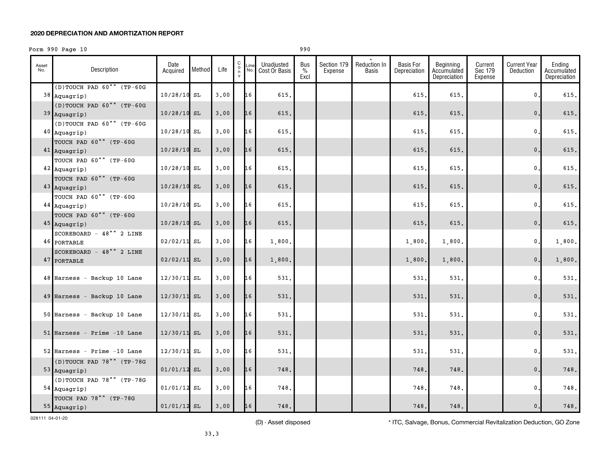# Form 990 Page 10 990 990

| Asset<br>No. | Description                                                        | Date<br>Acquired | Method | Life | $\mathtt{C}$<br>$\circ$<br>n |    | Unadjusted<br>Line Unaujusteu<br>No. Cost Or Basis | Bus<br>$\%$<br>Excl | Section 179<br>Expense | Reduction In<br>Basis | <b>Basis For</b><br>Depreciation | Beginning<br>Accumulated<br>Depreciation | Current<br>Sec 179<br>Expense | <b>Current Year</b><br>Deduction | Ending<br>Accumulated<br>Depreciation |
|--------------|--------------------------------------------------------------------|------------------|--------|------|------------------------------|----|----------------------------------------------------|---------------------|------------------------|-----------------------|----------------------------------|------------------------------------------|-------------------------------|----------------------------------|---------------------------------------|
|              | (D)TOUCH PAD 60"" (TP-60G<br>$38$ Aquagrip)                        | $10/28/10$ SL    |        | 3.00 |                              | 16 | 615.                                               |                     |                        |                       | 615.                             | 615.                                     |                               | $\mathbf{0}$ .                   | 615.                                  |
|              | (D)TOUCH PAD 60"" (TP-60G<br>$39$ Aquagrip)                        | $10/28/10$ SL    |        | 3.00 |                              | 16 | 615.                                               |                     |                        |                       | 615.                             | 615.                                     |                               | $\mathbf{0}$ .                   | 615.                                  |
|              | (D)TOUCH PAD 60"" (TP-60G<br>$40$ Aquagrip)                        | $10/28/10$ SL    |        | 3.00 |                              | 16 | 615.                                               |                     |                        |                       | 615                              | 615.                                     |                               | $\mathbf{0}$ .                   | 615.                                  |
|              | TOUCH PAD 60"" (TP-60G<br>$41$ Aquagrip)                           | $10/28/10$ SL    |        | 3.00 |                              | 16 | 615.                                               |                     |                        |                       | 615.                             | 615.                                     |                               | 0.                               | 615.                                  |
|              | TOUCH PAD 60"" (TP-60G<br>42 Aquagrip)                             | $10/28/10$ SL    |        | 3.00 |                              | 16 | 615.                                               |                     |                        |                       | 615.                             | 615.                                     |                               | 0.                               | 615.                                  |
|              | TOUCH PAD 60"" (TP-60G<br>$43$ Aquagrip)                           | 10/28/10 SL      |        | 3.00 |                              | 16 | 615.                                               |                     |                        |                       | 615.                             | 615.                                     |                               | $\mathbf{0}$ .                   | 615.                                  |
|              | TOUCH PAD 60"" (TP-60G<br>$44$ Aquagrip)<br>TOUCH PAD 60"" (TP-60G | $10/28/10$ SL    |        | 3.00 |                              | 16 | 615.                                               |                     |                        |                       | 615.                             | 615.                                     |                               | $\mathbf 0$ .                    | 615.                                  |
|              | 45 Aquagrip)<br>SCOREBOARD - 48"" 2 LINE                           | $10/28/10$ SL    |        | 3,00 |                              | 16 | 615.                                               |                     |                        |                       | 615.                             | 615.                                     |                               | $\mathbf{0}$ .                   | 615.                                  |
|              | 46 PORTABLE<br>SCOREBOARD - 48"" 2 LINE                            | $02/02/11$ SL    |        | 3.00 |                              | 16 | 1,800.                                             |                     |                        |                       | 1,800.                           | 1,800.                                   |                               | $\mathbf{0}$ .                   | 1,800.                                |
|              | 47 PORTABLE                                                        | $02/02/11$ SL    |        | 3,00 |                              | 16 | 1,800.                                             |                     |                        |                       | 1,800.                           | 1,800.                                   |                               | 0.                               | 1,800.                                |
|              | 48 Harness - Backup 10 Lane                                        | $12/30/11$ SL    |        | 3.00 |                              | 16 | 531.                                               |                     |                        |                       | 531.                             | 531.                                     |                               | 0.                               | 531.                                  |
|              | 49 Harness - Backup 10 Lane                                        | $12/30/11$ SL    |        | 3.00 |                              | 16 | 531.                                               |                     |                        |                       | 531.                             | 531.                                     |                               | 0.                               | 531.                                  |
|              | 50 Harness - Backup 10 Lane                                        | $12/30/11$ SL    |        | 3,00 |                              | 16 | 531.                                               |                     |                        |                       | 531.                             | 531.                                     |                               | $\mathbf{0}$ .                   | 531.                                  |
|              | $51$ Harness - Prime -10 Lane                                      | $12/30/11$ SL    |        | 3.00 |                              | 16 | 531.                                               |                     |                        |                       | 531.                             | 531.                                     |                               | $\mathbf{0}$ .                   | 531.                                  |
|              | $52$ Harness - Prime -10 Lane<br>(D)TOUCH PAD 78"" (TP-78G         | $12/30/11$ SL    |        | 3.00 |                              | 16 | 531.                                               |                     |                        |                       | 531.                             | 531.                                     |                               | 0.                               | 531.                                  |
|              | $53$ Aquagrip)<br>(D)TOUCH PAD 78"" (TP-78G                        | $01/01/12$ SL    |        | 3,00 |                              | 16 | 748.                                               |                     |                        |                       | 748.                             | 748.                                     |                               | $0$ .                            | 748.                                  |
|              | $54$ Aquagrip)<br>TOUCH PAD 78"" (TP-78G                           | $01/01/12$ SL    |        | 3.00 |                              | 16 | 748.                                               |                     |                        |                       | 748.                             | 748.                                     |                               | $\mathbf{0}$ .                   | 748.                                  |
|              | 55 Aquagrip)                                                       | $01/01/12$ SL    |        | 3.00 |                              | 16 | 748.                                               |                     |                        |                       | 748.                             | 748.                                     |                               | 0.                               | 748.                                  |

028111 04-01-20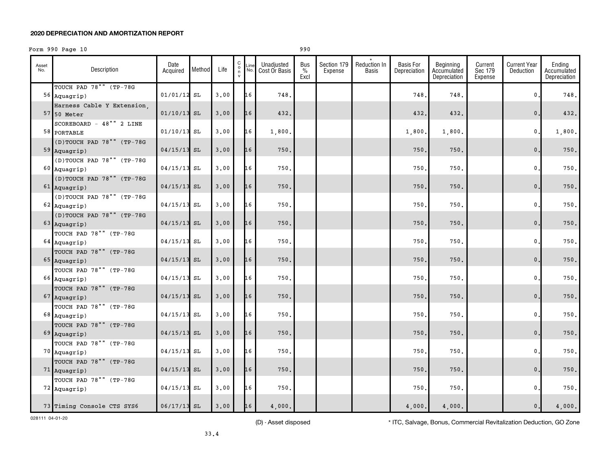# Form 990 Page 10 990 990

| Asset<br>No. | Description                              | Date<br>Acquired | Method | Life | C<br>$\circ$<br>n | Line<br>No. | Unadjusted<br>Cost Or Basis | Bus<br>$\%$<br>Excl | Section 179<br>Expense | Reduction In<br>Basis | <b>Basis For</b><br>Depreciation | Beginning<br>Accumulated<br>Depreciation | Current<br>Sec 179<br>Expense | <b>Current Year</b><br>Deduction | Ending<br>Accumulated<br>Depreciation |
|--------------|------------------------------------------|------------------|--------|------|-------------------|-------------|-----------------------------|---------------------|------------------------|-----------------------|----------------------------------|------------------------------------------|-------------------------------|----------------------------------|---------------------------------------|
|              | TOUCH PAD 78"" (TP-78G<br>56 Aquagrip)   | $01/01/12$ SL    |        | 3,00 |                   | 16          | 748.                        |                     |                        |                       | 748                              | 748.                                     |                               | 0.                               | 748.                                  |
|              | Harness Cable Y Extension,               |                  |        |      |                   |             |                             |                     |                        |                       |                                  |                                          |                               |                                  |                                       |
|              | $57$ 50 Meter                            | $01/10/13$ SL    |        | 3.00 |                   | 16          | 432.                        |                     |                        |                       | 432.                             | 432.                                     |                               | $0$ .                            | 432.                                  |
|              | SCOREBOARD - 48"" 2 LINE                 |                  |        |      |                   |             |                             |                     |                        |                       |                                  |                                          |                               |                                  |                                       |
|              | 58 PORTABLE                              | $01/10/13$ SL    |        | 3,00 |                   | 16          | 1,800.                      |                     |                        |                       | 1,800.                           | 1,800.                                   |                               | $\mathbf{0}$ .                   | 1,800.                                |
|              | (D)TOUCH PAD 78"" (TP-78G                |                  |        |      |                   |             |                             |                     |                        |                       |                                  |                                          |                               |                                  |                                       |
|              | $59$ Aquagrip)                           | $04/15/13$ SL    |        | 3,00 |                   | 16          | 750.                        |                     |                        |                       | 750                              | 750.                                     |                               | $\mathbf{0}$ .                   | 750.                                  |
|              | (D)TOUCH PAD 78"" (TP-78G                |                  |        |      |                   |             |                             |                     |                        |                       |                                  |                                          |                               |                                  |                                       |
|              | $60$ Aquagrip)                           | $04/15/13$ SL    |        | 3,00 |                   | 16          | 750.                        |                     |                        |                       | 750                              | 750.                                     |                               | $\mathbf{0}$ .                   | 750.                                  |
|              | (D)TOUCH PAD 78"" (TP-78G                |                  |        |      |                   |             |                             |                     |                        |                       |                                  |                                          |                               |                                  |                                       |
|              | $61$ Aquagrip)                           | $04/15/13$ SL    |        | 3.00 |                   | 16          | 750.                        |                     |                        |                       | 750.                             | 750.                                     |                               | $\mathsf{0}$ .                   | $750.$                                |
|              | (D)TOUCH PAD 78"" (TP-78G                |                  |        |      |                   |             |                             |                     |                        |                       |                                  |                                          |                               |                                  |                                       |
|              | $62$ Aquagrip)                           | $04/15/13$ SL    |        | 3,00 |                   | 16          | 750.                        |                     |                        |                       | 750                              | 750.                                     |                               | 0.                               | 750.                                  |
|              | (D)TOUCH PAD 78"" (TP-78G                |                  |        |      |                   |             |                             |                     |                        |                       |                                  |                                          |                               |                                  |                                       |
|              | $63$ Aquagrip)                           | $04/15/13$ SL    |        | 3.00 |                   | 16          | 750.                        |                     |                        |                       | 750.                             | 750.                                     |                               | $\mathbf{0}$ .                   | $750.$                                |
|              | TOUCH PAD 78"" (TP-78G                   |                  |        |      |                   |             |                             |                     |                        |                       |                                  |                                          |                               |                                  |                                       |
|              | $64$ Aquagrip)                           | $04/15/13$ SL    |        | 3,00 |                   | 16          | 750.                        |                     |                        |                       | 750                              | 750.                                     |                               | 0.                               | 750.                                  |
|              | TOUCH PAD 78"" (TP-78G                   |                  |        |      |                   |             |                             |                     |                        |                       |                                  |                                          |                               |                                  |                                       |
|              | 65 Aquagrip)                             | $04/15/13$ SL    |        | 3.00 |                   | 16          | 750.                        |                     |                        |                       | 750.                             | 750.                                     |                               | $\mathbf{0}$ .                   | 750.                                  |
|              | TOUCH PAD 78"" (TP-78G                   |                  |        |      |                   |             |                             |                     |                        |                       |                                  |                                          |                               |                                  |                                       |
|              | $66$ Aquagrip)                           | $04/15/13$ SL    |        | 3,00 |                   | 16          | 750.                        |                     |                        |                       | 750                              | 750.                                     |                               | $\mathbf{0}$ .                   | 750.                                  |
|              | TOUCH PAD 78"" (TP-78G                   |                  |        |      |                   |             |                             |                     |                        |                       |                                  |                                          |                               |                                  |                                       |
|              | $67$ Aquagrip)                           | $04/15/13$ SL    |        | 3.00 |                   | 16          | 750.                        |                     |                        |                       | 750.                             | 750.                                     |                               | $\mathbf{0}$ .                   | 750.                                  |
|              | TOUCH PAD 78"" (TP-78G                   |                  |        |      |                   |             |                             |                     |                        |                       |                                  |                                          |                               |                                  |                                       |
|              | $68$ Aquagrip)                           | $04/15/13$ SL    |        | 3,00 |                   | 16          | 750.                        |                     |                        |                       | 750                              | 750.                                     |                               | 0.                               | 750.                                  |
|              | TOUCH PAD 78"" (TP-78G                   |                  |        | 3.00 |                   | 16          | 750.                        |                     |                        |                       | 750.                             | 750.                                     |                               | $\mathbf{0}$ .                   | $750.$                                |
|              | $69$ Aquagrip)                           | $04/15/13$ SL    |        |      |                   |             |                             |                     |                        |                       |                                  |                                          |                               |                                  |                                       |
|              | TOUCH PAD 78"" (TP-78G                   | $04/15/13$ SL    |        | 3.00 |                   | 16          | 750.                        |                     |                        |                       | 750                              | 750.                                     |                               | $\mathbf{0}$ .                   | 750.                                  |
|              | $70$ Aquagrip)                           |                  |        |      |                   |             |                             |                     |                        |                       |                                  |                                          |                               |                                  |                                       |
|              | TOUCH PAD 78"" (TP-78G                   | $04/15/13$ SL    |        | 3.00 |                   | 16          | 750.                        |                     |                        |                       | 750,                             | 750.                                     |                               | $\mathbf{0}$ .                   | $750.$                                |
|              | $71$ Aquagrip)<br>TOUCH PAD 78"" (TP-78G |                  |        |      |                   |             |                             |                     |                        |                       |                                  |                                          |                               |                                  |                                       |
|              | 72 Aquagrip)                             | $04/15/13$ SL    |        | 3,00 |                   | 16          | 750.                        |                     |                        |                       | 750                              | 750.                                     |                               | 0.                               | 750.                                  |
|              |                                          |                  |        |      |                   |             |                             |                     |                        |                       |                                  |                                          |                               |                                  |                                       |
|              | 73 Timing Console CTS SYS6               | $06/17/13$ SL    |        | 3.00 |                   | 16          | 4,000.                      |                     |                        |                       | 4,000.                           | 4,000.                                   |                               | 0.                               | 4,000.                                |

028111 04-01-20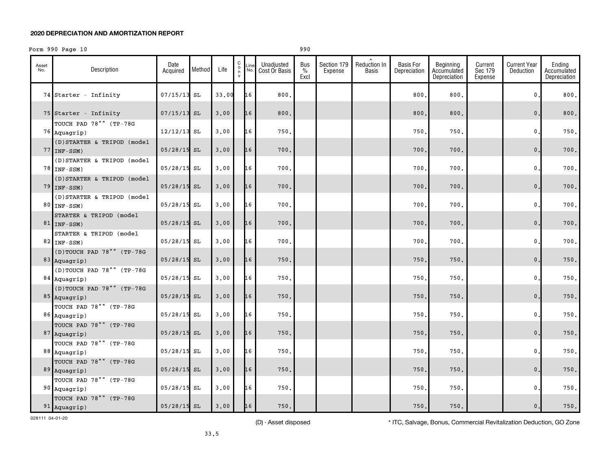## Form 990 Page 10 990 990

| Asset<br>No. | Description                                  | Date<br>Acquired | Method | Life  | С<br>$\circ$<br>n | Unadjusted<br>Line Ullaujustus<br>No. Cost Or Basis | Bus<br>%<br>Excl | Section 179<br>Expense | Reduction In<br>Basis | <b>Basis For</b><br>Depreciation | Beginning<br>Accumulated<br>Depreciation | Current<br>Sec 179<br>Expense | Current Year<br>Deduction | Ending<br>Accumulated<br>Depreciation |
|--------------|----------------------------------------------|------------------|--------|-------|-------------------|-----------------------------------------------------|------------------|------------------------|-----------------------|----------------------------------|------------------------------------------|-------------------------------|---------------------------|---------------------------------------|
|              | $74$ Starter - Infinity                      | $07/15/13$ SL    |        | 33.00 | 16                | 800.                                                |                  |                        |                       | 800                              | 800.                                     |                               | $\mathbf{0}$ .            | 800.                                  |
|              | 75 Starter - Infinity                        | $07/15/13$ SL    |        | 3,00  | 16                | 800.                                                |                  |                        |                       | 800.                             | 800.                                     |                               | 0.                        | 800.                                  |
|              | TOUCH PAD 78"" (TP-78G<br>76 Aquagrip)       | $12/12/13$ SL    |        | 3,00  | 16                | 750.                                                |                  |                        |                       | 750.                             | 750.                                     |                               | $\mathbf{0}$ .            | 750.                                  |
|              | (D) STARTER & TRIPOD (model<br>$77$ INF-SSM) | $05/28/15$ SL    |        | 3.00  | 16                | 700.                                                |                  |                        |                       | 700.                             | 700.                                     |                               | $\mathbf{0}$ .            | 700.                                  |
|              | (D) STARTER & TRIPOD (model<br>$78$ INF-SSM) | $05/28/15$ SL    |        | 3.00  | 16                | 700.                                                |                  |                        |                       | 700                              | 700.                                     |                               | 0.                        | 700.                                  |
|              | (D) STARTER & TRIPOD (model<br>$79$ INF-SSM) | $05/28/15$ SL    |        | 3,00  | 16                | 700.                                                |                  |                        |                       | 700.                             | 700.                                     |                               | 0.                        | 700.                                  |
|              | (D) STARTER & TRIPOD (model<br>$80$ INF-SSM) | $05/28/15$ SL    |        | 3.00  | 16                | 700.                                                |                  |                        |                       | 700.                             | 700.                                     |                               | $\mathbf{0}$ .            | 700.                                  |
|              | STARTER & TRIPOD (model<br>$81$ INF-SSM)     | $05/28/15$ SL    |        | 3,00  | 16                | 700.                                                |                  |                        |                       | 700.                             | 700.                                     |                               | $\mathbf{0}$ .            | 700.                                  |
|              | STARTER & TRIPOD (model<br>82 $INF-SSM$      | $05/28/15$ SL    |        | 3,00  | 16                | 700.                                                |                  |                        |                       | 700                              | 700.                                     |                               | $\mathbf 0$ .             | 700.                                  |
|              | (D)TOUCH PAD 78"" (TP-78G<br>$83$ Aquagrip)  | $05/28/15$ SL    |        | 3,00  | 16                | 750.                                                |                  |                        |                       | 750.                             | 750.                                     |                               | $\mathbf{0}$ .            | 750.                                  |
|              | (D)TOUCH PAD 78"" (TP-78G<br>$84$ Aquagrip)  | $05/28/15$ SL    |        | 3.00  | 16                | 750.                                                |                  |                        |                       | 750.                             | 750.                                     |                               | $\mathbf{0}$ .            | 750.                                  |
|              | (D)TOUCH PAD 78"" (TP-78G<br>$85$ Aquagrip)  | $05/28/15$ SL    |        | 3,00  | 16                | 750.                                                |                  |                        |                       | 750.                             | 750.                                     |                               | $\mathbf{0}$ .            | 750.                                  |
|              | TOUCH PAD 78"" (TP-78G<br>86 Aquagrip)       | $05/28/15$ SL    |        | 3,00  | 16                | 750.                                                |                  |                        |                       | 750.                             | 750.                                     |                               | $\mathbf{0}$ .            | 750.                                  |
|              | TOUCH PAD 78"" (TP-78G<br>87 Aquagrip)       | $05/28/15$ SL    |        | 3,00  | 16                | 750.                                                |                  |                        |                       | 750.                             | 750.                                     |                               | 0.                        | 750.                                  |
|              | TOUCH PAD 78"" (TP-78G<br>88 Aquagrip)       | $05/28/15$ SL    |        | 3,00  | 16                | 750.                                                |                  |                        |                       | 750.                             | 750.                                     |                               | 0.                        | 750.                                  |
|              | TOUCH PAD 78"" (TP-78G<br>$89$ Aquagrip)     | $05/28/15$ SL    |        | 3,00  | 16                | 750.                                                |                  |                        |                       | 750.                             | 750.                                     |                               | $0$ .                     | 750.                                  |
|              | TOUCH PAD 78"" (TP-78G<br>90 Aquagrip)       | $05/28/15$ SL    |        | 3.00  | 16                | 750.                                                |                  |                        |                       | 750.                             | 750.                                     |                               | $\mathbf{0}$ .            | 750.                                  |
|              | TOUCH PAD 78"" (TP-78G<br>$91$ Aquagrip)     | $05/28/15$ SL    |        | 3.00  | 16                | 750.                                                |                  |                        |                       | 750.                             | 750.                                     |                               | 0.                        | 750.                                  |

028111 04-01-20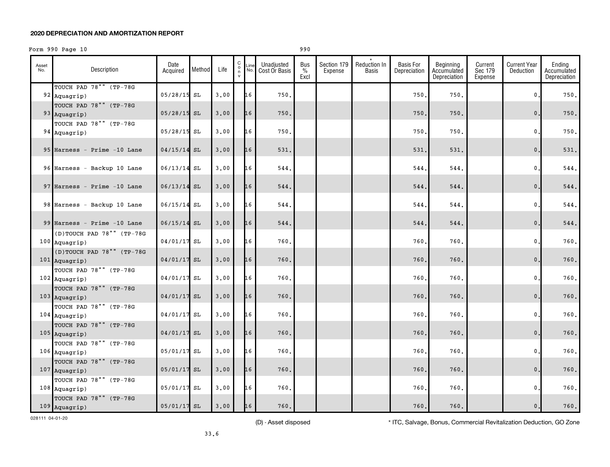# Form 990 Page 10 990 990

| Asset<br>No. | Description                                  | Date<br>Acquired | Method Life |      | C |    | Unadjusted<br>$\begin{bmatrix} 6 \\ 0 \\ n \end{bmatrix}$ Line Unadjusted<br>n No. Cost Or Basis | Bus<br>$\%$<br>Excl | Section 179<br>Expense | Reduction In<br>Basis | <b>Basis For</b><br>Depreciation | Beginning<br>Accumulated<br>Depreciation | Current<br>Sec 179<br>Expense | <b>Current Year</b><br>Deduction | Ending<br>Accumulated<br>Depreciation |
|--------------|----------------------------------------------|------------------|-------------|------|---|----|--------------------------------------------------------------------------------------------------|---------------------|------------------------|-----------------------|----------------------------------|------------------------------------------|-------------------------------|----------------------------------|---------------------------------------|
|              | TOUCH PAD 78"" (TP-78G<br>$92$ Aquagrip)     | $05/28/15$ SL    |             | 3.00 |   | 16 | 750.                                                                                             |                     |                        |                       | 750.                             | 750.                                     |                               | $\mathbf{0}$ .                   | 750.                                  |
|              | TOUCH PAD 78"" (TP-78G<br>93 Aquagrip)       | $05/28/15$ SL    |             | 3,00 |   | 16 | 750.                                                                                             |                     |                        |                       | 750.                             | 750.                                     |                               | $\mathsf{0}\,.$                  | 750.                                  |
|              | TOUCH PAD 78"" (TP-78G<br>94 Aquagrip)       | $05/28/15$ SL    |             | 3,00 |   | 16 | 750.                                                                                             |                     |                        |                       | 750.                             | 750.                                     |                               | $\mathbf{0}$ .                   | 750.                                  |
|              | 95 Harness - Prime -10 Lane                  | $04/15/14$ SL    |             | 3,00 |   | 16 | 531.                                                                                             |                     |                        |                       | 531.                             | 531.                                     |                               | $0$ .                            | 531.                                  |
|              | 96 Harness - Backup 10 Lane                  | $06/13/14$ SL    |             | 3.00 |   | 16 | 544.                                                                                             |                     |                        |                       | 544.                             | 544.                                     |                               | 0.                               | 544.                                  |
|              | 97 Harness - Prime $-10$ Lane                | $06/13/14$ SL    |             | 3,00 |   | 16 | 544.                                                                                             |                     |                        |                       | 544.                             | 544.                                     |                               | $\mathbf{0}$ .                   | 544.                                  |
|              | 98 Harness - Backup 10 Lane                  | $06/15/14$ SL    |             | 3.00 |   | 16 | 544.                                                                                             |                     |                        |                       | 544.                             | 544.                                     |                               | 0.                               | 544.                                  |
|              | 99 Harness - Prime $-10$ Lane                | $06/15/14$ SL    |             | 3,00 |   | 16 | 544.                                                                                             |                     |                        |                       | 544.                             | 544.                                     |                               | 0.                               | 544.                                  |
|              | (D)TOUCH PAD 78"" (TP-78G<br>$100$ Aquagrip) | 04/01/17 SL      |             | 3,00 |   | 16 | 760.                                                                                             |                     |                        |                       | 760.                             | 760.                                     |                               | $\mathbf{0}$ .                   | 760.                                  |
|              | (D)TOUCH PAD 78"" (TP-78G<br>$101$ Aquagrip) | $04/01/17$ SL    |             | 3,00 |   | 16 | 760.                                                                                             |                     |                        |                       | 760.                             | 760.                                     |                               | 0.                               | 760.                                  |
|              | TOUCH PAD 78"" (TP-78G<br>$102$ Aquagrip)    | 04/01/17 SL      |             | 3.00 |   | 16 | 760.                                                                                             |                     |                        |                       | 760.                             | 760.                                     |                               | 0.                               | 760.                                  |
|              | TOUCH PAD 78"" (TP-78G<br>$103$ Aquagrip)    | 04/01/17 SL      |             | 3,00 |   | 16 | 760.                                                                                             |                     |                        |                       | 760.                             | 760.                                     |                               | $\mathbf{0}$ .                   | 760.                                  |
|              | TOUCH PAD 78"" (TP-78G<br>$104$ Aquagrip)    | 04/01/17 SL      |             | 3,00 |   | 16 | 760.                                                                                             |                     |                        |                       | 760.                             | 760.                                     |                               | $\mathbf{0}$ .                   | 760.                                  |
|              | TOUCH PAD 78"" (TP-78G<br>$105$ Aquagrip)    | $04/01/17$ SL    |             | 3.00 |   | 16 | 760.                                                                                             |                     |                        |                       | 760.                             | 760.                                     |                               | 0.                               | 760.                                  |
|              | TOUCH PAD 78"" (TP-78G<br>$106$ Aquagrip)    | 05/01/17 SL      |             | 3,00 |   | 16 | 760.                                                                                             |                     |                        |                       | 760.                             | 760.                                     |                               | 0.                               | 760.                                  |
|              | TOUCH PAD 78"" (TP-78G<br>$107$ Aquagrip)    | $05/01/17$ SL    |             | 3,00 |   | 16 | 760.                                                                                             |                     |                        |                       | 760.                             | 760.                                     |                               | 0.                               | 760.                                  |
|              | TOUCH PAD 78"" (TP-78G<br>$108$ Aquagrip)    | $05/01/17$ SL    |             | 3.00 |   | 16 | 760.                                                                                             |                     |                        |                       | 760.                             | 760.                                     |                               | 0.                               | 760.                                  |
|              | TOUCH PAD 78"" (TP-78G<br>$109$ Aquagrip)    | $05/01/17$ SL    |             | 3.00 |   | 16 | 760.                                                                                             |                     |                        |                       | 760.                             | 760.                                     |                               | $\mathsf{0}\,.$                  | 760.                                  |

028111 04-01-20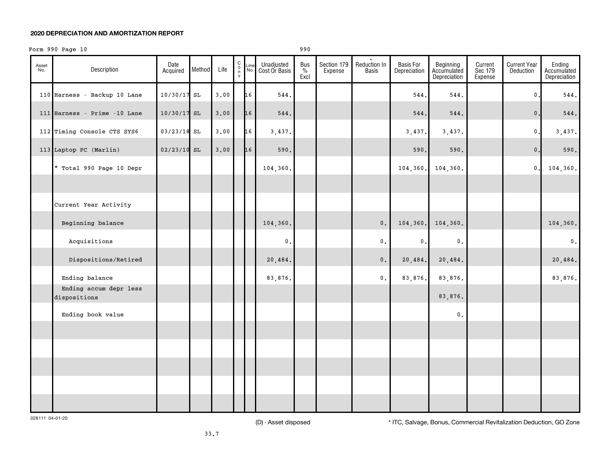# Form 990 Page 10 990 990

| Asset<br>No. | Description                            | Date<br>Acquired | Method | Life | $\begin{matrix} 0 \\ 0 \\ n \end{matrix}$<br>$\mathsf{v}$ | Line<br>No. | Unadjusted<br>Cost Or Basis | Bus<br>$\%$<br>Excl | Section 179<br>Expense | Reduction In<br><b>Basis</b> | <b>Basis For</b><br>Depreciation | Beginning<br>Accumulated<br>Depreciation | Current<br>Sec 179<br>Expense | <b>Current Year</b><br><b>Deduction</b> | Ending<br>Accumulated<br>Depreciation |
|--------------|----------------------------------------|------------------|--------|------|-----------------------------------------------------------|-------------|-----------------------------|---------------------|------------------------|------------------------------|----------------------------------|------------------------------------------|-------------------------------|-----------------------------------------|---------------------------------------|
|              | 110 Harness - Backup 10 Lane           | 10/30/17 SL      |        | 3.00 |                                                           | 16          | 544.                        |                     |                        |                              | 544.                             | 544.                                     |                               | $\pmb{0}$                               | 544.                                  |
|              | 111 Harness - Prime $-10$ Lane         | $10/30/17$ SL    |        | 3.00 |                                                           | 16          | 544.                        |                     |                        |                              | 544.                             | 544.                                     |                               | $\mathbf 0$                             | 544.                                  |
|              | 112 Timing Console CTS SYS6            | $03/23/18$ SL    |        | 3.00 |                                                           | 16          | 3,437.                      |                     |                        |                              | 3,437.                           | 3,437.                                   |                               | $\pmb{0}$ .                             | 3,437.                                |
|              | 113 Laptop PC (Marlin)                 | $02/23/10$ SL    |        | 3.00 |                                                           | 16          | 590.                        |                     |                        |                              | 590.                             | 590.                                     |                               | $\mathbf{0}$ .                          | 590.                                  |
|              | * Total 990 Page 10 Depr               |                  |        |      |                                                           |             | 104,360.                    |                     |                        |                              | 104,360.                         | 104,360.                                 |                               | $\pmb{0}$                               | 104,360.                              |
|              |                                        |                  |        |      |                                                           |             |                             |                     |                        |                              |                                  |                                          |                               |                                         |                                       |
|              | Current Year Activity                  |                  |        |      |                                                           |             |                             |                     |                        |                              |                                  |                                          |                               |                                         |                                       |
|              | Beginning balance                      |                  |        |      |                                                           |             | 104,360.                    |                     |                        | $\mathbf 0$ .                | 104,360.                         | 104,360.                                 |                               |                                         | 104,360.                              |
|              | Acquisitions                           |                  |        |      |                                                           |             | $\mathsf{0}\,.$             |                     |                        | $\mathbf 0$ .                | 0.                               | $\mathbf 0$ .                            |                               |                                         | $\mathfrak o$ .                       |
|              | Dispositions/Retired                   |                  |        |      |                                                           |             | 20,484.                     |                     |                        | $\mathbf 0$ .                | 20,484.                          | 20,484.                                  |                               |                                         | 20,484.                               |
|              | Ending balance                         |                  |        |      |                                                           |             | 83,876.                     |                     |                        | 0.                           | 83,876.                          | 83,876.                                  |                               |                                         | 83,876.                               |
|              | Ending accum depr less<br>dispositions |                  |        |      |                                                           |             |                             |                     |                        |                              |                                  | 83,876.                                  |                               |                                         |                                       |
|              | Ending book value                      |                  |        |      |                                                           |             |                             |                     |                        |                              |                                  | $\mathbf 0$ .                            |                               |                                         |                                       |
|              |                                        |                  |        |      |                                                           |             |                             |                     |                        |                              |                                  |                                          |                               |                                         |                                       |
|              |                                        |                  |        |      |                                                           |             |                             |                     |                        |                              |                                  |                                          |                               |                                         |                                       |
|              |                                        |                  |        |      |                                                           |             |                             |                     |                        |                              |                                  |                                          |                               |                                         |                                       |
|              |                                        |                  |        |      |                                                           |             |                             |                     |                        |                              |                                  |                                          |                               |                                         |                                       |
|              |                                        |                  |        |      |                                                           |             |                             |                     |                        |                              |                                  |                                          |                               |                                         |                                       |

028111 04-01-20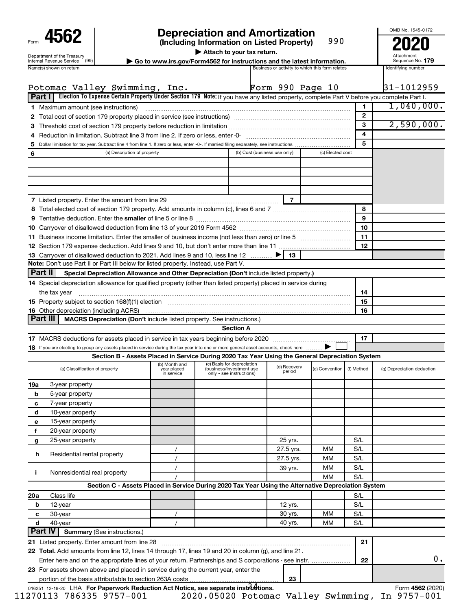| Form                                                                  |
|-----------------------------------------------------------------------|
| Department of the Treasury<br><b>Internal Revenue Service</b><br>(99) |
| . <b>.</b>                                                            |

# **4562 Depreciation and Amortization**<br>(Including Information on Listed Property) 990 **2020**

**(Including Information on Listed Property)** 990

**| Attach to your tax return.**

**nternal Revenue Service**  $\left(99\right)$  **<b>b Go to www.irs.gov/Form4562 for instructions and the latest information.** Sequence No. 179<br>Name(s) shown on return and the lates and the lates are activity to which this form relates

Attachment Sequence No.

OMB No. 1545-0172

|                     | Potomac Valley Swimming, Inc.                                                                                                             |                                                                                                 |                                                      | Form 990 Page 10 |                  |              | 31-1012959                 |
|---------------------|-------------------------------------------------------------------------------------------------------------------------------------------|-------------------------------------------------------------------------------------------------|------------------------------------------------------|------------------|------------------|--------------|----------------------------|
| <b>Part I</b>       | Election To Expense Certain Property Under Section 179 Note: If you have any listed property, complete Part V before you complete Part I. |                                                                                                 |                                                      |                  |                  |              |                            |
|                     | <b>1</b> Maximum amount (see instructions)                                                                                                |                                                                                                 |                                                      |                  |                  | 1.           | 1,040,000.                 |
|                     |                                                                                                                                           |                                                                                                 |                                                      |                  |                  | $\mathbf{2}$ |                            |
|                     |                                                                                                                                           |                                                                                                 |                                                      |                  |                  | 3            | 2,590,000.                 |
|                     |                                                                                                                                           |                                                                                                 |                                                      |                  |                  | 4            |                            |
| 5                   |                                                                                                                                           |                                                                                                 |                                                      |                  |                  | 5            |                            |
| 6                   | (a) Description of property                                                                                                               |                                                                                                 | (b) Cost (business use only)                         |                  | (c) Elected cost |              |                            |
|                     |                                                                                                                                           |                                                                                                 |                                                      |                  |                  |              |                            |
|                     |                                                                                                                                           |                                                                                                 |                                                      |                  |                  |              |                            |
|                     |                                                                                                                                           |                                                                                                 |                                                      |                  |                  |              |                            |
|                     |                                                                                                                                           |                                                                                                 |                                                      |                  |                  |              |                            |
|                     | <b>7</b> Listed property. Enter the amount from line 29                                                                                   |                                                                                                 |                                                      | $\overline{7}$   |                  |              |                            |
|                     |                                                                                                                                           |                                                                                                 |                                                      |                  |                  | 8            |                            |
|                     |                                                                                                                                           |                                                                                                 |                                                      |                  |                  | 9            |                            |
|                     |                                                                                                                                           |                                                                                                 |                                                      |                  |                  | 10           |                            |
|                     |                                                                                                                                           |                                                                                                 |                                                      |                  |                  | 11           |                            |
|                     |                                                                                                                                           |                                                                                                 |                                                      |                  |                  | 12           |                            |
|                     | 13 Carryover of disallowed deduction to 2021. Add lines 9 and 10, less line 12                                                            |                                                                                                 |                                                      | 13               |                  |              |                            |
|                     | Note: Don't use Part II or Part III below for listed property. Instead, use Part V.                                                       |                                                                                                 |                                                      |                  |                  |              |                            |
| <b>Part II</b>      | Special Depreciation Allowance and Other Depreciation (Don't include listed property.)                                                    |                                                                                                 |                                                      |                  |                  |              |                            |
|                     | 14 Special depreciation allowance for qualified property (other than listed property) placed in service during                            |                                                                                                 |                                                      |                  |                  |              |                            |
|                     | the tax year                                                                                                                              |                                                                                                 |                                                      |                  |                  | 14           |                            |
|                     | 15 Property subject to section 168(f)(1) election manufactured contains and contained a property subject to section 168(f)(1) election    |                                                                                                 |                                                      |                  |                  | 15           |                            |
|                     |                                                                                                                                           |                                                                                                 |                                                      |                  |                  | 16           |                            |
| <b>Part III</b>     | MACRS Depreciation (Don't include listed property. See instructions.)                                                                     |                                                                                                 |                                                      |                  |                  |              |                            |
|                     |                                                                                                                                           |                                                                                                 | <b>Section A</b>                                     |                  |                  |              |                            |
|                     |                                                                                                                                           |                                                                                                 |                                                      |                  |                  | 17           |                            |
|                     | 18 If you are electing to group any assets placed in service during the tax year into one or more general asset accounts, check here      |                                                                                                 |                                                      |                  |                  |              |                            |
|                     |                                                                                                                                           | Section B - Assets Placed in Service During 2020 Tax Year Using the General Depreciation System |                                                      |                  |                  |              |                            |
|                     |                                                                                                                                           | (b) Month and                                                                                   | (c) Basis for depreciation                           | (d) Recovery     |                  |              |                            |
|                     | (a) Classification of property                                                                                                            | year placed<br>in service                                                                       | (business/investment use<br>only - see instructions) | period           | (e) Convention   | (f) Method   | (g) Depreciation deduction |
| 19a                 | 3-year property                                                                                                                           |                                                                                                 |                                                      |                  |                  |              |                            |
| b                   | 5-year property                                                                                                                           |                                                                                                 |                                                      |                  |                  |              |                            |
| c                   | 7-year property                                                                                                                           |                                                                                                 |                                                      |                  |                  |              |                            |
| d                   | 10-year property                                                                                                                          |                                                                                                 |                                                      |                  |                  |              |                            |
| e                   | 15-year property                                                                                                                          |                                                                                                 |                                                      |                  |                  |              |                            |
| f                   | 20-year property                                                                                                                          |                                                                                                 |                                                      |                  |                  |              |                            |
| g                   | 25-year property                                                                                                                          |                                                                                                 |                                                      | 25 yrs.          |                  | S/L          |                            |
|                     |                                                                                                                                           |                                                                                                 |                                                      | 27.5 yrs.        | мм               | S/L          |                            |
| h                   | Residential rental property                                                                                                               |                                                                                                 |                                                      | 27.5 yrs.        | ΜМ               | S/L          |                            |
|                     |                                                                                                                                           |                                                                                                 |                                                      | 39 yrs.          | ΜМ               | S/L          |                            |
| j.                  | Nonresidential real property                                                                                                              |                                                                                                 |                                                      |                  | МM               | S/L          |                            |
|                     | Section C - Assets Placed in Service During 2020 Tax Year Using the Alternative Depreciation System                                       |                                                                                                 |                                                      |                  |                  |              |                            |
|                     |                                                                                                                                           |                                                                                                 |                                                      |                  |                  |              |                            |
| 20a                 | Class life                                                                                                                                |                                                                                                 |                                                      |                  |                  | S/L<br>S/L   |                            |
| b                   | 12-year                                                                                                                                   |                                                                                                 |                                                      | 12 yrs.          | MМ               | S/L          |                            |
| с                   | 30-year                                                                                                                                   |                                                                                                 |                                                      | 30 yrs.          |                  |              |                            |
| d<br><b>Part IV</b> | 40-year                                                                                                                                   |                                                                                                 |                                                      | 40 yrs.          | ΜМ               | S/L          |                            |
|                     | <b>Summary (See instructions.)</b>                                                                                                        |                                                                                                 |                                                      |                  |                  |              |                            |
|                     | 21 Listed property. Enter amount from line 28                                                                                             |                                                                                                 |                                                      |                  |                  | 21           |                            |
|                     | 22 Total. Add amounts from line 12, lines 14 through 17, lines 19 and 20 in column (g), and line 21.                                      |                                                                                                 |                                                      |                  |                  |              |                            |
|                     | Enter here and on the appropriate lines of your return. Partnerships and S corporations - see instr.                                      |                                                                                                 |                                                      |                  |                  | 22           | 0.                         |
|                     | 23 For assets shown above and placed in service during the current year, enter the                                                        |                                                                                                 |                                                      |                  |                  |              |                            |
|                     | portion of the basis attributable to section 263A costs.                                                                                  |                                                                                                 |                                                      | 23               |                  |              |                            |
|                     | 016251 12-18-20 LHA For Paperwork Reduction Act Notice, see separate instructions.                                                        |                                                                                                 |                                                      |                  |                  |              | Form 4562 (2020)           |

11270113 786335 9757-001 2020.05020 Potomac Valley Swimming, In 9757-001